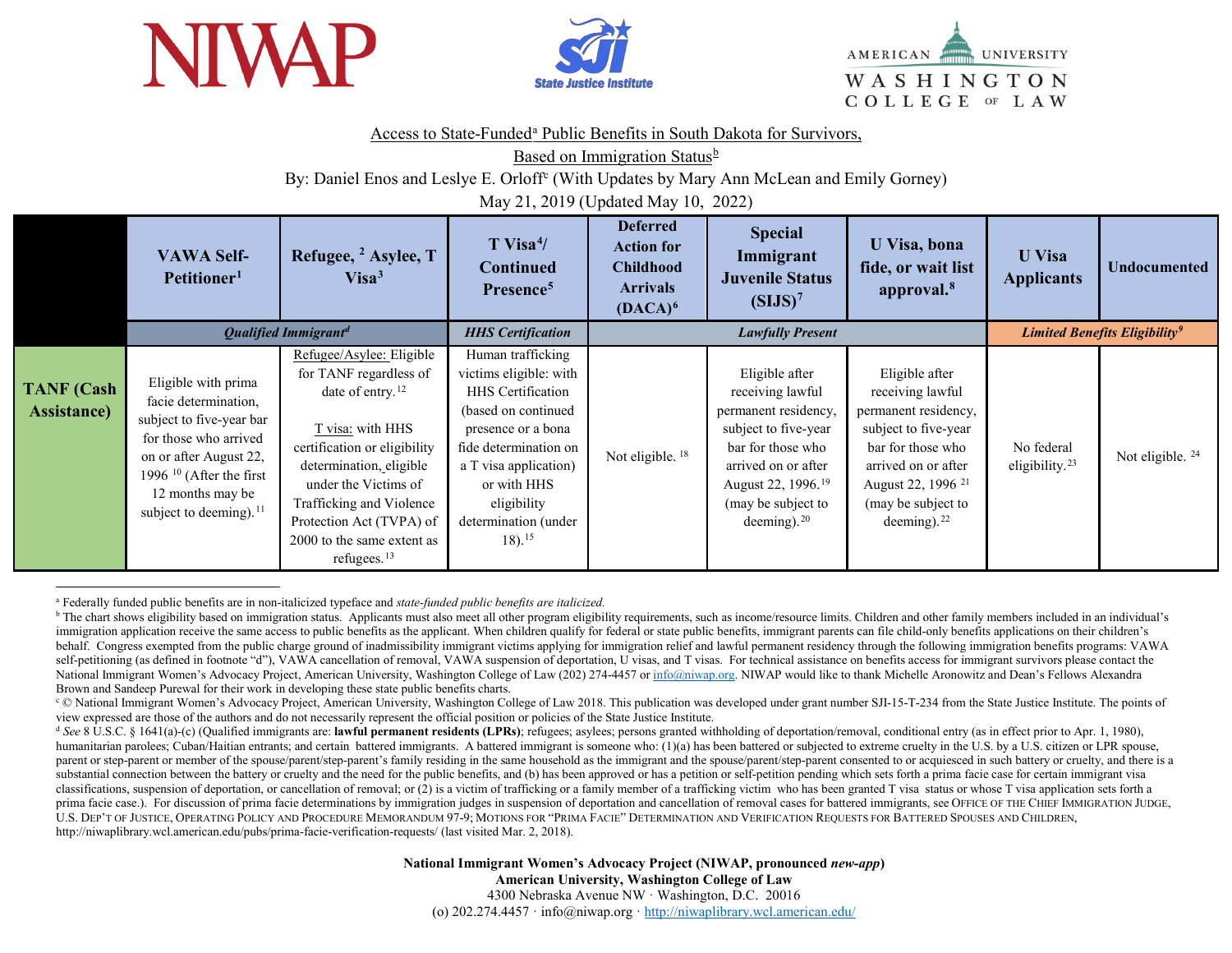

<span id="page-0-1"></span><span id="page-0-0"></span>

<span id="page-0-3"></span><span id="page-0-2"></span>

## Access to St[a](#page-0-0)te-Funded<sup>a</sup> Public Benefits in South Dakota for Survivors,

Based on Immigration Status<sup>[b](#page-0-1)</sup>

By: Daniel Enos and Leslye E. Orloff<sup>[c](#page-0-2)</sup> (With Updates by Mary Ann McLean and Emily Gorney)

May 21, 2019 (Updated May 10, 2022)

|                                          | <b>VAWA Self-</b><br>Petitioner <sup>1</sup>                                                                                                                                                              | Refugee, <sup>2</sup> Asylee, T<br>Visa <sup>3</sup>                                                                                                                                                                                                                                     | $T$ Visa <sup>4</sup> /<br><b>Continued</b><br>Presence <sup>5</sup>                                                                                                                                                                                  | <b>Deferred</b><br><b>Action for</b><br><b>Childhood</b><br><b>Arrivals</b><br>$(DACA)^6$ | <b>Special</b><br>Immigrant<br><b>Juvenile Status</b><br>(SIJS) <sup>7</sup>                                                                                                                             | U Visa, bona<br>fide, or wait list<br>approval. <sup>8</sup>                                                                                                                                               | <b>U</b> Visa<br><b>Applicants</b>       | <b>Undocumented</b>                       |
|------------------------------------------|-----------------------------------------------------------------------------------------------------------------------------------------------------------------------------------------------------------|------------------------------------------------------------------------------------------------------------------------------------------------------------------------------------------------------------------------------------------------------------------------------------------|-------------------------------------------------------------------------------------------------------------------------------------------------------------------------------------------------------------------------------------------------------|-------------------------------------------------------------------------------------------|----------------------------------------------------------------------------------------------------------------------------------------------------------------------------------------------------------|------------------------------------------------------------------------------------------------------------------------------------------------------------------------------------------------------------|------------------------------------------|-------------------------------------------|
|                                          |                                                                                                                                                                                                           | <b>Qualified Immigrantd</b>                                                                                                                                                                                                                                                              | <b>HHS</b> Certification                                                                                                                                                                                                                              |                                                                                           | <b>Lawfully Present</b>                                                                                                                                                                                  |                                                                                                                                                                                                            |                                          | Limited Benefits Eligibility <sup>9</sup> |
| <b>TANF</b> (Cash<br><b>Assistance</b> ) | Eligible with prima<br>facie determination,<br>subject to five-year bar<br>for those who arrived<br>on or after August 22,<br>1996 $10$ (After the first<br>12 months may be<br>subject to deeming). $11$ | Refugee/Asylee: Eligible<br>for TANF regardless of<br>date of entry. $12$<br>T visa: with HHS<br>certification or eligibility<br>determination, eligible<br>under the Victims of<br>Trafficking and Violence<br>Protection Act (TVPA) of<br>2000 to the same extent as<br>refugees. $13$ | Human trafficking<br>victims eligible: with<br><b>HHS</b> Certification<br>(based on continued<br>presence or a bona<br>fide determination on<br>a T visa application)<br>or with HHS<br>eligibility<br>determination (under<br>$18$ ). <sup>15</sup> | Not eligible. <sup>18</sup>                                                               | Eligible after<br>receiving lawful<br>permanent residency,<br>subject to five-year<br>bar for those who<br>arrived on or after<br>August 22, 1996. <sup>19</sup><br>(may be subject to<br>deeming). $20$ | Eligible after<br>receiving lawful<br>permanent residency,<br>subject to five-year<br>bar for those who<br>arrived on or after<br>August 22, 1996 <sup>21</sup><br>(may be subject to<br>deeming). $^{22}$ | No federal<br>eligibility. <sup>23</sup> | Not eligible. <sup>24</sup>               |

 $\overline{a}$ <sup>a</sup> Federally funded public benefits are in non-italicized typeface and *state-funded public benefits are italicized.* 

<sup>&</sup>lt;sup>b</sup> The chart shows eligibility based on immigration status. Applicants must also meet all other program eligibility requirements, such as income/resource limits. Children and other family members included in an individual immigration application receive the same access to public benefits as the applicant. When children qualify for federal or state public benefits, immigrant parents can file child-only benefits applications on their children's behalf. Congress exempted from the public charge ground of inadmissibility immigrant victims applying for immigration relief and lawful permanent residency through the following immigration benefits programs: VAWA self-petitioning (as defined in footnote "d"), VAWA cancellation of removal, VAWA suspension of deportation, U visas, and T visas. For technical assistance on benefits access for immigrant survivors please contact the National Immigrant Women's Advocacy Project, American University, Washington College of Law (202) 274-4457 o[r info@niwap.org.](mailto:info@niwap.org) NIWAP would like to thank Michelle Aronowitz and Dean's Fellows Alexandra Brown and Sandeep Purewal for their work in developing these state public benefits charts.

<sup>&</sup>lt;sup>c</sup> © National Immigrant Women's Advocacy Project, American University, Washington College of Law 2018. This publication was developed under grant number SJI-15-T-234 from the State Justice Institute. The points of view ex

 $^{\text{d}}$  See 8 U.S.C. § 1641(a)-(c) (Qualified immigrants are: lawful permanent residents (LPRs); refugees; asylees; persons granted withholding of deportation/removal, conditional entry (as in effect prior to Apr. 1, 198 humanitarian parolees; Cuban/Haitian entrants; and certain battered immigrants. A battered immigrant is someone who: (1)(a) has been battered or subjected to extreme cruelty in the U.S. by a U.S. citizen or LPR spouse, parent or step-parent or member of the spouse/parent/step-parent's family residing in the same household as the immigrant and the spouse/parent/step-parent consented to or acquiesced in such battery or cruelty, and there i substantial connection between the battery or cruelty and the need for the public benefits, and (b) has been approved or has a petition or self-petition pending which sets forth a prima facie case for certain immigrant vis classifications, suspension of deportation, or cancellation of removal; or (2) is a victim of trafficking or a family member of a trafficking victim who has been granted T visa status or whose T visa application sets forth a prima facie case.). For discussion of prima facie determinations by immigration judges in suspension of deportation and cancellation of removal cases for battered immigrants, see OFFICE OF THE CHIEF IMMIGRATION JUDGE, U.S. DEP'T OF JUSTICE, OPERATING POLICY AND PROCEDURE MEMORANDUM 97-9; MOTIONS FOR "PRIMA FACIE" DETERMINATION AND VERIFICATION REQUESTS FOR BATTERED SPOUSES AND CHILDREN, http://niwaplibrary.wcl.american.edu/pubs/prima-facie-verification-requests/ (last visited Mar. 2, 2018).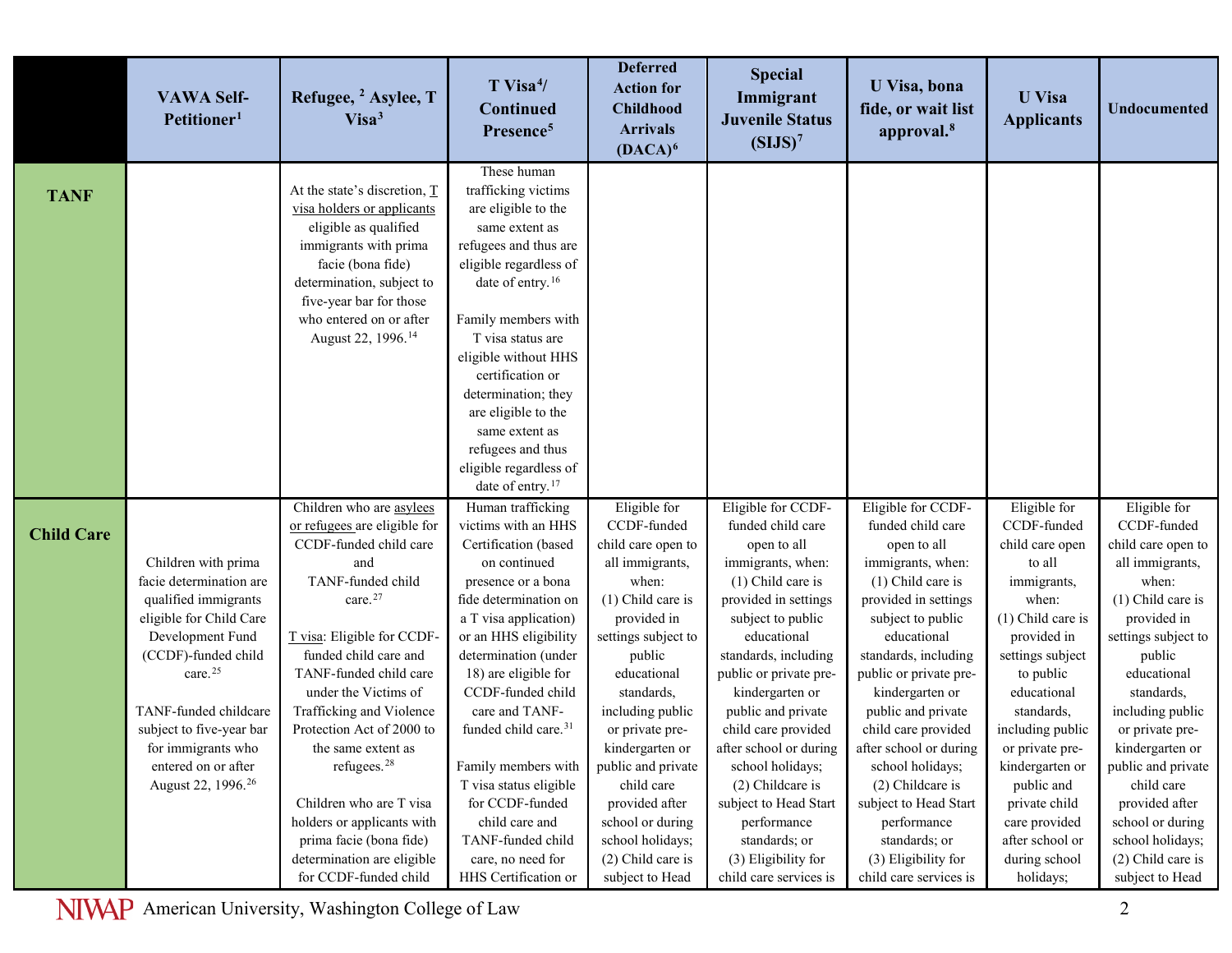|                   | <b>VAWA Self-</b><br>Petitioner <sup>1</sup>   | Refugee, <sup>2</sup> Asylee, T<br>Visa <sup>3</sup> | $T$ Visa <sup>4</sup> /<br><b>Continued</b><br>Presence <sup>5</sup> | <b>Deferred</b><br><b>Action for</b><br><b>Childhood</b><br><b>Arrivals</b><br>$(DACA)^6$ | <b>Special</b><br>Immigrant<br><b>Juvenile Status</b><br>(SIJS) <sup>7</sup> | U Visa, bona<br>fide, or wait list<br>approval. <sup>8</sup> | <b>U</b> Visa<br><b>Applicants</b> | <b>Undocumented</b>                   |
|-------------------|------------------------------------------------|------------------------------------------------------|----------------------------------------------------------------------|-------------------------------------------------------------------------------------------|------------------------------------------------------------------------------|--------------------------------------------------------------|------------------------------------|---------------------------------------|
|                   |                                                | At the state's discretion, $\underline{T}$           | These human<br>trafficking victims                                   |                                                                                           |                                                                              |                                                              |                                    |                                       |
| <b>TANF</b>       |                                                | visa holders or applicants                           | are eligible to the                                                  |                                                                                           |                                                                              |                                                              |                                    |                                       |
|                   |                                                | eligible as qualified                                | same extent as                                                       |                                                                                           |                                                                              |                                                              |                                    |                                       |
|                   |                                                | immigrants with prima                                | refugees and thus are                                                |                                                                                           |                                                                              |                                                              |                                    |                                       |
|                   |                                                | facie (bona fide)                                    | eligible regardless of                                               |                                                                                           |                                                                              |                                                              |                                    |                                       |
|                   |                                                | determination, subject to                            | date of entry. <sup>16</sup>                                         |                                                                                           |                                                                              |                                                              |                                    |                                       |
|                   |                                                | five-year bar for those                              |                                                                      |                                                                                           |                                                                              |                                                              |                                    |                                       |
|                   |                                                | who entered on or after                              | Family members with                                                  |                                                                                           |                                                                              |                                                              |                                    |                                       |
|                   |                                                | August 22, 1996. <sup>14</sup>                       | T visa status are                                                    |                                                                                           |                                                                              |                                                              |                                    |                                       |
|                   |                                                |                                                      | eligible without HHS<br>certification or                             |                                                                                           |                                                                              |                                                              |                                    |                                       |
|                   |                                                |                                                      | determination; they                                                  |                                                                                           |                                                                              |                                                              |                                    |                                       |
|                   |                                                |                                                      | are eligible to the                                                  |                                                                                           |                                                                              |                                                              |                                    |                                       |
|                   |                                                |                                                      | same extent as                                                       |                                                                                           |                                                                              |                                                              |                                    |                                       |
|                   |                                                |                                                      | refugees and thus                                                    |                                                                                           |                                                                              |                                                              |                                    |                                       |
|                   |                                                |                                                      | eligible regardless of                                               |                                                                                           |                                                                              |                                                              |                                    |                                       |
|                   |                                                |                                                      | date of entry. <sup>17</sup>                                         |                                                                                           |                                                                              |                                                              |                                    |                                       |
|                   |                                                | Children who are asylees                             | Human trafficking                                                    | Eligible for                                                                              | Eligible for CCDF-                                                           | Eligible for CCDF-                                           | Eligible for                       | Eligible for                          |
| <b>Child Care</b> |                                                | or refugees are eligible for                         | victims with an HHS                                                  | CCDF-funded                                                                               | funded child care                                                            | funded child care                                            | CCDF-funded                        | CCDF-funded                           |
|                   |                                                | CCDF-funded child care                               | Certification (based                                                 | child care open to                                                                        | open to all                                                                  | open to all                                                  | child care open                    | child care open to                    |
|                   | Children with prima<br>facie determination are | and<br>TANF-funded child                             | on continued<br>presence or a bona                                   | all immigrants,<br>when:                                                                  | immigrants, when:<br>$(1)$ Child care is                                     | immigrants, when:<br>$(1)$ Child care is                     | to all<br>immigrants,              | all immigrants,<br>when:              |
|                   | qualified immigrants                           | care. <sup>27</sup>                                  | fide determination on                                                | $(1)$ Child care is                                                                       | provided in settings                                                         | provided in settings                                         | when:                              | (1) Child care is                     |
|                   | eligible for Child Care                        |                                                      | a T visa application)                                                | provided in                                                                               | subject to public                                                            | subject to public                                            | $(1)$ Child care is                | provided in                           |
|                   | Development Fund                               | T visa: Eligible for CCDF-                           | or an HHS eligibility                                                | settings subject to                                                                       | educational                                                                  | educational                                                  | provided in                        | settings subject to                   |
|                   | (CCDF)-funded child                            | funded child care and                                | determination (under                                                 | public                                                                                    | standards, including                                                         | standards, including                                         | settings subject                   | public                                |
|                   | care. <sup>25</sup>                            | TANF-funded child care                               | 18) are eligible for                                                 | educational                                                                               | public or private pre-                                                       | public or private pre-                                       | to public                          | educational                           |
|                   |                                                | under the Victims of                                 | CCDF-funded child                                                    | standards,                                                                                | kindergarten or                                                              | kindergarten or                                              | educational                        | standards,                            |
|                   | TANF-funded childcare                          | Trafficking and Violence                             | care and TANF-                                                       | including public                                                                          | public and private                                                           | public and private                                           | standards,                         | including public                      |
|                   | subject to five-year bar                       | Protection Act of 2000 to                            | funded child care. <sup>31</sup>                                     | or private pre-                                                                           | child care provided                                                          | child care provided                                          | including public                   | or private pre-                       |
|                   | for immigrants who<br>entered on or after      | the same extent as<br>refugees. <sup>28</sup>        | Family members with                                                  | kindergarten or<br>public and private                                                     | after school or during<br>school holidays;                                   | after school or during<br>school holidays;                   | or private pre-<br>kindergarten or | kindergarten or<br>public and private |
|                   | August 22, 1996. <sup>26</sup>                 |                                                      | T visa status eligible                                               | child care                                                                                | (2) Childcare is                                                             | (2) Childcare is                                             | public and                         | child care                            |
|                   |                                                | Children who are T visa                              | for CCDF-funded                                                      | provided after                                                                            | subject to Head Start                                                        | subject to Head Start                                        | private child                      | provided after                        |
|                   |                                                | holders or applicants with                           | child care and                                                       | school or during                                                                          | performance                                                                  | performance                                                  | care provided                      | school or during                      |
|                   |                                                | prima facie (bona fide)                              | TANF-funded child                                                    | school holidays;                                                                          | standards; or                                                                | standards; or                                                | after school or                    | school holidays;                      |
|                   |                                                | determination are eligible                           | care, no need for                                                    | $(2)$ Child care is                                                                       | (3) Eligibility for                                                          | (3) Eligibility for                                          | during school                      | (2) Child care is                     |
|                   |                                                | for CCDF-funded child                                | HHS Certification or                                                 | subject to Head                                                                           | child care services is                                                       | child care services is                                       | holidays;                          | subject to Head                       |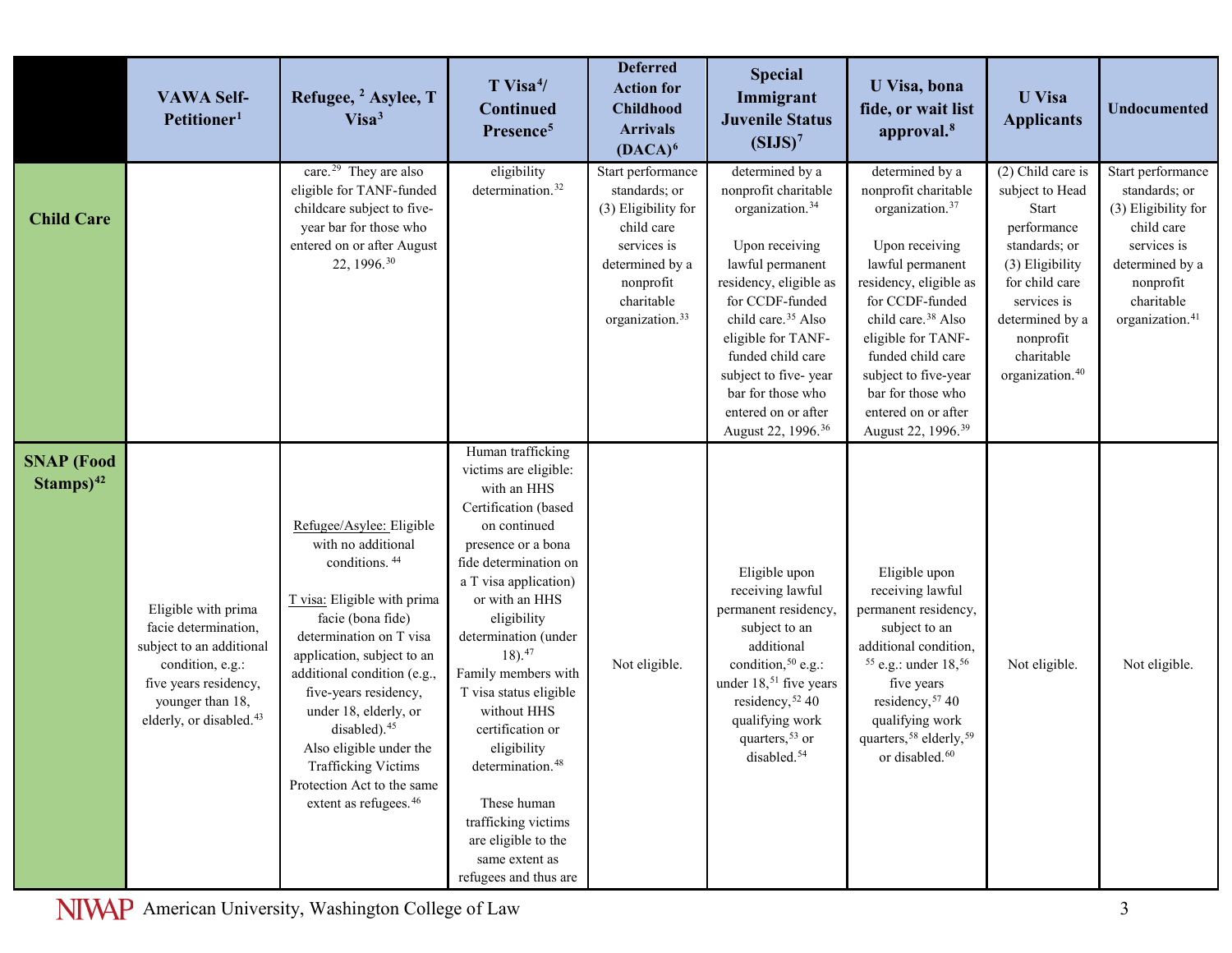|                                     | <b>VAWA Self-</b><br>Petitioner <sup>1</sup>                                                                                                                                    | Refugee, <sup>2</sup> Asylee, T<br>Visa <sup>3</sup>                                                                                                                                                                                                                                                                                                                                                                       | $T$ Visa <sup>4</sup> /<br><b>Continued</b><br>Presence <sup>5</sup>                                                                                                                                                                                                                                                                                                                                                                                                                                   | <b>Deferred</b><br><b>Action for</b><br><b>Childhood</b><br><b>Arrivals</b><br>$(DACA)^6$                                                                           | <b>Special</b><br>Immigrant<br><b>Juvenile Status</b><br>(SIJS) <sup>7</sup>                                                                                                                                                                                                                                                                 | <b>U</b> Visa, bona<br>fide, or wait list<br>approval. <sup>8</sup>                                                                                                                                                                                                                                                                          | <b>U</b> Visa<br><b>Applicants</b>                                                                                                                                                                               | <b>Undocumented</b>                                                                                                                                                 |
|-------------------------------------|---------------------------------------------------------------------------------------------------------------------------------------------------------------------------------|----------------------------------------------------------------------------------------------------------------------------------------------------------------------------------------------------------------------------------------------------------------------------------------------------------------------------------------------------------------------------------------------------------------------------|--------------------------------------------------------------------------------------------------------------------------------------------------------------------------------------------------------------------------------------------------------------------------------------------------------------------------------------------------------------------------------------------------------------------------------------------------------------------------------------------------------|---------------------------------------------------------------------------------------------------------------------------------------------------------------------|----------------------------------------------------------------------------------------------------------------------------------------------------------------------------------------------------------------------------------------------------------------------------------------------------------------------------------------------|----------------------------------------------------------------------------------------------------------------------------------------------------------------------------------------------------------------------------------------------------------------------------------------------------------------------------------------------|------------------------------------------------------------------------------------------------------------------------------------------------------------------------------------------------------------------|---------------------------------------------------------------------------------------------------------------------------------------------------------------------|
| <b>Child Care</b>                   |                                                                                                                                                                                 | care. <sup>29</sup> They are also<br>eligible for TANF-funded<br>childcare subject to five-<br>year bar for those who<br>entered on or after August<br>22, 1996. <sup>30</sup>                                                                                                                                                                                                                                             | eligibility<br>determination. <sup>32</sup>                                                                                                                                                                                                                                                                                                                                                                                                                                                            | Start performance<br>standards; or<br>(3) Eligibility for<br>child care<br>services is<br>determined by a<br>nonprofit<br>charitable<br>organization. <sup>33</sup> | determined by a<br>nonprofit charitable<br>organization. <sup>34</sup><br>Upon receiving<br>lawful permanent<br>residency, eligible as<br>for CCDF-funded<br>child care. <sup>35</sup> Also<br>eligible for TANF-<br>funded child care<br>subject to five-year<br>bar for those who<br>entered on or after<br>August 22, 1996. <sup>36</sup> | determined by a<br>nonprofit charitable<br>organization. <sup>37</sup><br>Upon receiving<br>lawful permanent<br>residency, eligible as<br>for CCDF-funded<br>child care. <sup>38</sup> Also<br>eligible for TANF-<br>funded child care<br>subject to five-year<br>bar for those who<br>entered on or after<br>August 22, 1996. <sup>39</sup> | $(2)$ Child care is<br>subject to Head<br>Start<br>performance<br>standards; or<br>(3) Eligibility<br>for child care<br>services is<br>determined by a<br>nonprofit<br>charitable<br>organization. <sup>40</sup> | Start performance<br>standards; or<br>(3) Eligibility for<br>child care<br>services is<br>determined by a<br>nonprofit<br>charitable<br>organization. <sup>41</sup> |
| <b>SNAP</b> (Food<br>$Stanps)^{42}$ | Eligible with prima<br>facie determination,<br>subject to an additional<br>condition, e.g.:<br>five years residency,<br>younger than 18,<br>elderly, or disabled. <sup>43</sup> | Refugee/Asylee: Eligible<br>with no additional<br>conditions. <sup>44</sup><br>T visa: Eligible with prima<br>facie (bona fide)<br>determination on T visa<br>application, subject to an<br>additional condition (e.g.,<br>five-years residency,<br>under 18, elderly, or<br>disabled). <sup>45</sup><br>Also eligible under the<br>Trafficking Victims<br>Protection Act to the same<br>extent as refugees. <sup>46</sup> | Human trafficking<br>victims are eligible:<br>with an HHS<br>Certification (based<br>on continued<br>presence or a bona<br>fide determination on<br>a T visa application)<br>or with an HHS<br>eligibility<br>determination (under<br>$18)$ . <sup>47</sup><br>Family members with<br>T visa status eligible<br>without HHS<br>certification or<br>eligibility<br>determination. <sup>48</sup><br>These human<br>trafficking victims<br>are eligible to the<br>same extent as<br>refugees and thus are | Not eligible.                                                                                                                                                       | Eligible upon<br>receiving lawful<br>permanent residency,<br>subject to an<br>additional<br>condition, <sup>50</sup> e.g.:<br>under 18, <sup>51</sup> five years<br>residency, 52 40<br>qualifying work<br>quarters, <sup>53</sup> or<br>disabled. <sup>54</sup>                                                                             | Eligible upon<br>receiving lawful<br>permanent residency,<br>subject to an<br>additional condition,<br>$55$ e.g.: under $18,56$<br>five years<br>residency, 57 40<br>qualifying work<br>quarters, 58 elderly, 59<br>or disabled. <sup>60</sup>                                                                                               | Not eligible.                                                                                                                                                                                                    | Not eligible.                                                                                                                                                       |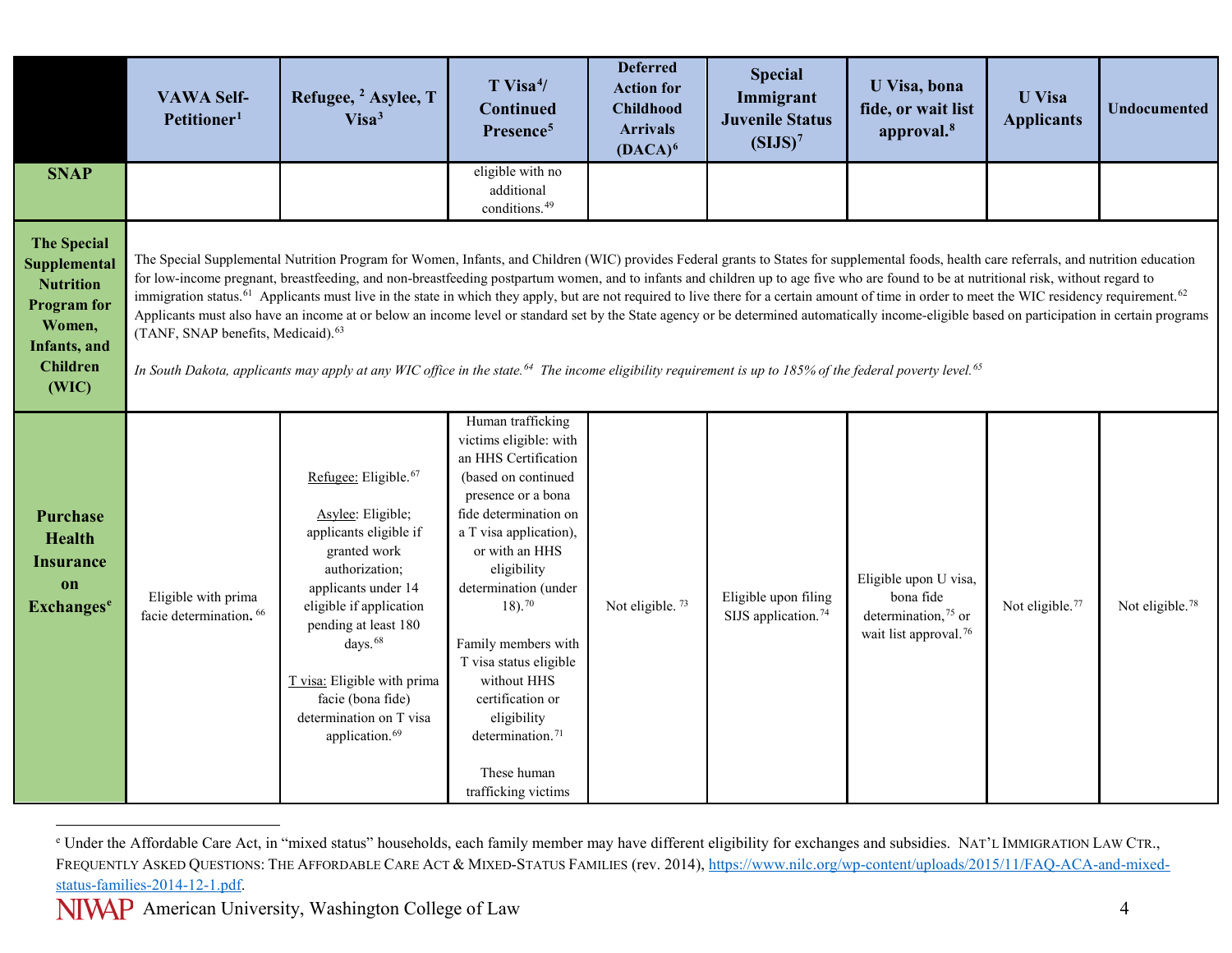<span id="page-3-0"></span>

|                                                                                                                                            | <b>VAWA Self-</b><br>Petitioner <sup>1</sup>              | Refugee, <sup>2</sup> Asylee, T<br>Visa <sup>3</sup>                                                                                                                                                                                                                                                                                                                                                                                                                                                                                                                                                                                                                                                                                                                                                                                                                                                                                                                                               | $T$ Visa <sup>4</sup> /<br><b>Continued</b><br>Presence <sup>5</sup>                                                                                                                                                                                                                                                                                                                                                           | <b>Deferred</b><br><b>Action for</b><br><b>Childhood</b><br><b>Arrivals</b><br>$(DACA)^6$ | <b>Special</b><br>Immigrant<br><b>Juvenile Status</b><br>(SIJS) <sup>7</sup> | U Visa, bona<br>fide, or wait list<br>approval. <sup>8</sup>                                               | <b>U</b> Visa<br><b>Applicants</b> | <b>Undocumented</b>         |
|--------------------------------------------------------------------------------------------------------------------------------------------|-----------------------------------------------------------|----------------------------------------------------------------------------------------------------------------------------------------------------------------------------------------------------------------------------------------------------------------------------------------------------------------------------------------------------------------------------------------------------------------------------------------------------------------------------------------------------------------------------------------------------------------------------------------------------------------------------------------------------------------------------------------------------------------------------------------------------------------------------------------------------------------------------------------------------------------------------------------------------------------------------------------------------------------------------------------------------|--------------------------------------------------------------------------------------------------------------------------------------------------------------------------------------------------------------------------------------------------------------------------------------------------------------------------------------------------------------------------------------------------------------------------------|-------------------------------------------------------------------------------------------|------------------------------------------------------------------------------|------------------------------------------------------------------------------------------------------------|------------------------------------|-----------------------------|
| <b>SNAP</b>                                                                                                                                |                                                           |                                                                                                                                                                                                                                                                                                                                                                                                                                                                                                                                                                                                                                                                                                                                                                                                                                                                                                                                                                                                    | eligible with no<br>additional<br>conditions. <sup>49</sup>                                                                                                                                                                                                                                                                                                                                                                    |                                                                                           |                                                                              |                                                                                                            |                                    |                             |
| <b>The Special</b><br>Supplemental<br><b>Nutrition</b><br><b>Program</b> for<br>Women,<br><b>Infants</b> , and<br><b>Children</b><br>(WIC) | (TANF, SNAP benefits, Medicaid). <sup>63</sup>            | The Special Supplemental Nutrition Program for Women, Infants, and Children (WIC) provides Federal grants to States for supplemental foods, health care referrals, and nutrition education<br>for low-income pregnant, breastfeeding, and non-breastfeeding postpartum women, and to infants and children up to age five who are found to be at nutritional risk, without regard to<br>immigration status. <sup>61</sup> Applicants must live in the state in which they apply, but are not required to live there for a certain amount of time in order to meet the WIC residency requirement. <sup>62</sup><br>Applicants must also have an income at or below an income level or standard set by the State agency or be determined automatically income-eligible based on participation in certain programs<br>In South Dakota, applicants may apply at any WIC office in the state. <sup>64</sup> The income eligibility requirement is up to 185% of the federal poverty level. <sup>65</sup> |                                                                                                                                                                                                                                                                                                                                                                                                                                |                                                                                           |                                                                              |                                                                                                            |                                    |                             |
| Purchase<br><b>Health</b><br><b>Insurance</b><br>on<br><b>Exchanges</b> <sup>e</sup>                                                       | Eligible with prima<br>facie determination. <sup>66</sup> | Refugee: Eligible. <sup>67</sup><br>Asylee: Eligible;<br>applicants eligible if<br>granted work<br>authorization;<br>applicants under 14<br>eligible if application<br>pending at least 180<br>days. <sup>68</sup><br>T visa: Eligible with prima<br>facie (bona fide)<br>determination on T visa<br>application. <sup>69</sup>                                                                                                                                                                                                                                                                                                                                                                                                                                                                                                                                                                                                                                                                    | Human trafficking<br>victims eligible: with<br>an HHS Certification<br>(based on continued<br>presence or a bona<br>fide determination on<br>a T visa application),<br>or with an HHS<br>eligibility<br>determination (under<br>$18)$ . <sup>70</sup><br>Family members with<br>T visa status eligible<br>without HHS<br>certification or<br>eligibility<br>determination. <sup>71</sup><br>These human<br>trafficking victims | Not eligible. <sup>73</sup>                                                               | Eligible upon filing<br>SIJS application. <sup>74</sup>                      | Eligible upon U visa,<br>bona fide<br>determination, <sup>75</sup> or<br>wait list approval. <sup>76</sup> | Not eligible. <sup>77</sup>        | Not eligible. <sup>78</sup> |

 $\overline{a}$ <sup>e</sup> Under the Affordable Care Act, in "mixed status" households, each family member may have different eligibility for exchanges and subsidies. NAT'L IMMIGRATION LAW CTR., FREQUENTLY ASKED QUESTIONS: THE AFFORDABLE CARE ACT & MIXED-STATUS FAMILIES (rev. 2014), [https://www.nilc.org/wp-content/uploads/2015/11/FAQ-ACA-and-mixed](https://www.nilc.org/wp-content/uploads/2015/11/FAQ-ACA-and-mixed-status-families-2014-12-1.pdf)[status-families-2014-12-1.pdf.](https://www.nilc.org/wp-content/uploads/2015/11/FAQ-ACA-and-mixed-status-families-2014-12-1.pdf)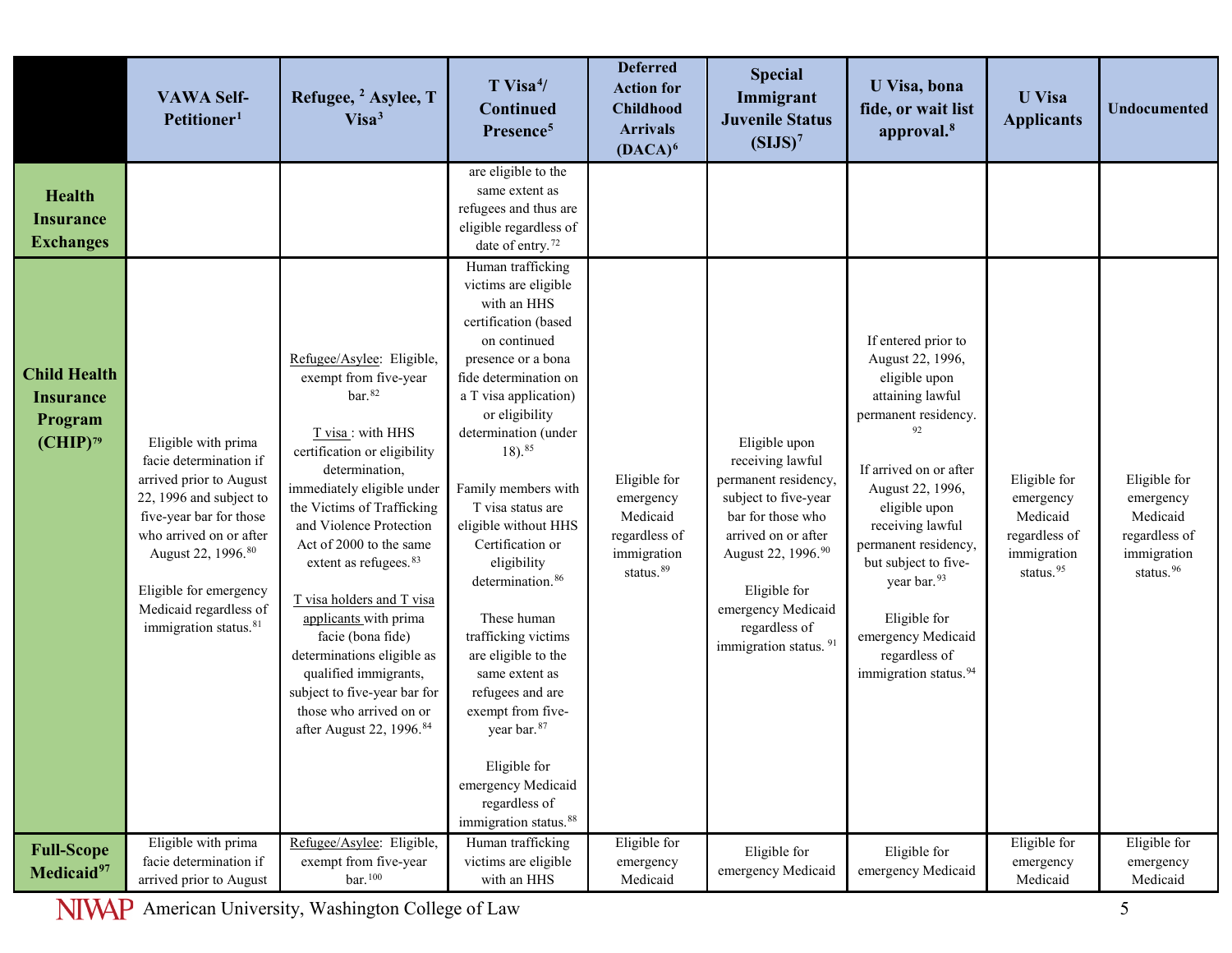|                                                                     | <b>VAWA Self-</b><br>Petitioner <sup>1</sup>                                                                                                                                                                                                                                         | Refugee, <sup>2</sup> Asylee, T<br>Visa <sup>3</sup>                                                                                                                                                                                                                                                                                                                                                                                                                                                                                          | $T$ Visa <sup>4</sup> /<br><b>Continued</b><br>Presence <sup>5</sup>                                                                                                                                                                                                                                                                                                                                                                                                                                                                                                                                                     | <b>Deferred</b><br><b>Action for</b><br><b>Childhood</b><br><b>Arrivals</b><br>$(DACA)^6$      | <b>Special</b><br>Immigrant<br><b>Juvenile Status</b><br>(SIJS) <sup>7</sup>                                                                                                                                                                    | U Visa, bona<br>fide, or wait list<br>approval. <sup>8</sup>                                                                                                                                                                                                                                                                                                   | <b>U</b> Visa<br><b>Applicants</b>                                                             | <b>Undocumented</b>                                                                            |
|---------------------------------------------------------------------|--------------------------------------------------------------------------------------------------------------------------------------------------------------------------------------------------------------------------------------------------------------------------------------|-----------------------------------------------------------------------------------------------------------------------------------------------------------------------------------------------------------------------------------------------------------------------------------------------------------------------------------------------------------------------------------------------------------------------------------------------------------------------------------------------------------------------------------------------|--------------------------------------------------------------------------------------------------------------------------------------------------------------------------------------------------------------------------------------------------------------------------------------------------------------------------------------------------------------------------------------------------------------------------------------------------------------------------------------------------------------------------------------------------------------------------------------------------------------------------|------------------------------------------------------------------------------------------------|-------------------------------------------------------------------------------------------------------------------------------------------------------------------------------------------------------------------------------------------------|----------------------------------------------------------------------------------------------------------------------------------------------------------------------------------------------------------------------------------------------------------------------------------------------------------------------------------------------------------------|------------------------------------------------------------------------------------------------|------------------------------------------------------------------------------------------------|
| <b>Health</b><br><b>Insurance</b><br><b>Exchanges</b>               |                                                                                                                                                                                                                                                                                      |                                                                                                                                                                                                                                                                                                                                                                                                                                                                                                                                               | are eligible to the<br>same extent as<br>refugees and thus are<br>eligible regardless of<br>date of entry. <sup>72</sup>                                                                                                                                                                                                                                                                                                                                                                                                                                                                                                 |                                                                                                |                                                                                                                                                                                                                                                 |                                                                                                                                                                                                                                                                                                                                                                |                                                                                                |                                                                                                |
| <b>Child Health</b><br><b>Insurance</b><br>Program<br>$(CHIP)^{79}$ | Eligible with prima<br>facie determination if<br>arrived prior to August<br>22, 1996 and subject to<br>five-year bar for those<br>who arrived on or after<br>August 22, 1996. <sup>80</sup><br>Eligible for emergency<br>Medicaid regardless of<br>immigration status. <sup>81</sup> | Refugee/Asylee: Eligible,<br>exempt from five-year<br>$bar.$ <sup>82</sup><br>T visa : with HHS<br>certification or eligibility<br>determination,<br>immediately eligible under<br>the Victims of Trafficking<br>and Violence Protection<br>Act of 2000 to the same<br>extent as refugees. <sup>83</sup><br>T visa holders and T visa<br>applicants with prima<br>facie (bona fide)<br>determinations eligible as<br>qualified immigrants,<br>subject to five-year bar for<br>those who arrived on or<br>after August 22, 1996. <sup>84</sup> | Human trafficking<br>victims are eligible<br>with an HHS<br>certification (based<br>on continued<br>presence or a bona<br>fide determination on<br>a T visa application)<br>or eligibility<br>determination (under<br>$18)$ . $85$<br>Family members with<br>T visa status are<br>eligible without HHS<br>Certification or<br>eligibility<br>determination. <sup>86</sup><br>These human<br>trafficking victims<br>are eligible to the<br>same extent as<br>refugees and are<br>exempt from five-<br>year bar. <sup>87</sup><br>Eligible for<br>emergency Medicaid<br>regardless of<br>immigration status. <sup>88</sup> | Eligible for<br>emergency<br>Medicaid<br>regardless of<br>immigration<br>status. <sup>89</sup> | Eligible upon<br>receiving lawful<br>permanent residency,<br>subject to five-year<br>bar for those who<br>arrived on or after<br>August 22, 1996.90<br>Eligible for<br>emergency Medicaid<br>regardless of<br>immigration status. <sup>91</sup> | If entered prior to<br>August 22, 1996,<br>eligible upon<br>attaining lawful<br>permanent residency.<br>If arrived on or after<br>August 22, 1996,<br>eligible upon<br>receiving lawful<br>permanent residency,<br>but subject to five-<br>year bar. <sup>93</sup><br>Eligible for<br>emergency Medicaid<br>regardless of<br>immigration status. <sup>94</sup> | Eligible for<br>emergency<br>Medicaid<br>regardless of<br>immigration<br>status. <sup>95</sup> | Eligible for<br>emergency<br>Medicaid<br>regardless of<br>immigration<br>status. <sup>96</sup> |
| <b>Full-Scope</b><br>Medicaid <sup>97</sup>                         | Eligible with prima<br>facie determination if<br>arrived prior to August                                                                                                                                                                                                             | Refugee/Asylee: Eligible,<br>exempt from five-year<br>$bar.$ <sup>100</sup>                                                                                                                                                                                                                                                                                                                                                                                                                                                                   | Human trafficking<br>victims are eligible<br>with an HHS                                                                                                                                                                                                                                                                                                                                                                                                                                                                                                                                                                 | Eligible for<br>emergency<br>Medicaid                                                          | Eligible for<br>emergency Medicaid                                                                                                                                                                                                              | Eligible for<br>emergency Medicaid                                                                                                                                                                                                                                                                                                                             | Eligible for<br>emergency<br>Medicaid                                                          | Eligible for<br>emergency<br>Medicaid                                                          |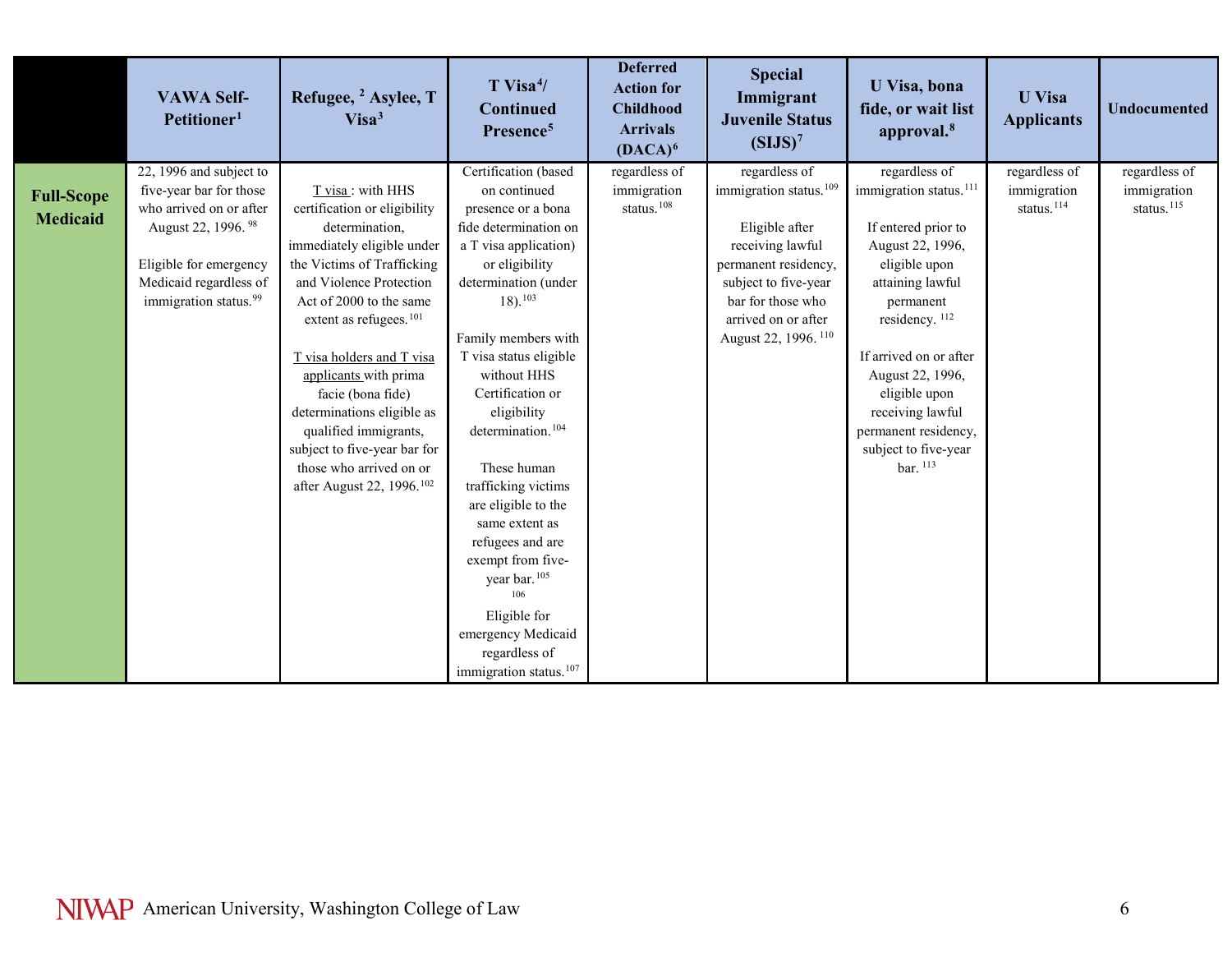|                                      | <b>VAWA Self-</b><br>Petitioner <sup>1</sup>                                                                                                                                                             | Refugee, <sup>2</sup> Asylee, T<br>Visa <sup>3</sup>                                                                                                                                                                                                                                                                                                                                                                                                             | T Visa <sup>4</sup> /<br><b>Continued</b><br>Presence <sup>5</sup>                                                                                                                                                                                                                                                                                                                                                                                                        | <b>Deferred</b><br><b>Action for</b><br><b>Childhood</b><br><b>Arrivals</b><br>$(DACA)^6$ | <b>Special</b><br>Immigrant<br><b>Juvenile Status</b><br>(SIJS) <sup>7</sup>                                                                                                                                             | U Visa, bona<br>fide, or wait list<br>approval. <sup>8</sup>                                                                                                                                                                                                                                                                 | <b>U</b> Visa<br><b>Applicants</b>                     | <b>Undocumented</b>                                    |
|--------------------------------------|----------------------------------------------------------------------------------------------------------------------------------------------------------------------------------------------------------|------------------------------------------------------------------------------------------------------------------------------------------------------------------------------------------------------------------------------------------------------------------------------------------------------------------------------------------------------------------------------------------------------------------------------------------------------------------|---------------------------------------------------------------------------------------------------------------------------------------------------------------------------------------------------------------------------------------------------------------------------------------------------------------------------------------------------------------------------------------------------------------------------------------------------------------------------|-------------------------------------------------------------------------------------------|--------------------------------------------------------------------------------------------------------------------------------------------------------------------------------------------------------------------------|------------------------------------------------------------------------------------------------------------------------------------------------------------------------------------------------------------------------------------------------------------------------------------------------------------------------------|--------------------------------------------------------|--------------------------------------------------------|
| <b>Full-Scope</b><br><b>Medicaid</b> | 22, 1996 and subject to<br>five-year bar for those<br>who arrived on or after<br>August 22, 1996. <sup>98</sup><br>Eligible for emergency<br>Medicaid regardless of<br>immigration status. <sup>99</sup> | T visa: with HHS<br>certification or eligibility<br>determination,<br>immediately eligible under<br>the Victims of Trafficking<br>and Violence Protection<br>Act of 2000 to the same<br>extent as refugees. <sup>101</sup><br>T visa holders and T visa<br>applicants with prima<br>facie (bona fide)<br>determinations eligible as<br>qualified immigrants,<br>subject to five-year bar for<br>those who arrived on or<br>after August 22, 1996. <sup>102</sup> | Certification (based<br>on continued<br>presence or a bona<br>fide determination on<br>a T visa application)<br>or eligibility<br>determination (under<br>$18)$ , $^{103}$<br>Family members with<br>T visa status eligible<br>without HHS<br>Certification or<br>eligibility<br>determination. <sup>104</sup><br>These human<br>trafficking victims<br>are eligible to the<br>same extent as<br>refugees and are<br>exempt from five-<br>year bar. <sup>105</sup><br>106 | regardless of<br>immigration<br>status. <sup>108</sup>                                    | regardless of<br>immigration status. <sup>109</sup><br>Eligible after<br>receiving lawful<br>permanent residency,<br>subject to five-year<br>bar for those who<br>arrived on or after<br>August 22, 1996. <sup>110</sup> | regardless of<br>immigration status. <sup>111</sup><br>If entered prior to<br>August 22, 1996,<br>eligible upon<br>attaining lawful<br>permanent<br>residency. <sup>112</sup><br>If arrived on or after<br>August 22, 1996,<br>eligible upon<br>receiving lawful<br>permanent residency,<br>subject to five-year<br>bar. 113 | regardless of<br>immigration<br>status. <sup>114</sup> | regardless of<br>immigration<br>status. <sup>115</sup> |
|                                      |                                                                                                                                                                                                          |                                                                                                                                                                                                                                                                                                                                                                                                                                                                  | Eligible for<br>emergency Medicaid<br>regardless of<br>immigration status. <sup>107</sup>                                                                                                                                                                                                                                                                                                                                                                                 |                                                                                           |                                                                                                                                                                                                                          |                                                                                                                                                                                                                                                                                                                              |                                                        |                                                        |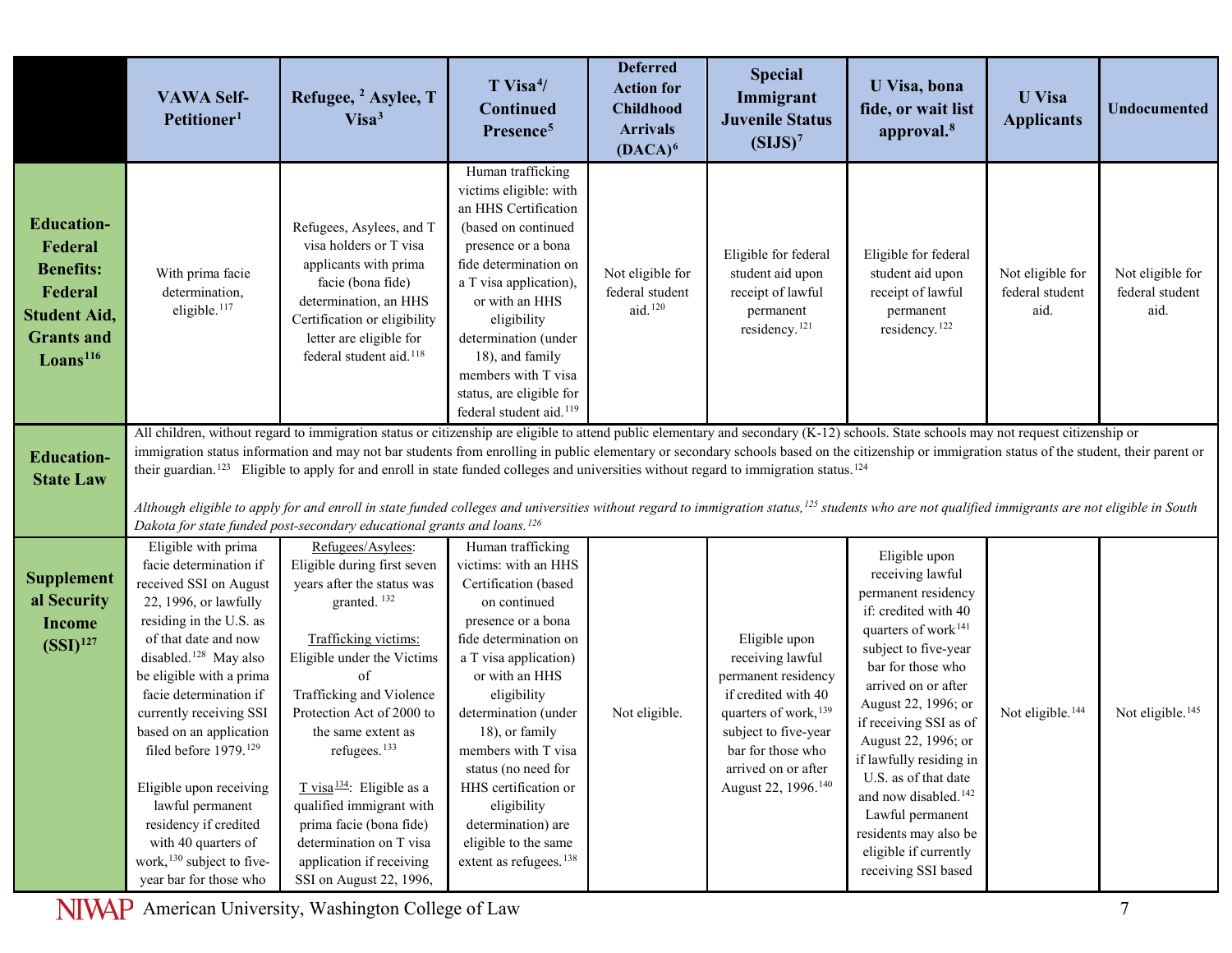|                                                                                                                                 | <b>VAWA Self-</b><br>Petitioner <sup>1</sup>                                                                                                                                                                                                                                                                                                                                                                                                                                                                | Refugee, <sup>2</sup> Asylee, T<br>Visa <sup>3</sup>                                                                                                                                                                                                                                                                                                                                                                                                                         | $T$ Visa <sup>4</sup> /<br><b>Continued</b><br>Presence <sup>5</sup>                                                                                                                                                                                                                                                                                                                                          | <b>Deferred</b><br><b>Action for</b><br><b>Childhood</b><br><b>Arrivals</b><br>$(DACA)^6$ | <b>Special</b><br>Immigrant<br><b>Juvenile Status</b><br>(SIJS) <sup>7</sup>                                                                                                                                    | U Visa, bona<br>fide, or wait list<br>approval. <sup>8</sup>                                                                                                                                                                                                                                                                                                                                                                                        | <b>U</b> Visa<br><b>Applicants</b>          | <b>Undocumented</b>                         |
|---------------------------------------------------------------------------------------------------------------------------------|-------------------------------------------------------------------------------------------------------------------------------------------------------------------------------------------------------------------------------------------------------------------------------------------------------------------------------------------------------------------------------------------------------------------------------------------------------------------------------------------------------------|------------------------------------------------------------------------------------------------------------------------------------------------------------------------------------------------------------------------------------------------------------------------------------------------------------------------------------------------------------------------------------------------------------------------------------------------------------------------------|---------------------------------------------------------------------------------------------------------------------------------------------------------------------------------------------------------------------------------------------------------------------------------------------------------------------------------------------------------------------------------------------------------------|-------------------------------------------------------------------------------------------|-----------------------------------------------------------------------------------------------------------------------------------------------------------------------------------------------------------------|-----------------------------------------------------------------------------------------------------------------------------------------------------------------------------------------------------------------------------------------------------------------------------------------------------------------------------------------------------------------------------------------------------------------------------------------------------|---------------------------------------------|---------------------------------------------|
| <b>Education-</b><br>Federal<br><b>Benefits:</b><br>Federal<br><b>Student Aid,</b><br><b>Grants and</b><br>$\text{Loans}^{116}$ | With prima facie<br>determination,<br>eligible. <sup>117</sup>                                                                                                                                                                                                                                                                                                                                                                                                                                              | Refugees, Asylees, and T<br>visa holders or T visa<br>applicants with prima<br>facie (bona fide)<br>determination, an HHS<br>Certification or eligibility<br>letter are eligible for<br>federal student aid. <sup>118</sup>                                                                                                                                                                                                                                                  | Human trafficking<br>victims eligible: with<br>an HHS Certification<br>(based on continued<br>presence or a bona<br>fide determination on<br>a T visa application),<br>or with an HHS<br>eligibility<br>determination (under<br>18), and family<br>members with T visa<br>status, are eligible for<br>federal student aid. <sup>119</sup>                                                                     | Not eligible for<br>federal student<br>aid. <sup>120</sup>                                | Eligible for federal<br>student aid upon<br>receipt of lawful<br>permanent<br>residency. <sup>121</sup>                                                                                                         | Eligible for federal<br>student aid upon<br>receipt of lawful<br>permanent<br>residency. <sup>122</sup>                                                                                                                                                                                                                                                                                                                                             | Not eligible for<br>federal student<br>aid. | Not eligible for<br>federal student<br>aid. |
|                                                                                                                                 |                                                                                                                                                                                                                                                                                                                                                                                                                                                                                                             | All children, without regard to immigration status or citizenship are eligible to attend public elementary and secondary (K-12) schools. State schools may not request citizenship or                                                                                                                                                                                                                                                                                        |                                                                                                                                                                                                                                                                                                                                                                                                               |                                                                                           |                                                                                                                                                                                                                 |                                                                                                                                                                                                                                                                                                                                                                                                                                                     |                                             |                                             |
| <b>Education-</b><br><b>State Law</b>                                                                                           | immigration status information and may not bar students from enrolling in public elementary or secondary schools based on the citizenship or immigration status of the student, their parent or<br>their guardian. <sup>123</sup> Eligible to apply for and enroll in state funded colleges and universities without regard to immigration status. <sup>124</sup>                                                                                                                                           |                                                                                                                                                                                                                                                                                                                                                                                                                                                                              |                                                                                                                                                                                                                                                                                                                                                                                                               |                                                                                           |                                                                                                                                                                                                                 |                                                                                                                                                                                                                                                                                                                                                                                                                                                     |                                             |                                             |
|                                                                                                                                 |                                                                                                                                                                                                                                                                                                                                                                                                                                                                                                             |                                                                                                                                                                                                                                                                                                                                                                                                                                                                              |                                                                                                                                                                                                                                                                                                                                                                                                               |                                                                                           |                                                                                                                                                                                                                 |                                                                                                                                                                                                                                                                                                                                                                                                                                                     |                                             |                                             |
|                                                                                                                                 |                                                                                                                                                                                                                                                                                                                                                                                                                                                                                                             | Although eligible to apply for and enroll in state funded colleges and universities without regard to immigration status, <sup>125</sup> students who are not qualified immigrants are not eligible in South<br>Dakota for state funded post-secondary educational grants and loans. <sup>126</sup>                                                                                                                                                                          |                                                                                                                                                                                                                                                                                                                                                                                                               |                                                                                           |                                                                                                                                                                                                                 |                                                                                                                                                                                                                                                                                                                                                                                                                                                     |                                             |                                             |
| <b>Supplement</b><br>al Security<br><b>Income</b><br>$(SSI)$ <sup>127</sup>                                                     | Eligible with prima<br>facie determination if<br>received SSI on August<br>22, 1996, or lawfully<br>residing in the U.S. as<br>of that date and now<br>disabled. <sup>128</sup> May also<br>be eligible with a prima<br>facie determination if<br>currently receiving SSI<br>based on an application<br>filed before 1979. <sup>129</sup><br>Eligible upon receiving<br>lawful permanent<br>residency if credited<br>with 40 quarters of<br>work, <sup>130</sup> subject to five-<br>year bar for those who | Refugees/Asylees:<br>Eligible during first seven<br>years after the status was<br>granted. <sup>132</sup><br>Trafficking victims:<br>Eligible under the Victims<br>$\alpha$ f<br>Trafficking and Violence<br>Protection Act of 2000 to<br>the same extent as<br>refugees. <sup>133</sup><br>$T$ visa <sup>134</sup> : Eligible as a<br>qualified immigrant with<br>prima facie (bona fide)<br>determination on T visa<br>application if receiving<br>SSI on August 22, 1996, | Human trafficking<br>victims: with an HHS<br>Certification (based<br>on continued<br>presence or a bona<br>fide determination on<br>a T visa application)<br>or with an HHS<br>eligibility<br>determination (under<br>18), or family<br>members with T visa<br>status (no need for<br>HHS certification or<br>eligibility<br>determination) are<br>eligible to the same<br>extent as refugees. <sup>138</sup> | Not eligible.                                                                             | Eligible upon<br>receiving lawful<br>permanent residency<br>if credited with 40<br>quarters of work, 139<br>subject to five-year<br>bar for those who<br>arrived on or after<br>August 22, 1996. <sup>140</sup> | Eligible upon<br>receiving lawful<br>permanent residency<br>if: credited with 40<br>quarters of work <sup>141</sup><br>subject to five-year<br>bar for those who<br>arrived on or after<br>August 22, 1996; or<br>if receiving SSI as of<br>August 22, 1996; or<br>if lawfully residing in<br>U.S. as of that date<br>and now disabled. <sup>142</sup><br>Lawful permanent<br>residents may also be<br>eligible if currently<br>receiving SSI based | Not eligible. <sup>144</sup>                | Not eligible. <sup>145</sup>                |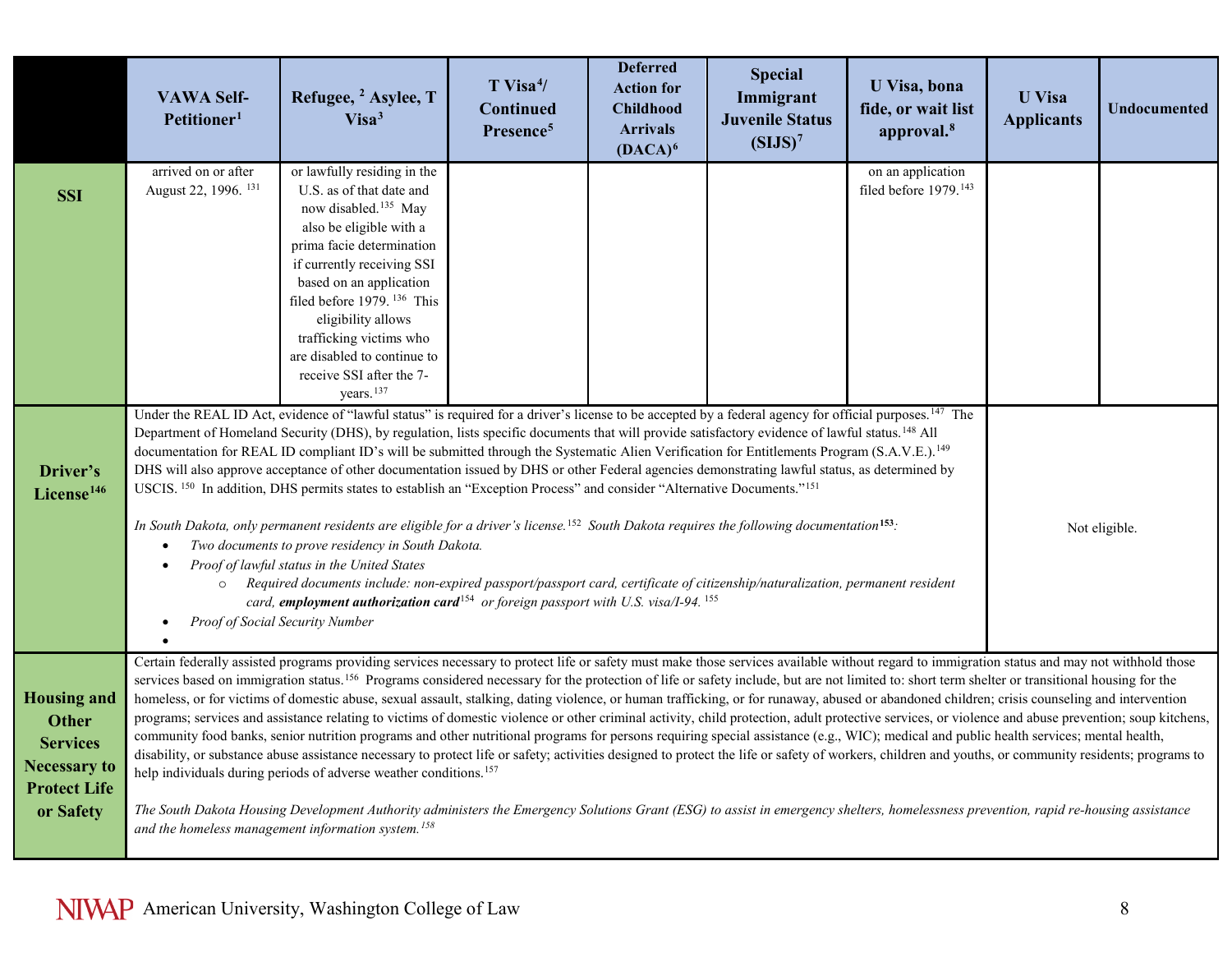|                                                                                                                  | <b>VAWA Self-</b><br>Petitioner <sup>1</sup>                                                                                                                                                                                                                                                                                                                                                                                                                                                                                                                                                                                                                                                                                                                                                                                                                                                                                                                                                                                                                                                                                                                                                                                                                                                                                                                                                                    | Refugee, <sup>2</sup> Asylee, T<br>Visa <sup>3</sup>                                                                                                                                                                                                                                                                                                                                                                                                                                                                                                                                                                                                                                                                                                                                                                                                                                                                                                                                                                                                                                                                                                                                                                                                                                                                                                                                                                                                                                                                                                                 | T Visa <sup>4</sup> /<br>Continued<br>Presence <sup>5</sup> | <b>Deferred</b><br><b>Action for</b><br><b>Childhood</b><br><b>Arrivals</b><br>$(DACA)^6$ | <b>Special</b><br>Immigrant<br><b>Juvenile Status</b><br>(SIJS) <sup>7</sup> | U Visa, bona<br>fide, or wait list<br>approval. <sup>8</sup> | <b>U</b> Visa<br><b>Applicants</b> | Undocumented |
|------------------------------------------------------------------------------------------------------------------|-----------------------------------------------------------------------------------------------------------------------------------------------------------------------------------------------------------------------------------------------------------------------------------------------------------------------------------------------------------------------------------------------------------------------------------------------------------------------------------------------------------------------------------------------------------------------------------------------------------------------------------------------------------------------------------------------------------------------------------------------------------------------------------------------------------------------------------------------------------------------------------------------------------------------------------------------------------------------------------------------------------------------------------------------------------------------------------------------------------------------------------------------------------------------------------------------------------------------------------------------------------------------------------------------------------------------------------------------------------------------------------------------------------------|----------------------------------------------------------------------------------------------------------------------------------------------------------------------------------------------------------------------------------------------------------------------------------------------------------------------------------------------------------------------------------------------------------------------------------------------------------------------------------------------------------------------------------------------------------------------------------------------------------------------------------------------------------------------------------------------------------------------------------------------------------------------------------------------------------------------------------------------------------------------------------------------------------------------------------------------------------------------------------------------------------------------------------------------------------------------------------------------------------------------------------------------------------------------------------------------------------------------------------------------------------------------------------------------------------------------------------------------------------------------------------------------------------------------------------------------------------------------------------------------------------------------------------------------------------------------|-------------------------------------------------------------|-------------------------------------------------------------------------------------------|------------------------------------------------------------------------------|--------------------------------------------------------------|------------------------------------|--------------|
| <b>SSI</b>                                                                                                       | arrived on or after<br>August 22, 1996. <sup>131</sup>                                                                                                                                                                                                                                                                                                                                                                                                                                                                                                                                                                                                                                                                                                                                                                                                                                                                                                                                                                                                                                                                                                                                                                                                                                                                                                                                                          | or lawfully residing in the<br>U.S. as of that date and<br>now disabled. <sup>135</sup> May<br>also be eligible with a<br>prima facie determination<br>if currently receiving SSI<br>based on an application<br>filed before 1979. <sup>136</sup> This<br>eligibility allows<br>trafficking victims who<br>are disabled to continue to<br>receive SSI after the 7-                                                                                                                                                                                                                                                                                                                                                                                                                                                                                                                                                                                                                                                                                                                                                                                                                                                                                                                                                                                                                                                                                                                                                                                                   |                                                             |                                                                                           |                                                                              | on an application<br>filed before 1979. <sup>143</sup>       |                                    |              |
| Driver's<br>License <sup>146</sup>                                                                               | years. <sup>137</sup><br>Under the REAL ID Act, evidence of "lawful status" is required for a driver's license to be accepted by a federal agency for official purposes. <sup>147</sup> The<br>Department of Homeland Security (DHS), by regulation, lists specific documents that will provide satisfactory evidence of lawful status. <sup>148</sup> All<br>documentation for REAL ID compliant ID's will be submitted through the Systematic Alien Verification for Entitlements Program (S.A.V.E.). <sup>149</sup><br>DHS will also approve acceptance of other documentation issued by DHS or other Federal agencies demonstrating lawful status, as determined by<br>USCIS. <sup>150</sup> In addition, DHS permits states to establish an "Exception Process" and consider "Alternative Documents." <sup>151</sup><br>In South Dakota, only permanent residents are eligible for a driver's license. <sup>152</sup> South Dakota requires the following documentation <sup>153</sup> .<br>Not eligible.<br>Two documents to prove residency in South Dakota.<br>Proof of lawful status in the United States<br>Required documents include: non-expired passport/passport card, certificate of citizenship/naturalization, permanent resident<br>$\circ$<br>card, employment authorization card <sup>154</sup> or foreign passport with U.S. visa/I-94. <sup>155</sup><br>Proof of Social Security Number |                                                                                                                                                                                                                                                                                                                                                                                                                                                                                                                                                                                                                                                                                                                                                                                                                                                                                                                                                                                                                                                                                                                                                                                                                                                                                                                                                                                                                                                                                                                                                                      |                                                             |                                                                                           |                                                                              |                                                              |                                    |              |
| <b>Housing and</b><br><b>Other</b><br><b>Services</b><br><b>Necessary to</b><br><b>Protect Life</b><br>or Safety |                                                                                                                                                                                                                                                                                                                                                                                                                                                                                                                                                                                                                                                                                                                                                                                                                                                                                                                                                                                                                                                                                                                                                                                                                                                                                                                                                                                                                 | Certain federally assisted programs providing services necessary to protect life or safety must make those services available without regard to immigration status and may not withhold those<br>services based on immigration status. <sup>156</sup> Programs considered necessary for the protection of life or safety include, but are not limited to: short term shelter or transitional housing for the<br>homeless, or for victims of domestic abuse, sexual assault, stalking, dating violence, or human trafficking, or for runaway, abused or abandoned children; crisis counseling and intervention<br>programs; services and assistance relating to victims of domestic violence or other criminal activity, child protection, adult protective services, or violence and abuse prevention; soup kitchens,<br>community food banks, senior nutrition programs and other nutritional programs for persons requiring special assistance (e.g., WIC); medical and public health services; mental health,<br>disability, or substance abuse assistance necessary to protect life or safety; activities designed to protect the life or safety of workers, children and youths, or community residents; programs to<br>help individuals during periods of adverse weather conditions. <sup>157</sup><br>The South Dakota Housing Development Authority administers the Emergency Solutions Grant (ESG) to assist in emergency shelters, homelessness prevention, rapid re-housing assistance<br>and the homeless management information system. <sup>158</sup> |                                                             |                                                                                           |                                                                              |                                                              |                                    |              |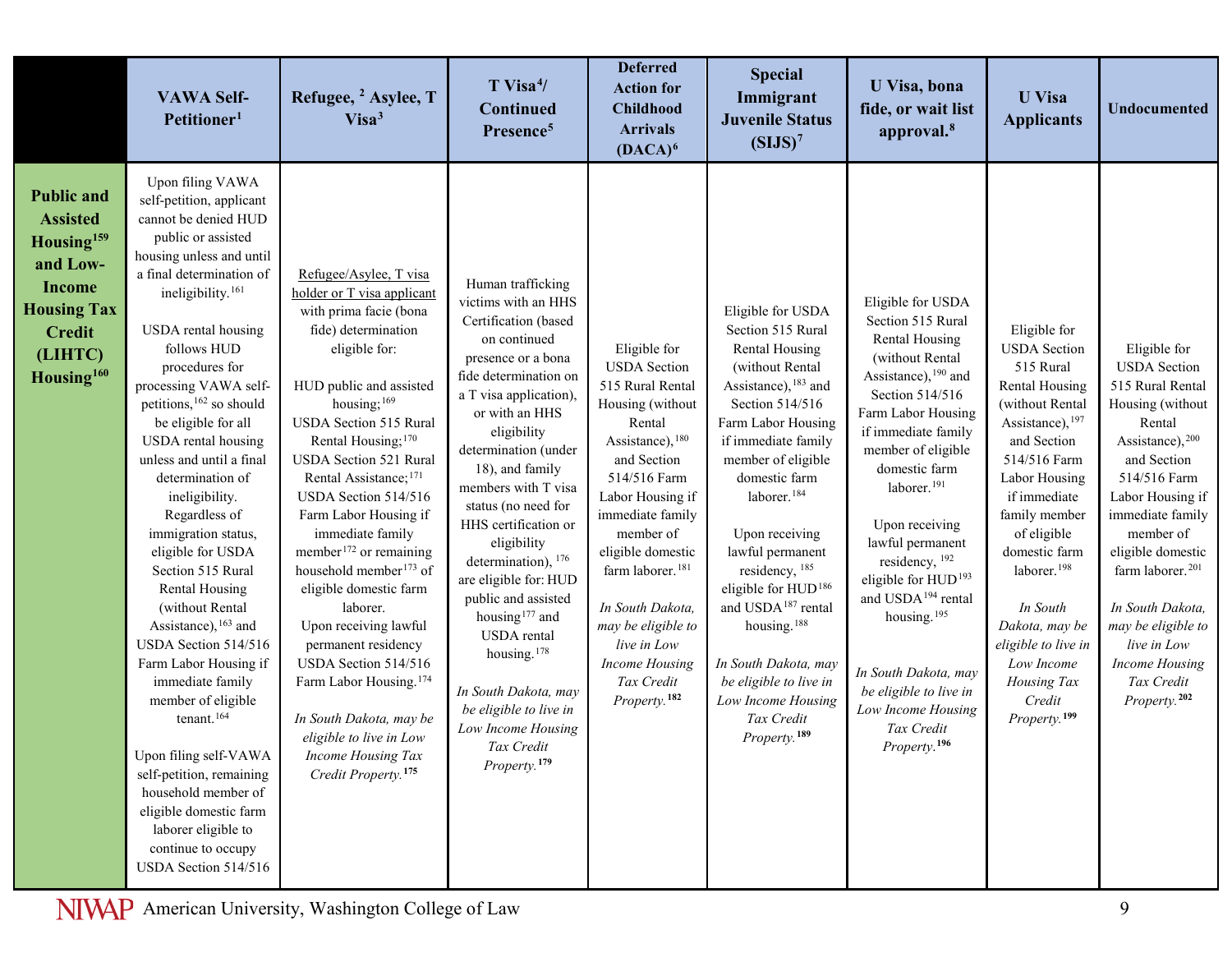|                                                                                                                                                                         | <b>VAWA Self-</b><br>Petitioner <sup>1</sup>                                                                                                                                                                                                                                                                                                                                                                                                                                                                                                                                                                                                                                                                                                                                                                                                                               | Refugee, <sup>2</sup> Asylee, T<br>Visa <sup>3</sup>                                                                                                                                                                                                                                                                                                                                                                                                                                                                                                                                                                                                                                                                        | $T$ Visa <sup>4</sup> /<br>Continued<br>Presence <sup>5</sup>                                                                                                                                                                                                                                                                                                                                                                                                                                                                                                                               | <b>Deferred</b><br><b>Action for</b><br><b>Childhood</b><br><b>Arrivals</b><br>$(DACA)^6$                                                                                                                                                                                                                                                                                      | <b>Special</b><br>Immigrant<br><b>Juvenile Status</b><br>(SIJS) <sup>7</sup>                                                                                                                                                                                                                                                                                                                                                                                                                                    | U Visa, bona<br>fide, or wait list<br>approval. <sup>8</sup>                                                                                                                                                                                                                                                                                                                                                                                                                                                    | <b>U</b> Visa<br><b>Applicants</b>                                                                                                                                                                                                                                                                                                                                            | <b>Undocumented</b>                                                                                                                                                                                                                                                                                                                                                            |
|-------------------------------------------------------------------------------------------------------------------------------------------------------------------------|----------------------------------------------------------------------------------------------------------------------------------------------------------------------------------------------------------------------------------------------------------------------------------------------------------------------------------------------------------------------------------------------------------------------------------------------------------------------------------------------------------------------------------------------------------------------------------------------------------------------------------------------------------------------------------------------------------------------------------------------------------------------------------------------------------------------------------------------------------------------------|-----------------------------------------------------------------------------------------------------------------------------------------------------------------------------------------------------------------------------------------------------------------------------------------------------------------------------------------------------------------------------------------------------------------------------------------------------------------------------------------------------------------------------------------------------------------------------------------------------------------------------------------------------------------------------------------------------------------------------|---------------------------------------------------------------------------------------------------------------------------------------------------------------------------------------------------------------------------------------------------------------------------------------------------------------------------------------------------------------------------------------------------------------------------------------------------------------------------------------------------------------------------------------------------------------------------------------------|--------------------------------------------------------------------------------------------------------------------------------------------------------------------------------------------------------------------------------------------------------------------------------------------------------------------------------------------------------------------------------|-----------------------------------------------------------------------------------------------------------------------------------------------------------------------------------------------------------------------------------------------------------------------------------------------------------------------------------------------------------------------------------------------------------------------------------------------------------------------------------------------------------------|-----------------------------------------------------------------------------------------------------------------------------------------------------------------------------------------------------------------------------------------------------------------------------------------------------------------------------------------------------------------------------------------------------------------------------------------------------------------------------------------------------------------|-------------------------------------------------------------------------------------------------------------------------------------------------------------------------------------------------------------------------------------------------------------------------------------------------------------------------------------------------------------------------------|--------------------------------------------------------------------------------------------------------------------------------------------------------------------------------------------------------------------------------------------------------------------------------------------------------------------------------------------------------------------------------|
| <b>Public and</b><br><b>Assisted</b><br>Housing <sup>159</sup><br>and Low-<br><b>Income</b><br><b>Housing Tax</b><br><b>Credit</b><br>(LIHTC)<br>Housing <sup>160</sup> | Upon filing VAWA<br>self-petition, applicant<br>cannot be denied HUD<br>public or assisted<br>housing unless and until<br>a final determination of<br>ineligibility. <sup>161</sup><br>USDA rental housing<br>follows HUD<br>procedures for<br>processing VAWA self-<br>petitions, <sup>162</sup> so should<br>be eligible for all<br>USDA rental housing<br>unless and until a final<br>determination of<br>ineligibility.<br>Regardless of<br>immigration status,<br>eligible for USDA<br>Section 515 Rural<br>Rental Housing<br>(without Rental<br>Assistance), 163 and<br>USDA Section 514/516<br>Farm Labor Housing if<br>immediate family<br>member of eligible<br>tenant. <sup>164</sup><br>Upon filing self-VAWA<br>self-petition, remaining<br>household member of<br>eligible domestic farm<br>laborer eligible to<br>continue to occupy<br>USDA Section 514/516 | Refugee/Asylee, T visa<br>holder or T visa applicant<br>with prima facie (bona<br>fide) determination<br>eligible for:<br>HUD public and assisted<br>housing; <sup>169</sup><br>USDA Section 515 Rural<br>Rental Housing; <sup>170</sup><br>USDA Section 521 Rural<br>Rental Assistance; <sup>171</sup><br>USDA Section 514/516<br>Farm Labor Housing if<br>immediate family<br>member <sup>172</sup> or remaining<br>household member <sup>173</sup> of<br>eligible domestic farm<br>laborer.<br>Upon receiving lawful<br>permanent residency<br>USDA Section 514/516<br>Farm Labor Housing. <sup>174</sup><br>In South Dakota, may be<br>eligible to live in Low<br>Income Housing Tax<br>Credit Property. <sup>175</sup> | Human trafficking<br>victims with an HHS<br>Certification (based<br>on continued<br>presence or a bona<br>fide determination on<br>a T visa application),<br>or with an HHS<br>eligibility<br>determination (under<br>18), and family<br>members with T visa<br>status (no need for<br>HHS certification or<br>eligibility<br>determination), 176<br>are eligible for: HUD<br>public and assisted<br>housing <sup>177</sup> and<br>USDA rental<br>housing. <sup>178</sup><br>In South Dakota, may<br>be eligible to live in<br>Low Income Housing<br>Tax Credit<br>Property. <sup>179</sup> | Eligible for<br><b>USDA</b> Section<br>515 Rural Rental<br>Housing (without<br>Rental<br>Assistance), 180<br>and Section<br>514/516 Farm<br>Labor Housing if<br>immediate family<br>member of<br>eligible domestic<br>farm laborer. <sup>181</sup><br>In South Dakota,<br>may be eligible to<br>live in Low<br><b>Income Housing</b><br>Tax Credit<br>Property. <sup>182</sup> | Eligible for USDA<br>Section 515 Rural<br>Rental Housing<br>(without Rental<br>Assistance), 183 and<br>Section 514/516<br>Farm Labor Housing<br>if immediate family<br>member of eligible<br>domestic farm<br>laborer. <sup>184</sup><br>Upon receiving<br>lawful permanent<br>residency, 185<br>eligible for HUD <sup>186</sup><br>and USDA <sup>187</sup> rental<br>housing. <sup>188</sup><br>In South Dakota, may<br>be eligible to live in<br>Low Income Housing<br>Tax Credit<br>Property. <sup>189</sup> | Eligible for USDA<br>Section 515 Rural<br>Rental Housing<br>(without Rental<br>Assistance), 190 and<br>Section 514/516<br>Farm Labor Housing<br>if immediate family<br>member of eligible<br>domestic farm<br>laborer. <sup>191</sup><br>Upon receiving<br>lawful permanent<br>residency, 192<br>eligible for HUD <sup>193</sup><br>and USDA <sup>194</sup> rental<br>housing. <sup>195</sup><br>In South Dakota, may<br>be eligible to live in<br>Low Income Housing<br>Tax Credit<br>Property. <sup>196</sup> | Eligible for<br><b>USDA</b> Section<br>515 Rural<br>Rental Housing<br>(without Rental<br>Assistance), 197<br>and Section<br>514/516 Farm<br>Labor Housing<br>if immediate<br>family member<br>of eligible<br>domestic farm<br>laborer. <sup>198</sup><br>In South<br>Dakota, may be<br>eligible to live in<br>Low Income<br>Housing Tax<br>Credit<br>Property. <sup>199</sup> | Eligible for<br><b>USDA</b> Section<br>515 Rural Rental<br>Housing (without<br>Rental<br>Assistance), 200<br>and Section<br>514/516 Farm<br>Labor Housing if<br>immediate family<br>member of<br>eligible domestic<br>farm laborer. <sup>201</sup><br>In South Dakota,<br>may be eligible to<br>live in Low<br><b>Income Housing</b><br>Tax Credit<br>Property. <sup>202</sup> |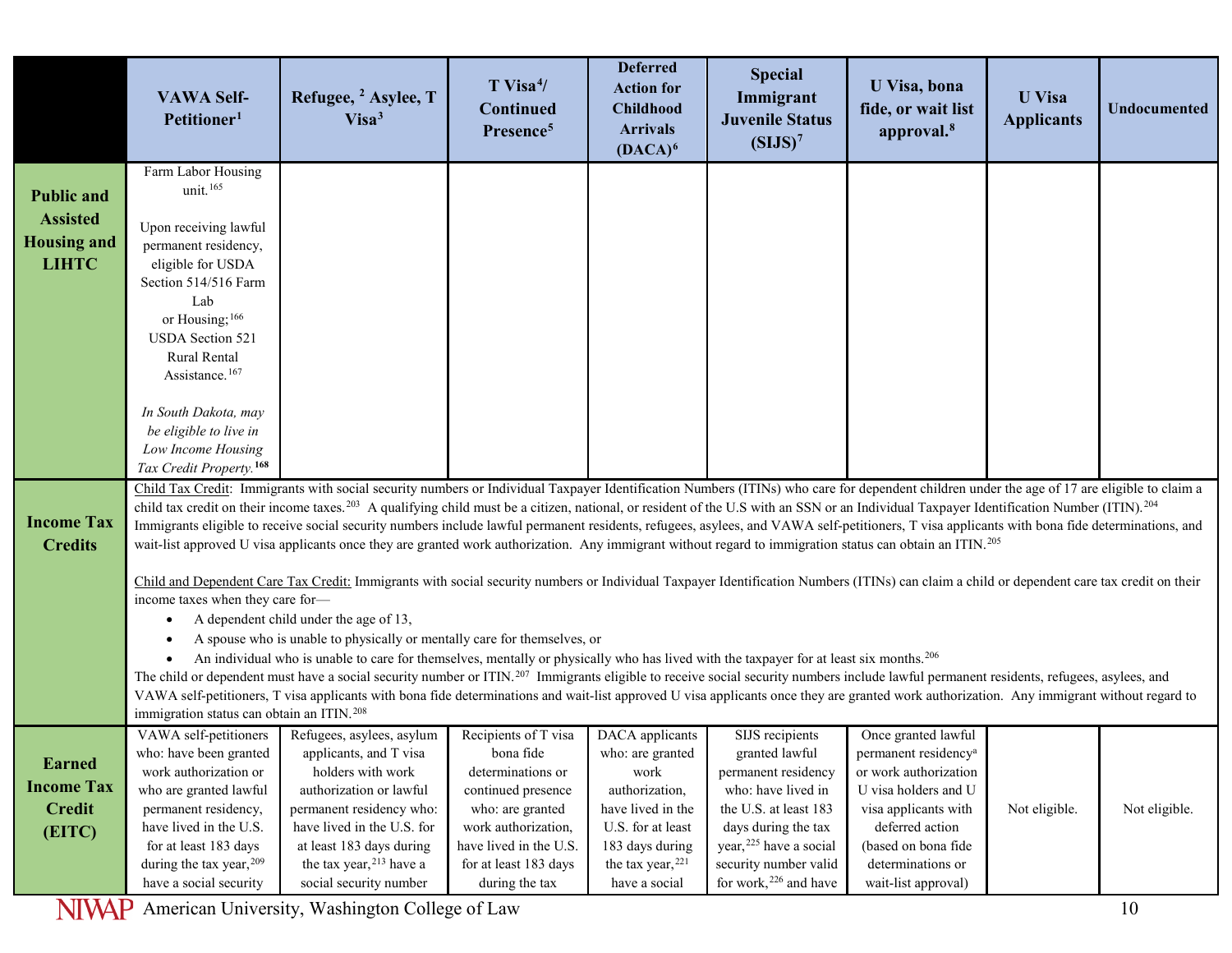|                                                                            | <b>VAWA Self-</b><br>Petitioner <sup>1</sup>                                                                                                                                                                                                                                                                                                                   | Refugee, <sup>2</sup> Asylee, T<br>Visa <sup>3</sup>                                                                                                                                                                                                                                                                                                                                                                                                                                                                                                                                                                                                                                                                                                                                                                                                                                                                                                                                                                                                                                                                                                                                                                                                                                                                                                                                                                                                                                                                                                                                                                                                                   | $T$ Visa <sup>4</sup> /<br><b>Continued</b><br>Presence <sup>5</sup>                                                                                                                         | <b>Deferred</b><br><b>Action for</b><br><b>Childhood</b><br><b>Arrivals</b><br>$(DACA)^6$                                                                        | <b>Special</b><br>Immigrant<br><b>Juvenile Status</b><br>(SIJS) <sup>7</sup>                                                                                                                                                       | U Visa, bona<br>fide, or wait list<br>approval. <sup>8</sup>                                                                                                                                                           | <b>U</b> Visa<br><b>Applicants</b> | <b>Undocumented</b> |
|----------------------------------------------------------------------------|----------------------------------------------------------------------------------------------------------------------------------------------------------------------------------------------------------------------------------------------------------------------------------------------------------------------------------------------------------------|------------------------------------------------------------------------------------------------------------------------------------------------------------------------------------------------------------------------------------------------------------------------------------------------------------------------------------------------------------------------------------------------------------------------------------------------------------------------------------------------------------------------------------------------------------------------------------------------------------------------------------------------------------------------------------------------------------------------------------------------------------------------------------------------------------------------------------------------------------------------------------------------------------------------------------------------------------------------------------------------------------------------------------------------------------------------------------------------------------------------------------------------------------------------------------------------------------------------------------------------------------------------------------------------------------------------------------------------------------------------------------------------------------------------------------------------------------------------------------------------------------------------------------------------------------------------------------------------------------------------------------------------------------------------|----------------------------------------------------------------------------------------------------------------------------------------------------------------------------------------------|------------------------------------------------------------------------------------------------------------------------------------------------------------------|------------------------------------------------------------------------------------------------------------------------------------------------------------------------------------------------------------------------------------|------------------------------------------------------------------------------------------------------------------------------------------------------------------------------------------------------------------------|------------------------------------|---------------------|
| <b>Public and</b><br><b>Assisted</b><br><b>Housing and</b><br><b>LIHTC</b> | Farm Labor Housing<br>unit. <sup>165</sup><br>Upon receiving lawful<br>permanent residency,<br>eligible for USDA<br>Section 514/516 Farm<br>Lab<br>or Housing; <sup>166</sup><br>USDA Section 521<br>Rural Rental<br>Assistance. <sup>167</sup><br>In South Dakota, may<br>be eligible to live in<br>Low Income Housing<br>Tax Credit Property. <sup>168</sup> |                                                                                                                                                                                                                                                                                                                                                                                                                                                                                                                                                                                                                                                                                                                                                                                                                                                                                                                                                                                                                                                                                                                                                                                                                                                                                                                                                                                                                                                                                                                                                                                                                                                                        |                                                                                                                                                                                              |                                                                                                                                                                  |                                                                                                                                                                                                                                    |                                                                                                                                                                                                                        |                                    |                     |
| <b>Income Tax</b><br><b>Credits</b>                                        | income taxes when they care for-<br>$\bullet$<br>immigration status can obtain an ITIN. <sup>208</sup>                                                                                                                                                                                                                                                         | Child Tax Credit: Immigrants with social security numbers or Individual Taxpayer Identification Numbers (ITINs) who care for dependent children under the age of 17 are eligible to claim a<br>child tax credit on their income taxes. <sup>203</sup> A qualifying child must be a citizen, national, or resident of the U.S with an SSN or an Individual Taxpayer Identification Number (ITIN). <sup>204</sup><br>Immigrants eligible to receive social security numbers include lawful permanent residents, refugees, asylees, and VAWA self-petitioners, T visa applicants with bona fide determinations, and<br>wait-list approved U visa applicants once they are granted work authorization. Any immigrant without regard to immigration status can obtain an ITIN. <sup>205</sup><br>Child and Dependent Care Tax Credit: Immigrants with social security numbers or Individual Taxpayer Identification Numbers (ITINs) can claim a child or dependent care tax credit on their<br>A dependent child under the age of 13,<br>A spouse who is unable to physically or mentally care for themselves, or<br>An individual who is unable to care for themselves, mentally or physically who has lived with the taxpayer for at least six months. <sup>206</sup><br>The child or dependent must have a social security number or ITIN. <sup>207</sup> Immigrants eligible to receive social security numbers include lawful permanent residents, refugees, asylees, and<br>VAWA self-petitioners, T visa applicants with bona fide determinations and wait-list approved U visa applicants once they are granted work authorization. Any immigrant without regard to |                                                                                                                                                                                              |                                                                                                                                                                  |                                                                                                                                                                                                                                    |                                                                                                                                                                                                                        |                                    |                     |
| <b>Earned</b><br><b>Income Tax</b><br><b>Credit</b><br>(EITC)              | VAWA self-petitioners<br>who: have been granted<br>work authorization or<br>who are granted lawful<br>permanent residency,<br>have lived in the U.S.<br>for at least 183 days<br>during the tax year, 209<br>have a social security                                                                                                                            | Refugees, asylees, asylum<br>applicants, and T visa<br>holders with work<br>authorization or lawful<br>permanent residency who:<br>have lived in the U.S. for<br>at least 183 days during<br>the tax year, <sup>213</sup> have a<br>social security number                                                                                                                                                                                                                                                                                                                                                                                                                                                                                                                                                                                                                                                                                                                                                                                                                                                                                                                                                                                                                                                                                                                                                                                                                                                                                                                                                                                                             | Recipients of T visa<br>bona fide<br>determinations or<br>continued presence<br>who: are granted<br>work authorization,<br>have lived in the U.S.<br>for at least 183 days<br>during the tax | DACA applicants<br>who: are granted<br>work<br>authorization,<br>have lived in the<br>U.S. for at least<br>183 days during<br>the tax year, 221<br>have a social | SIJS recipients<br>granted lawful<br>permanent residency<br>who: have lived in<br>the U.S. at least 183<br>days during the tax<br>year, <sup>225</sup> have a social<br>security number valid<br>for work, <sup>226</sup> and have | Once granted lawful<br>permanent residency <sup>a</sup><br>or work authorization<br>U visa holders and U<br>visa applicants with<br>deferred action<br>(based on bona fide<br>determinations or<br>wait-list approval) | Not eligible.                      | Not eligible.       |

American University, Washington College of Law **10 and 20 and 20 and 20 and 20 and 20 and 20 and 20 and 20 and 20 and 20 and 20 and 20 and 20 and 20 and 20 and 20 and 20 and 20 and 20 and 20 and 20 and 20 and 20 and 20 and**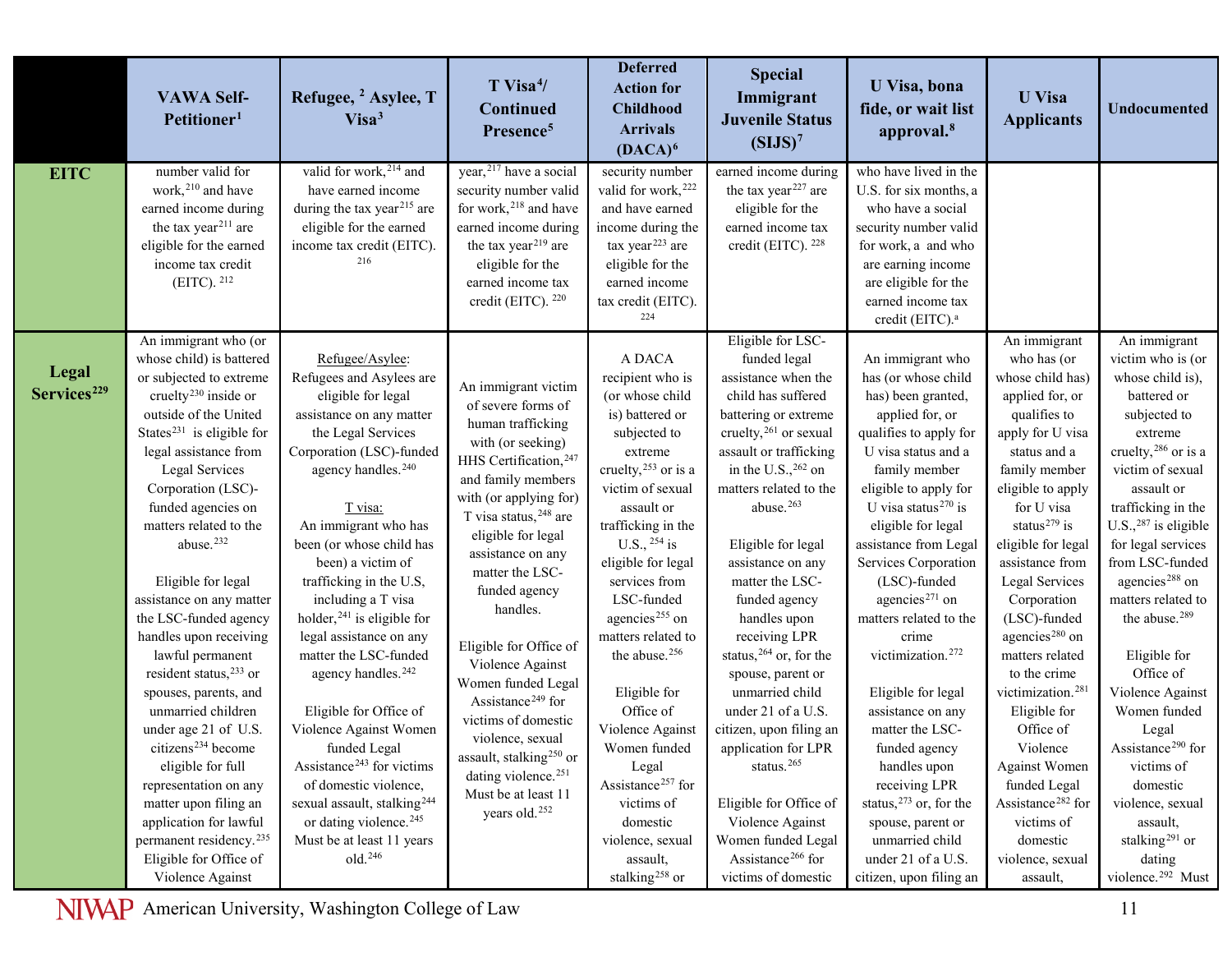|                         | <b>VAWA Self-</b><br>Petitioner <sup>1</sup>        | Refugee, <sup>2</sup> Asylee, T<br>Visa <sup>3</sup>     | $T$ Visa <sup>4</sup> /<br><b>Continued</b><br>Presence <sup>5</sup>   | <b>Deferred</b><br><b>Action for</b><br><b>Childhood</b><br><b>Arrivals</b><br>$(DACA)^6$ | <b>Special</b><br>Immigrant<br><b>Juvenile Status</b><br>(SIJS) <sup>7</sup> | U Visa, bona<br>fide, or wait list<br>approval. <sup>8</sup> | <b>U</b> Visa<br><b>Applicants</b>            | <b>Undocumented</b>                   |
|-------------------------|-----------------------------------------------------|----------------------------------------------------------|------------------------------------------------------------------------|-------------------------------------------------------------------------------------------|------------------------------------------------------------------------------|--------------------------------------------------------------|-----------------------------------------------|---------------------------------------|
| <b>EITC</b>             | number valid for<br>work, <sup>210</sup> and have   | valid for work, <sup>214</sup> and<br>have earned income | year, <sup>217</sup> have a social<br>security number valid            | security number<br>valid for work, 222                                                    | earned income during<br>the tax year <sup>227</sup> are                      | who have lived in the<br>U.S. for six months, a              |                                               |                                       |
|                         | earned income during                                | during the tax year <sup>215</sup> are                   | for work, <sup>218</sup> and have                                      | and have earned                                                                           | eligible for the                                                             | who have a social                                            |                                               |                                       |
|                         | the tax year <sup>211</sup> are                     | eligible for the earned                                  | earned income during                                                   | income during the                                                                         | earned income tax                                                            | security number valid                                        |                                               |                                       |
|                         | eligible for the earned                             | income tax credit (EITC).                                | the tax year <sup>219</sup> are                                        | tax year <sup>223</sup> are                                                               | credit (EITC). 228                                                           | for work, a and who                                          |                                               |                                       |
|                         | income tax credit                                   | 216                                                      | eligible for the                                                       | eligible for the                                                                          |                                                                              | are earning income                                           |                                               |                                       |
|                         | $(EITC)$ . $^{212}$                                 |                                                          | earned income tax                                                      | earned income                                                                             |                                                                              | are eligible for the                                         |                                               |                                       |
|                         |                                                     |                                                          | credit (EITC). 220                                                     | tax credit (EITC).<br>224                                                                 |                                                                              | earned income tax                                            |                                               |                                       |
|                         |                                                     |                                                          |                                                                        |                                                                                           |                                                                              | credit (EITC). <sup>a</sup>                                  |                                               |                                       |
|                         | An immigrant who (or                                |                                                          |                                                                        |                                                                                           | Eligible for LSC-                                                            |                                                              | An immigrant                                  | An immigrant                          |
| Legal                   | whose child) is battered<br>or subjected to extreme | Refugee/Asylee:<br>Refugees and Asylees are              |                                                                        | A DACA<br>recipient who is                                                                | funded legal<br>assistance when the                                          | An immigrant who<br>has (or whose child                      | who has (or<br>whose child has)               | victim who is (or<br>whose child is), |
| Services <sup>229</sup> | cruelty <sup>230</sup> inside or                    | eligible for legal                                       | An immigrant victim                                                    | (or whose child                                                                           | child has suffered                                                           | has) been granted,                                           | applied for, or                               | battered or                           |
|                         | outside of the United                               | assistance on any matter                                 | of severe forms of                                                     | is) battered or                                                                           | battering or extreme                                                         | applied for, or                                              | qualifies to                                  | subjected to                          |
|                         | States <sup>231</sup> is eligible for               | the Legal Services                                       | human trafficking                                                      | subjected to                                                                              | cruelty, $^{261}$ or sexual                                                  | qualifies to apply for                                       | apply for U visa                              | extreme                               |
|                         | legal assistance from                               | Corporation (LSC)-funded                                 | with (or seeking)                                                      | extreme                                                                                   | assault or trafficking                                                       | U visa status and a                                          | status and a                                  | cruelty, <sup>286</sup> or is a       |
|                         | Legal Services                                      | agency handles. <sup>240</sup>                           | HHS Certification, 247                                                 | cruelty, <sup>253</sup> or is a                                                           | in the U.S., $262$ on                                                        | family member                                                | family member                                 | victim of sexual                      |
|                         | Corporation (LSC)-                                  |                                                          | and family members                                                     | victim of sexual                                                                          | matters related to the                                                       | eligible to apply for                                        | eligible to apply                             | assault or                            |
|                         | funded agencies on                                  | T visa:                                                  | with (or applying for)<br>T visa status, 248 are                       | assault or                                                                                | abuse. <sup>263</sup>                                                        | U visa status <sup>270</sup> is                              | for U visa                                    | trafficking in the                    |
|                         | matters related to the                              | An immigrant who has                                     | eligible for legal                                                     | trafficking in the                                                                        |                                                                              | eligible for legal                                           | status <sup>279</sup> is                      | $U.S.,287$ is eligible                |
|                         | abuse. <sup>232</sup>                               | been (or whose child has                                 | assistance on any                                                      | U.S., $^{254}$ is                                                                         | Eligible for legal                                                           | assistance from Legal                                        | eligible for legal                            | for legal services                    |
|                         |                                                     | been) a victim of                                        | matter the LSC-                                                        | eligible for legal                                                                        | assistance on any                                                            | Services Corporation                                         | assistance from                               | from LSC-funded                       |
|                         | Eligible for legal                                  | trafficking in the U.S,                                  | funded agency                                                          | services from                                                                             | matter the LSC-                                                              | (LSC)-funded                                                 | Legal Services                                | agencies <sup>288</sup> on            |
|                         | assistance on any matter                            | including a T visa                                       | handles.                                                               | LSC-funded                                                                                | funded agency                                                                | agencies <sup>271</sup> on                                   | Corporation                                   | matters related to                    |
|                         | the LSC-funded agency                               | holder, $241$ is eligible for                            |                                                                        | agencies <sup>255</sup> on                                                                | handles upon                                                                 | matters related to the                                       | (LSC)-funded                                  | the abuse. <sup>289</sup>             |
|                         | handles upon receiving<br>lawful permanent          | legal assistance on any<br>matter the LSC-funded         | Eligible for Office of                                                 | matters related to<br>the abuse. <sup>256</sup>                                           | receiving LPR<br>status, <sup>264</sup> or, for the                          | crime<br>victimization. <sup>272</sup>                       | agencies <sup>280</sup> on<br>matters related | Eligible for                          |
|                         | resident status, <sup>233</sup> or                  | agency handles. <sup>242</sup>                           | Violence Against                                                       |                                                                                           | spouse, parent or                                                            |                                                              | to the crime                                  | Office of                             |
|                         | spouses, parents, and                               |                                                          | Women funded Legal                                                     | Eligible for                                                                              | unmarried child                                                              | Eligible for legal                                           | victimization. <sup>281</sup>                 | Violence Against                      |
|                         | unmarried children                                  | Eligible for Office of                                   | Assistance <sup>249</sup> for                                          | Office of                                                                                 | under 21 of a U.S.                                                           | assistance on any                                            | Eligible for                                  | Women funded                          |
|                         | under age 21 of U.S.                                | Violence Against Women                                   | victims of domestic                                                    | Violence Against                                                                          | citizen, upon filing an                                                      | matter the LSC-                                              | Office of                                     | Legal                                 |
|                         | citizens <sup>234</sup> become                      | funded Legal                                             | violence, sexual                                                       | Women funded                                                                              | application for LPR                                                          | funded agency                                                | Violence                                      | Assistance <sup>290</sup> for         |
|                         | eligible for full                                   | Assistance <sup>243</sup> for victims                    | assault, stalking <sup>250</sup> or<br>dating violence. <sup>251</sup> | Legal                                                                                     | status. <sup>265</sup>                                                       | handles upon                                                 | <b>Against Women</b>                          | victims of                            |
|                         | representation on any                               | of domestic violence,                                    | Must be at least 11                                                    | Assistance <sup>257</sup> for                                                             |                                                                              | receiving LPR                                                | funded Legal                                  | domestic                              |
|                         | matter upon filing an                               | sexual assault, stalking <sup>244</sup>                  | years old. <sup>252</sup>                                              | victims of                                                                                | Eligible for Office of                                                       | status, $273$ or, for the                                    | Assistance <sup>282</sup> for                 | violence, sexual                      |
|                         | application for lawful                              | or dating violence. <sup>245</sup>                       |                                                                        | domestic                                                                                  | Violence Against                                                             | spouse, parent or                                            | victims of                                    | assault,                              |
|                         | permanent residency. <sup>235</sup>                 | Must be at least 11 years                                |                                                                        | violence, sexual                                                                          | Women funded Legal                                                           | unmarried child                                              | domestic                                      | stalking <sup>291</sup> or            |
|                         | Eligible for Office of                              | old. <sup>246</sup>                                      |                                                                        | assault,                                                                                  | Assistance <sup>266</sup> for                                                | under 21 of a U.S.                                           | violence, sexual                              | dating                                |
|                         | Violence Against                                    |                                                          |                                                                        | stalking <sup>258</sup> or                                                                | victims of domestic                                                          | citizen, upon filing an                                      | assault,                                      | violence. <sup>292</sup> Must         |

I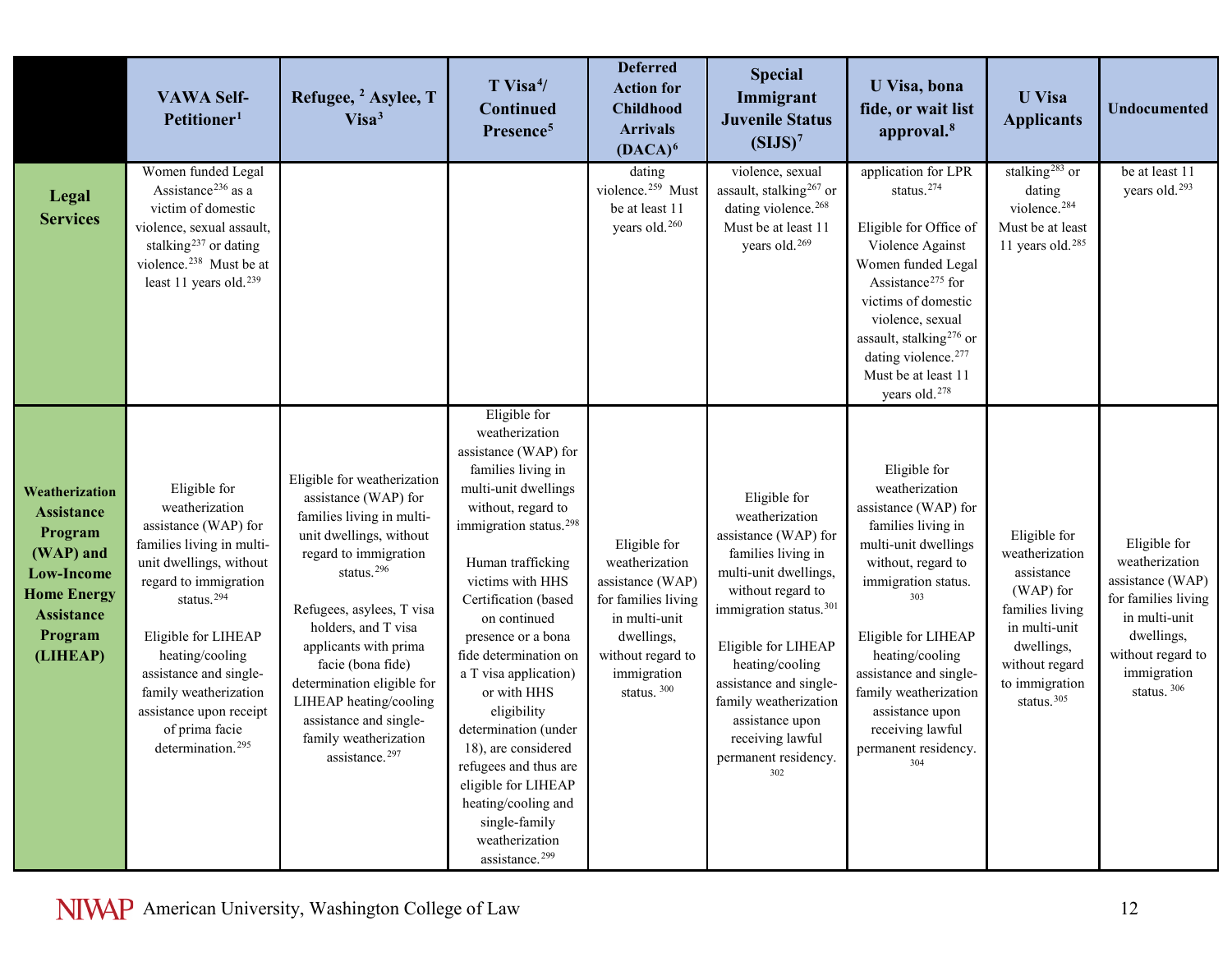|                                                                                                                                                    | <b>VAWA Self-</b><br>Petitioner <sup>1</sup>                                                                                                                                                                                                                                                                                                 | Refugee, <sup>2</sup> Asylee, T<br>Visa <sup>3</sup>                                                                                                                                                                                                                                                                                                                                                      | $T$ Visa <sup>4</sup> /<br><b>Continued</b><br>Presence <sup>5</sup>                                                                                                                                                                                                                                                                                                                                                                                                                                                                           | <b>Deferred</b><br><b>Action for</b><br><b>Childhood</b><br><b>Arrivals</b><br>$(DACA)^6$                                                                              | <b>Special</b><br>Immigrant<br><b>Juvenile Status</b><br>(SIJS) <sup>7</sup>                                                                                                                                                                                                                                                        | U Visa, bona<br>fide, or wait list<br>approval. <sup>8</sup>                                                                                                                                                                                                                                                                | <b>U</b> Visa<br><b>Applicants</b>                                                                                                                                        | <b>Undocumented</b>                                                                                                                                         |
|----------------------------------------------------------------------------------------------------------------------------------------------------|----------------------------------------------------------------------------------------------------------------------------------------------------------------------------------------------------------------------------------------------------------------------------------------------------------------------------------------------|-----------------------------------------------------------------------------------------------------------------------------------------------------------------------------------------------------------------------------------------------------------------------------------------------------------------------------------------------------------------------------------------------------------|------------------------------------------------------------------------------------------------------------------------------------------------------------------------------------------------------------------------------------------------------------------------------------------------------------------------------------------------------------------------------------------------------------------------------------------------------------------------------------------------------------------------------------------------|------------------------------------------------------------------------------------------------------------------------------------------------------------------------|-------------------------------------------------------------------------------------------------------------------------------------------------------------------------------------------------------------------------------------------------------------------------------------------------------------------------------------|-----------------------------------------------------------------------------------------------------------------------------------------------------------------------------------------------------------------------------------------------------------------------------------------------------------------------------|---------------------------------------------------------------------------------------------------------------------------------------------------------------------------|-------------------------------------------------------------------------------------------------------------------------------------------------------------|
| Legal<br><b>Services</b>                                                                                                                           | Women funded Legal<br>Assistance <sup>236</sup> as a<br>victim of domestic<br>violence, sexual assault,<br>stalking <sup>237</sup> or dating<br>violence. <sup>238</sup> Must be at<br>least 11 years old. <sup>239</sup>                                                                                                                    |                                                                                                                                                                                                                                                                                                                                                                                                           |                                                                                                                                                                                                                                                                                                                                                                                                                                                                                                                                                | dating<br>violence. <sup>259</sup> Must<br>be at least 11<br>years old. <sup>260</sup>                                                                                 | violence, sexual<br>assault, stalking <sup>267</sup> or<br>dating violence. <sup>268</sup><br>Must be at least 11<br>years old. <sup>269</sup>                                                                                                                                                                                      | application for LPR<br>status. <sup>274</sup><br>Eligible for Office of<br>Violence Against<br>Women funded Legal<br>Assistance <sup>275</sup> for<br>victims of domestic<br>violence, sexual<br>assault, stalking <sup>276</sup> or<br>dating violence. <sup>277</sup><br>Must be at least 11<br>years old. <sup>278</sup> | stalking <sup>283</sup> or<br>dating<br>violence. <sup>284</sup><br>Must be at least<br>11 years old. <sup>285</sup>                                                      | be at least 11<br>years old. <sup>293</sup>                                                                                                                 |
| Weatherization<br><b>Assistance</b><br>Program<br>(WAP) and<br><b>Low-Income</b><br><b>Home Energy</b><br><b>Assistance</b><br>Program<br>(LIHEAP) | Eligible for<br>weatherization<br>assistance (WAP) for<br>families living in multi-<br>unit dwellings, without<br>regard to immigration<br>status. <sup>294</sup><br>Eligible for LIHEAP<br>heating/cooling<br>assistance and single-<br>family weatherization<br>assistance upon receipt<br>of prima facie<br>determination. <sup>295</sup> | Eligible for weatherization<br>assistance (WAP) for<br>families living in multi-<br>unit dwellings, without<br>regard to immigration<br>status. <sup>296</sup><br>Refugees, asylees, T visa<br>holders, and T visa<br>applicants with prima<br>facie (bona fide)<br>determination eligible for<br>LIHEAP heating/cooling<br>assistance and single-<br>family weatherization<br>assistance. <sup>297</sup> | Eligible for<br>weatherization<br>assistance (WAP) for<br>families living in<br>multi-unit dwellings<br>without, regard to<br>immigration status. <sup>298</sup><br>Human trafficking<br>victims with HHS<br>Certification (based<br>on continued<br>presence or a bona<br>fide determination on<br>a T visa application)<br>or with HHS<br>eligibility<br>determination (under<br>18), are considered<br>refugees and thus are<br>eligible for LIHEAP<br>heating/cooling and<br>single-family<br>weatherization<br>assistance. <sup>299</sup> | Eligible for<br>weatherization<br>assistance (WAP)<br>for families living<br>in multi-unit<br>dwellings,<br>without regard to<br>immigration<br>status. <sup>300</sup> | Eligible for<br>weatherization<br>assistance (WAP) for<br>families living in<br>multi-unit dwellings,<br>without regard to<br>immigration status. <sup>301</sup><br>Eligible for LIHEAP<br>heating/cooling<br>assistance and single-<br>family weatherization<br>assistance upon<br>receiving lawful<br>permanent residency.<br>302 | Eligible for<br>weatherization<br>assistance (WAP) for<br>families living in<br>multi-unit dwellings<br>without, regard to<br>immigration status.<br>Eligible for LIHEAP<br>heating/cooling<br>assistance and single-<br>family weatherization<br>assistance upon<br>receiving lawful<br>permanent residency.<br>304        | Eligible for<br>weatherization<br>assistance<br>(WAP) for<br>families living<br>in multi-unit<br>dwellings,<br>without regard<br>to immigration<br>status. <sup>305</sup> | Eligible for<br>weatherization<br>assistance (WAP)<br>for families living<br>in multi-unit<br>dwellings,<br>without regard to<br>immigration<br>status. 306 |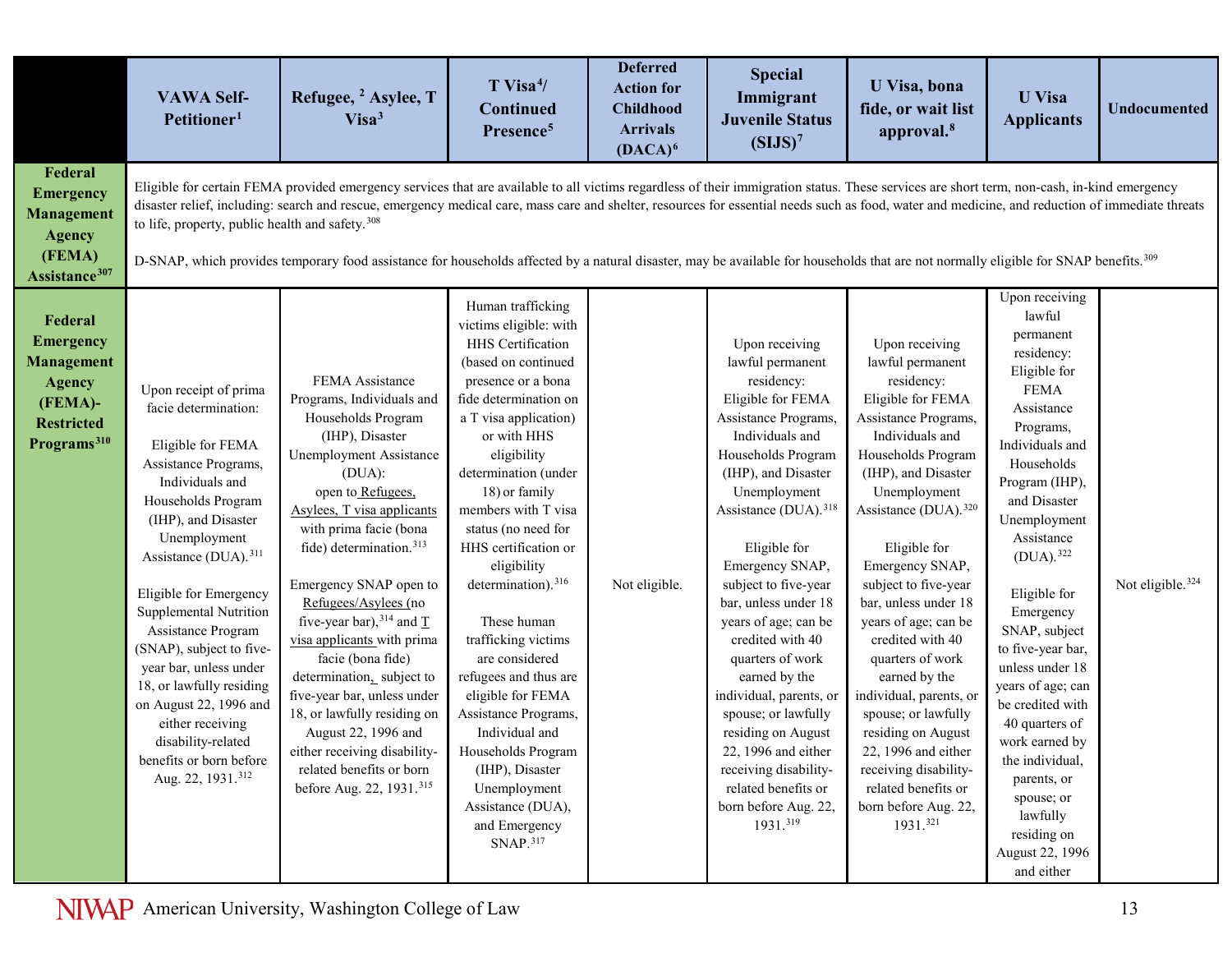|                                                                                                                              | <b>VAWA Self-</b><br>Petitioner <sup>1</sup>                                                                                                                                                                                                                                                                                                                                                                                                                                                               | Refugee, <sup>2</sup> Asylee, T<br>Visa <sup>3</sup>                                                                                                                                                                                                                                                                                                                                                                                                                                                                                                                                                                   | $T$ Visa <sup><math>4/</math></sup><br>Continued<br>Presence <sup>5</sup>                                                                                                                                                                                                                                                                                                                                                                                                                                                                                                                                                            | <b>Deferred</b><br><b>Action for</b><br><b>Childhood</b><br><b>Arrivals</b><br>$(DACA)^6$ | <b>Special</b><br>Immigrant<br><b>Juvenile Status</b><br>(SIJS) <sup>7</sup>                                                                                                                                                                                                                                                                                                                                                                                                                                                                                             | U Visa, bona<br>fide, or wait list<br>approval. <sup>8</sup>                                                                                                                                                                                                                                                                                                                                                                                                                                                                                                             | <b>U</b> Visa<br><b>Applicants</b>                                                                                                                                                                                                                                                                                                                                                                                                                                                                                       | <b>Undocumented</b>          |
|------------------------------------------------------------------------------------------------------------------------------|------------------------------------------------------------------------------------------------------------------------------------------------------------------------------------------------------------------------------------------------------------------------------------------------------------------------------------------------------------------------------------------------------------------------------------------------------------------------------------------------------------|------------------------------------------------------------------------------------------------------------------------------------------------------------------------------------------------------------------------------------------------------------------------------------------------------------------------------------------------------------------------------------------------------------------------------------------------------------------------------------------------------------------------------------------------------------------------------------------------------------------------|--------------------------------------------------------------------------------------------------------------------------------------------------------------------------------------------------------------------------------------------------------------------------------------------------------------------------------------------------------------------------------------------------------------------------------------------------------------------------------------------------------------------------------------------------------------------------------------------------------------------------------------|-------------------------------------------------------------------------------------------|--------------------------------------------------------------------------------------------------------------------------------------------------------------------------------------------------------------------------------------------------------------------------------------------------------------------------------------------------------------------------------------------------------------------------------------------------------------------------------------------------------------------------------------------------------------------------|--------------------------------------------------------------------------------------------------------------------------------------------------------------------------------------------------------------------------------------------------------------------------------------------------------------------------------------------------------------------------------------------------------------------------------------------------------------------------------------------------------------------------------------------------------------------------|--------------------------------------------------------------------------------------------------------------------------------------------------------------------------------------------------------------------------------------------------------------------------------------------------------------------------------------------------------------------------------------------------------------------------------------------------------------------------------------------------------------------------|------------------------------|
| Federal<br><b>Emergency</b><br><b>Management</b><br><b>Agency</b><br>(FEMA)<br>Assistance <sup>307</sup>                     | to life, property, public health and safety. <sup>308</sup>                                                                                                                                                                                                                                                                                                                                                                                                                                                | Eligible for certain FEMA provided emergency services that are available to all victims regardless of their immigration status. These services are short term, non-cash, in-kind emergency<br>disaster relief, including: search and rescue, emergency medical care, mass care and shelter, resources for essential needs such as food, water and medicine, and reduction of immediate threats<br>D-SNAP, which provides temporary food assistance for households affected by a natural disaster, may be available for households that are not normally eligible for SNAP benefits. <sup>309</sup>                     |                                                                                                                                                                                                                                                                                                                                                                                                                                                                                                                                                                                                                                      |                                                                                           |                                                                                                                                                                                                                                                                                                                                                                                                                                                                                                                                                                          |                                                                                                                                                                                                                                                                                                                                                                                                                                                                                                                                                                          |                                                                                                                                                                                                                                                                                                                                                                                                                                                                                                                          |                              |
| Federal<br><b>Emergency</b><br><b>Management</b><br><b>Agency</b><br>(FEMA)-<br><b>Restricted</b><br>Programs <sup>310</sup> | Upon receipt of prima<br>facie determination:<br>Eligible for FEMA<br>Assistance Programs,<br>Individuals and<br>Households Program<br>(IHP), and Disaster<br>Unemployment<br>Assistance (DUA). <sup>311</sup><br>Eligible for Emergency<br>Supplemental Nutrition<br>Assistance Program<br>(SNAP), subject to five-<br>year bar, unless under<br>18, or lawfully residing<br>on August 22, 1996 and<br>either receiving<br>disability-related<br>benefits or born before<br>Aug. 22, 1931. <sup>312</sup> | FEMA Assistance<br>Programs, Individuals and<br>Households Program<br>(IHP), Disaster<br>Unemployment Assistance<br>(DUA):<br>open to Refugees,<br>Asylees, T visa applicants<br>with prima facie (bona<br>fide) determination. <sup>313</sup><br>Emergency SNAP open to<br>Refugees/Asylees (no<br>five-year bar), $314$ and $\underline{T}$<br>visa applicants with prima<br>facie (bona fide)<br>determination, subject to<br>five-year bar, unless under<br>18, or lawfully residing on<br>August 22, 1996 and<br>either receiving disability-<br>related benefits or born<br>before Aug. 22, 1931. <sup>315</sup> | Human trafficking<br>victims eligible: with<br>HHS Certification<br>(based on continued<br>presence or a bona<br>fide determination on<br>a T visa application)<br>or with HHS<br>eligibility<br>determination (under<br>18) or family<br>members with T visa<br>status (no need for<br>HHS certification or<br>eligibility<br>determination). <sup>316</sup><br>These human<br>trafficking victims<br>are considered<br>refugees and thus are<br>eligible for FEMA<br>Assistance Programs,<br>Individual and<br>Households Program<br>(IHP), Disaster<br>Unemployment<br>Assistance (DUA),<br>and Emergency<br>SNAP. <sup>317</sup> | Not eligible.                                                                             | Upon receiving<br>lawful permanent<br>residency:<br>Eligible for FEMA<br>Assistance Programs,<br>Individuals and<br>Households Program<br>(IHP), and Disaster<br>Unemployment<br>Assistance (DUA). <sup>318</sup><br>Eligible for<br>Emergency SNAP,<br>subject to five-year<br>bar, unless under 18<br>years of age; can be<br>credited with 40<br>quarters of work<br>earned by the<br>individual, parents, or<br>spouse; or lawfully<br>residing on August<br>22, 1996 and either<br>receiving disability-<br>related benefits or<br>born before Aug. 22,<br>1931.319 | Upon receiving<br>lawful permanent<br>residency:<br>Eligible for FEMA<br>Assistance Programs,<br>Individuals and<br>Households Program<br>(IHP), and Disaster<br>Unemployment<br>Assistance (DUA). <sup>320</sup><br>Eligible for<br>Emergency SNAP,<br>subject to five-year<br>bar, unless under 18<br>years of age; can be<br>credited with 40<br>quarters of work<br>earned by the<br>individual, parents, or<br>spouse; or lawfully<br>residing on August<br>22, 1996 and either<br>receiving disability-<br>related benefits or<br>born before Aug. 22,<br>1931.321 | Upon receiving<br>lawful<br>permanent<br>residency:<br>Eligible for<br><b>FEMA</b><br>Assistance<br>Programs,<br>Individuals and<br>Households<br>Program (IHP),<br>and Disaster<br>Unemployment<br>Assistance<br>$(DUA).$ <sup>322</sup><br>Eligible for<br>Emergency<br>SNAP, subject<br>to five-year bar,<br>unless under 18<br>years of age; can<br>be credited with<br>40 quarters of<br>work earned by<br>the individual,<br>parents, or<br>spouse; or<br>lawfully<br>residing on<br>August 22, 1996<br>and either | Not eligible. <sup>324</sup> |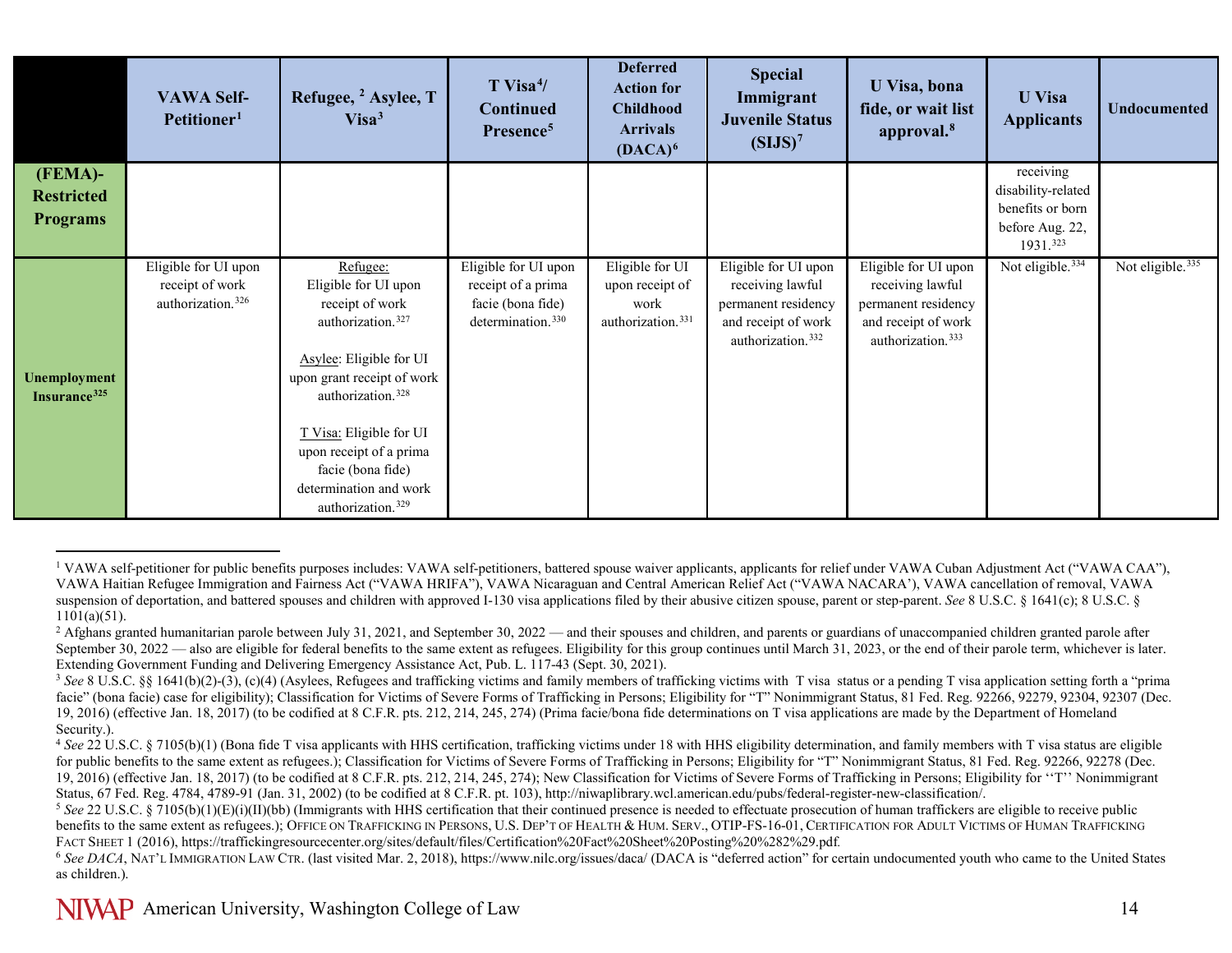<span id="page-13-5"></span><span id="page-13-4"></span><span id="page-13-3"></span><span id="page-13-2"></span><span id="page-13-1"></span><span id="page-13-0"></span>

|                                                 | <b>VAWA Self-</b><br>Petitioner <sup>1</sup>                             | Refugee, <sup>2</sup> Asylee, T<br>Visa <sup>3</sup>                                                                                                                                                                                                                                                                 | $T$ Visa <sup>4</sup> /<br><b>Continued</b><br>Presence <sup>5</sup>                             | <b>Deferred</b><br><b>Action for</b><br><b>Childhood</b><br><b>Arrivals</b><br>$(DACA)^6$ | <b>Special</b><br>Immigrant<br><b>Juvenile Status</b><br>(SIJS) <sup>7</sup>                                            | U Visa, bona<br>fide, or wait list<br>approval. <sup>8</sup>                                                            | <b>U</b> Visa<br><b>Applicants</b>                                                 | <b>Undocumented</b>          |
|-------------------------------------------------|--------------------------------------------------------------------------|----------------------------------------------------------------------------------------------------------------------------------------------------------------------------------------------------------------------------------------------------------------------------------------------------------------------|--------------------------------------------------------------------------------------------------|-------------------------------------------------------------------------------------------|-------------------------------------------------------------------------------------------------------------------------|-------------------------------------------------------------------------------------------------------------------------|------------------------------------------------------------------------------------|------------------------------|
| (FEMA)-<br><b>Restricted</b><br><b>Programs</b> |                                                                          |                                                                                                                                                                                                                                                                                                                      |                                                                                                  |                                                                                           |                                                                                                                         |                                                                                                                         | receiving<br>disability-related<br>benefits or born<br>before Aug. 22,<br>1931.323 |                              |
| Unemployment<br>Insurance <sup>325</sup>        | Eligible for UI upon<br>receipt of work<br>authorization. <sup>326</sup> | Refugee:<br>Eligible for UI upon<br>receipt of work<br>authorization. <sup>327</sup><br>Asylee: Eligible for UI<br>upon grant receipt of work<br>authorization. <sup>328</sup><br>T Visa: Eligible for UI<br>upon receipt of a prima<br>facie (bona fide)<br>determination and work<br>authorization. <sup>329</sup> | Eligible for UI upon<br>receipt of a prima<br>facie (bona fide)<br>determination. <sup>330</sup> | Eligible for UI<br>upon receipt of<br>work<br>authorization. <sup>331</sup>               | Eligible for UI upon<br>receiving lawful<br>permanent residency<br>and receipt of work<br>authorization. <sup>332</sup> | Eligible for UI upon<br>receiving lawful<br>permanent residency<br>and receipt of work<br>authorization. <sup>333</sup> | Not eligible. <sup>334</sup>                                                       | Not eligible. <sup>335</sup> |

<sup>&</sup>lt;sup>1</sup> VAWA self-petitioner for public benefits purposes includes: VAWA self-petitioners, battered spouse waiver applicants, applicants for relief under VAWA Cuban Adjustment Act ("VAWA CAA"), VAWA Haitian Refugee Immigration and Fairness Act ("VAWA HRIFA"), VAWA Nicaraguan and Central American Relief Act ("VAWA NACARA'), VAWA cancellation of removal, VAWA suspension of deportation, and battered spouses and children with approved I-130 visa applications filed by their abusive citizen spouse, parent or step-parent. *See* 8 U.S.C. § 1641(c); 8 U.S.C. § 165.C. § 168.C. §

 $\overline{a}$ 

<sup>&</sup>lt;sup>2</sup> Afghans granted humanitarian parole between July 31, 2021, and September 30, 2022 — and their spouses and children, and parents or guardians of unaccompanied children granted parole after September 30, 2022 — also are eligible for federal benefits to the same extent as refugees. Eligibility for this group continues until March 31, 2023, or the end of their parole term, whichever is later. Extending Government Funding and Delivering Emergency Assistance Act, Pub. L. 117-43 (Sept. 30, 2021).

<sup>&</sup>lt;sup>3</sup> See 8 U.S.C. §§ 1641(b)(2)-(3), (c)(4) (Asylees, Refugees and trafficking victims and family members of trafficking victims with T visa status or a pending T visa application setting forth a "prima facie" (bona facie) case for eligibility); Classification for Victims of Severe Forms of Trafficking in Persons; Eligibility for "T" Nonimmigrant Status, 81 Fed. Reg. 92266, 92279, 92304, 92307 (Dec. 19, 2016) (effective Jan. 18, 2017) (to be codified at 8 C.F.R. pts. 212, 214, 245, 274) (Prima facie/bona fide determinations on T visa applications are made by the Department of Homeland Security.).

<sup>&</sup>lt;sup>4</sup> See 22 U.S.C. § 7105(b)(1) (Bona fide T visa applicants with HHS certification, trafficking victims under 18 with HHS eligibility determination, and family members with T visa status are eligible for public benefits to the same extent as refugees.); Classification for Victims of Severe Forms of Trafficking in Persons; Eligibility for "T" Nonimmigrant Status, 81 Fed. Reg. 92266, 92278 (Dec. 19, 2016) (effective Jan. 18, 2017) (to be codified at 8 C.F.R. pts. 212, 214, 245, 274); New Classification for Victims of Severe Forms of Trafficking in Persons; Eligibility for ''T'' Nonimmigrant Status, 67 Fed. Reg. 4784, 4789-91 (Jan. 31, 2002) (to be codified at 8 C.F.R. pt. 103), http://niwaplibrary.wcl.american.edu/pubs/federal-register-new-classification/.

<sup>&</sup>lt;sup>5</sup> See 22 U.S.C. § 7105(b)(1)(E)(i)(II)(bb) (Immigrants with HHS certification that their continued presence is needed to effectuate prosecution of human traffickers are eligible to receive public benefits to the same extent as refugees.); OFFICE ON TRAFFICKING IN PERSONS, U.S. DEP'T OF HEALTH & HUM. SERV., OTIP-FS-16-01, CERTIFICATION FOR ADULT VICTIMS OF HUMAN TRAFFICKING FACT SHEET 1 (2016)[, https://traffickingresourcecenter.org/sites/default/files/Certification%20Fact%20Sheet%20Posting%20%282%29.pdf](https://traffickingresourcecenter.org/sites/default/files/Certification%20Fact%20Sheet%20Posting%20%282%29.pdf)*.*

<sup>&</sup>lt;sup>6</sup> See DACA, NAT'L IMMIGRATION LAW CTR. (last visited Mar. 2, 2018), https://www.nilc.org/issues/daca/ (DACA is "deferred action" for certain undocumented youth who came to the United States as children.).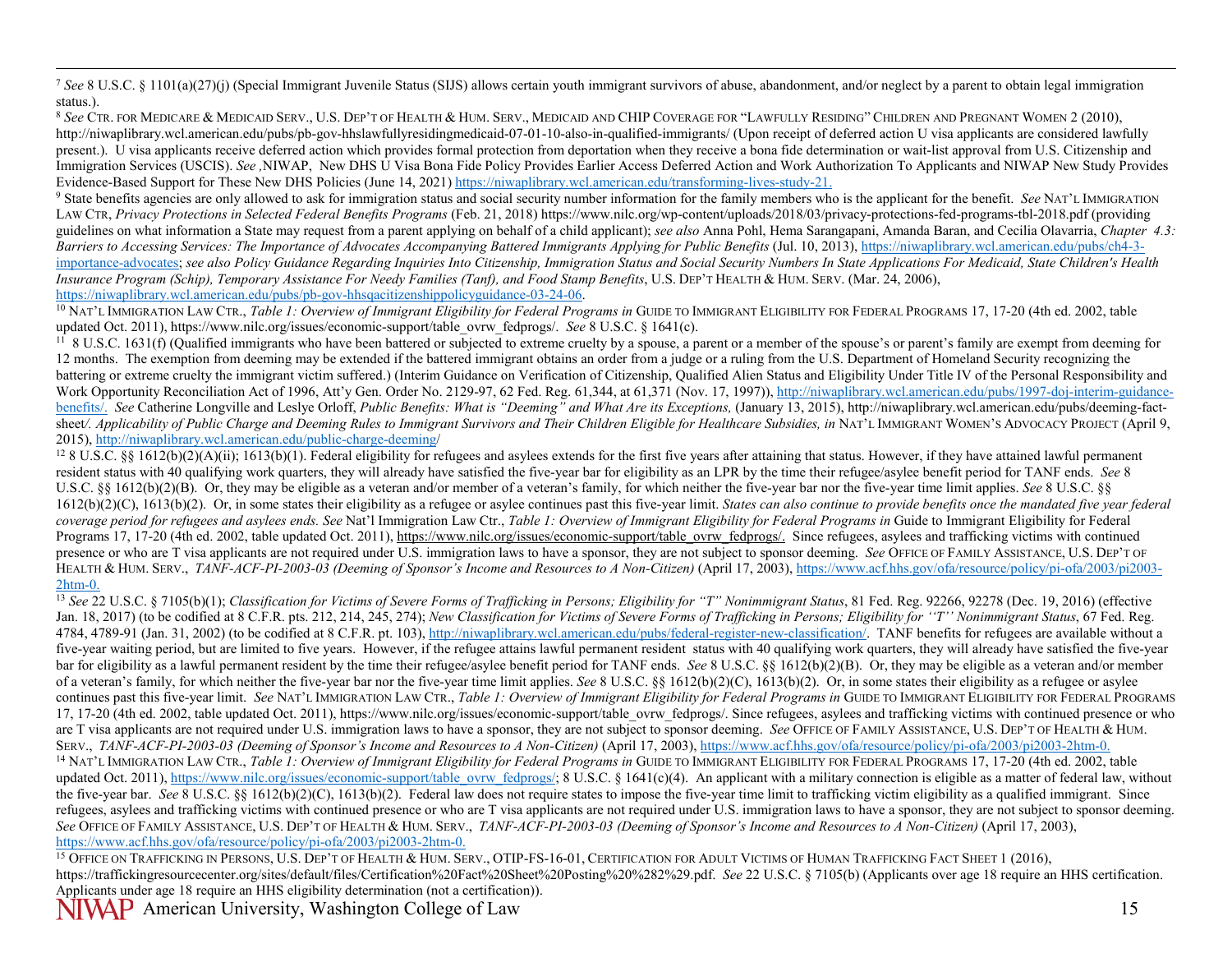<span id="page-14-8"></span><span id="page-14-7"></span><span id="page-14-6"></span><span id="page-14-5"></span><span id="page-14-4"></span><span id="page-14-3"></span><span id="page-14-2"></span><span id="page-14-1"></span><span id="page-14-0"></span> 7 *See* 8 U.S.C. § 1101(a)(27)(j) (Special Immigrant Juvenile Status (SIJS) allows certain youth immigrant survivors of abuse, abandonment, and/or neglect by a parent to obtain legal immigration status.).

<sup>8</sup> *See* CTR. FOR MEDICARE & MEDICAID SERV., U.S. DEP'T OF HEALTH & HUM. SERV., MEDICAID AND CHIP COVERAGE FOR "LAWFULLY RESIDING" CHILDREN AND PREGNANT WOMEN 2 (2010), <http://niwaplibrary.wcl.american.edu/pubs/pb-gov-hhslawfullyresidingmedicaid-07-01-10-also-in-qualified-immigrants/> (Upon receipt of deferred action U visa applicants are considered lawfully present.). U visa applicants receive deferred action which provides formal protection from deportation when they receive a bona fide determination or wait-list approval from U.S. Citizenship and Immigration Services (USCIS). *See ,*NIWAP, New DHS U Visa Bona Fide Policy Provides Earlier Access Deferred Action and Work Authorization To Applicants and NIWAP New Study Provides Evidence-Based Support for These New DHS Policies (June 14, 2021[\) https://niwaplibrary.wcl.american.edu/transforming-lives-study-21.](https://niwaplibrary.wcl.american.edu/transforming-lives-study-21)

<sup>9</sup> State benefits agencies are only allowed to ask for immigration status and social security number information for the family members who is the applicant for the benefit. *See* NAT'L IMMIGRATION LAW CTR, *Privacy Protections in Selected Federal Benefits Programs* (Feb. 21, 2018) https://www.nilc.org/wp-content/uploads/2018/03/privacy-protections-fed-programs-tbl-2018.pdf (providing guidelines on what information a State may request from a parent applying on behalf of a child applicant); *see also* Anna Pohl, Hema Sarangapani, Amanda Baran, and Cecilia Olavarria, *Chapter 4.3: Barriers to Accessing Services: The Importance of Advocates Accompanying Battered Immigrants Applying for Public Benefits* (Jul. 10, 2013)[, https://niwaplibrary.wcl.american.edu/pubs/ch4-3](https://niwaplibrary.wcl.american.edu/pubs/ch4-3-importance-advocates) [importance-advocates;](https://niwaplibrary.wcl.american.edu/pubs/ch4-3-importance-advocates) *see also Policy Guidance Regarding Inquiries Into Citizenship, Immigration Status and Social Security Numbers In State Applications For Medicaid, State Children's Health Insurance Program (Schip), Temporary Assistance For Needy Families (Tanf), and Food Stamp Benefits, U.S. DEP'T HEALTH & HUM. SERV. (Mar. 24, 2006), https://niwaplibrary.wel.american.edu/pubs/pb-gov-hhsqacitizenshippolicyg* 

<sup>10</sup> NAT'L IMMIGRATION LAW CTR., *Table 1: Overview of Immigrant Eligibility for Federal Programs in* GUIDE TO IMMIGRANT ELIGIBILITY FOR FEDERAL PROGRAMS 17, 17-20 (4th ed. 2002, table updated Oct. 2011), https://www.nilc.org/issues/economic-support/table\_ovrw\_fedprogs/. *See* 8 U.S.C. § 1641(c).

 $1\bar{1}$  8 U.S.C. 1631(f) (Qualified immigrants who have been battered or subjected to extreme cruelty by a spouse, a parent or a member of the spouse's or parent's family are exempt from deeming for 12 months. The exemption from deeming may be extended if the battered immigrant obtains an order from a judge or a ruling from the U.S. Department of Homeland Security recognizing the battering or extreme cruelty the immigrant victim suffered.) (Interim Guidance on Verification of Citizenship, Qualified Alien Status and Eligibility Under Title IV of the Personal Responsibility and Work Opportunity Reconciliation Act of 1996, Att'y Gen. Order No. 2129-97, 62 Fed. Reg. 61,344, at 61,371 (Nov. 17, 1997))[, http://niwaplibrary.wcl.american.edu/pubs/1997-doj-interim-guidance](http://niwaplibrary.wcl.american.edu/pubs/1997-doj-interim-guidance-benefits)[benefits/.](http://niwaplibrary.wcl.american.edu/pubs/1997-doj-interim-guidance-benefits) *See* Catherine Longville and Leslye Orloff, *Public Benefits: What is "Deeming" and What Are its Exceptions,* (January 13, 2015), http://niwaplibrary.wcl.american.edu/pubs/deeming-factsheet*/. Applicability of Public Charge and Deeming Rules to Immigrant Survivors and Their Children Eligible for Healthcare Subsidies, in* NAT'L IMMIGRANT WOMEN'S ADVOCACY PROJECT (April 9, 2015)[, http://niwaplibrary.wcl.american.edu/public-charge-deeming/](http://niwaplibrary.wcl.american.edu/pubs/1997-doj-interim-guidance-benefits)<br><sup>12</sup> 8 U.S.C. §§ 1612(b)(2)(A)(ii); 1613(b)(1). Federal eligibility for refugees and asylees extends for the first five years after attaining that status.

resident status with 40 qualifying work quarters, they will already have satisfied the five-year bar for eligibility as an LPR by the time their refugee/asylee benefit period for TANF ends. *See* 8 U.S.C. §§ 1612(b)(2)(B). Or, they may be eligible as a veteran and/or member of a veteran's family, for which neither the five-year bar nor the five-year time limit applies. *See* 8 U.S.C. §§ 1612(b)(2)(C), 1613(b)(2). Or, in some states their eligibility as a refugee or asylee continues past this five-year limit. *States can also continue to provide benefits once the mandated five year federal*  coverage period for refugees and asylees ends. See Nat'l Immigration Law Ctr., Table 1: Overview of Immigrant Eligibility for Federal Programs in Guide to Immigrant Eligibility for Federal Programs 17, 17-20 (4th ed. 2002, table updated Oct. 2011), [https://www.nilc.org/issues/economic-support/table\\_ovrw\\_fedprogs/.](https://www.nilc.org/issues/economic-support/table_ovrw_fedprogs/) Since refugees, asylees and trafficking victims with continued presence or who are T visa applicants are not required under U.S. immigration laws to have a sponsor, they are not subject to sponsor deeming. *See* OFFICE OF FAMILY ASSISTANCE, U.S. DEP'T OF HEALTH & HUM. SERV., *TANF-ACF-PI-2003-03 (Deeming of Sponsor's Income and Resources to A Non-Citizen*) (April 17, 2003), [https://www.acf.hhs.gov/ofa/resource/policy/pi-ofa/2003/pi2003-](https://www.acf.hhs.gov/ofa/resource/policy/pi-ofa/2003/pi2003-2htm-0) [2htm-0.](https://www.acf.hhs.gov/ofa/resource/policy/pi-ofa/2003/pi2003-2htm-0)

<sup>13</sup> *See* 22 U.S.C. § 7105(b)(1); *Classification for Victims of Severe Forms of Trafficking in Persons; Eligibility for "T" Nonimmigrant Status*, 81 Fed. Reg. 92266, 92278 (Dec. 19, 2016) (effective Jan. 18, 2017) (to be codified at 8 C.F.R. pts. 212, 214, 245, 274); *New Classification for Victims of Severe Forms of Trafficking in Persons; Eligibility for ''T'' Nonimmigrant Status*, 67 Fed. Reg. 4784, 4789-91 (Jan. 31, 2002) (to be codified at 8 C.F.R. pt. 103)[, http://niwaplibrary.wcl.american.edu/pubs/federal-register-new-classification/.](http://niwaplibrary.wcl.american.edu/pubs/federal-register-new-classification/) TANF benefits for refugees are available without a five-year waiting period, but are limited to five years. However, if the refugee attains lawful permanent resident status with 40 qualifying work quarters, they will already have satisfied the five-year bar for eligibility as a lawful permanent resident by the time their refugee/asylee benefit period for TANF ends. *See* 8 U.S.C. §§ 1612(b)(2)(B). Or, they may be eligible as a veteran and/or member of a veteran's family, for which neither the five-year bar nor the five-year time limit applies. *See* 8 U.S.C. §§ 1612(b)(2)(C), 1613(b)(2). Or, in some states their eligibility as a refugee or asylee continues past this five-year limit. *See* NAT'L IMMIGRATION LAW CTR., *Table 1: Overview of Immigrant Eligibility for Federal Programs in* GUIDE TO IMMIGRANT ELIGIBILITY FOR FEDERAL PROGRAMS 17, 17-20 (4th ed. 2002, table updated Oct. 2011), https://www.nilc.org/issues/economic-support/table\_ovrw\_fedprogs/. Since refugees, asylees and trafficking victims with continued presence or who are T visa applicants are not required under U.S. immigration laws to have a sponsor, they are not subject to sponsor deeming. *See* OFFICE OF FAMILY ASSISTANCE, U.S. DEP'T OF HEALTH & HUM. SERV., *TANF-ACF-PI-2003-03 (Deeming of Sponsor's Income and Resources to A Non-Citizen*) (April 17, 2003)[, https://www.acf.hhs.gov/ofa/resource/policy/pi-ofa/2003/pi2003-2htm-0.](https://www.acf.hhs.gov/ofa/resource/policy/pi-ofa/2003/pi2003-2htm-0) <sup>14</sup> NAT'L IMMIGRATION LAW CTR., *Table 1: Overview of Immigrant Eligibility for Federal Programs in GUIDE TO IMMIGRANT ELIGIBILITY FOR FEDERAL PROGRAMS 17, 17-20 (4th ed. 2002, table* updated Oct. 2011), [https://www.nilc.org/issues/economic-support/table\\_ovrw\\_fedprogs/;](https://www.nilc.org/issues/economic-support/table_ovrw_fedprogs/) 8 U.S.C. § 1641(c)(4). An applicant with a military connection is eligible as a matter of federal law, without the five-year bar. *See* 8 U.S.C. §§ 1612(b)(2)(C), 1613(b)(2). Federal law does not require states to impose the five-year time limit to trafficking victim eligibility as a qualified immigrant. Since refugees, asylees and trafficking victims with continued presence or who are T visa applicants are not required under U.S. immigration laws to have a sponsor, they are not subject to sponsor deeming. See OFFICE OF FAMILY ASSISTANCE, U.S. DEP'T OF HEALTH & HUM. SERV., *TANF-ACF-PI-2003-03 (Deeming of Sponsor's Income and Resources to A Non-Citizen)* (April 17, 2003), [https://www.acf.hhs.gov/ofa/resource/policy/pi-ofa/2003/pi2003-2htm-0.](https://www.acf.hhs.gov/ofa/resource/policy/pi-ofa/2003/pi2003-2htm-0)

<sup>15</sup> OFFICE ON TRAFFICKING IN PERSONS, U.S. DEP'T OF HEALTH & HUM. SERV., OTIP-FS-16-01, CERTIFICATION FOR ADULT VICTIMS OF HUMAN TRAFFICKING FACT SHEET 1 (2016), [https://traffickingresourcecenter.org/sites/default/files/Certification%20Fact%20Sheet%20Posting%20%282%29.pdf.](https://traffickingresourcecenter.org/sites/default/files/Certification%20Fact%20Sheet%20Posting%20%282%29.pdf) *See* 22 U.S.C. § 7105(b) (Applicants over age 18 require an HHS certification. Applicants under age 18 require an HHS eligibility determination (not a certification)).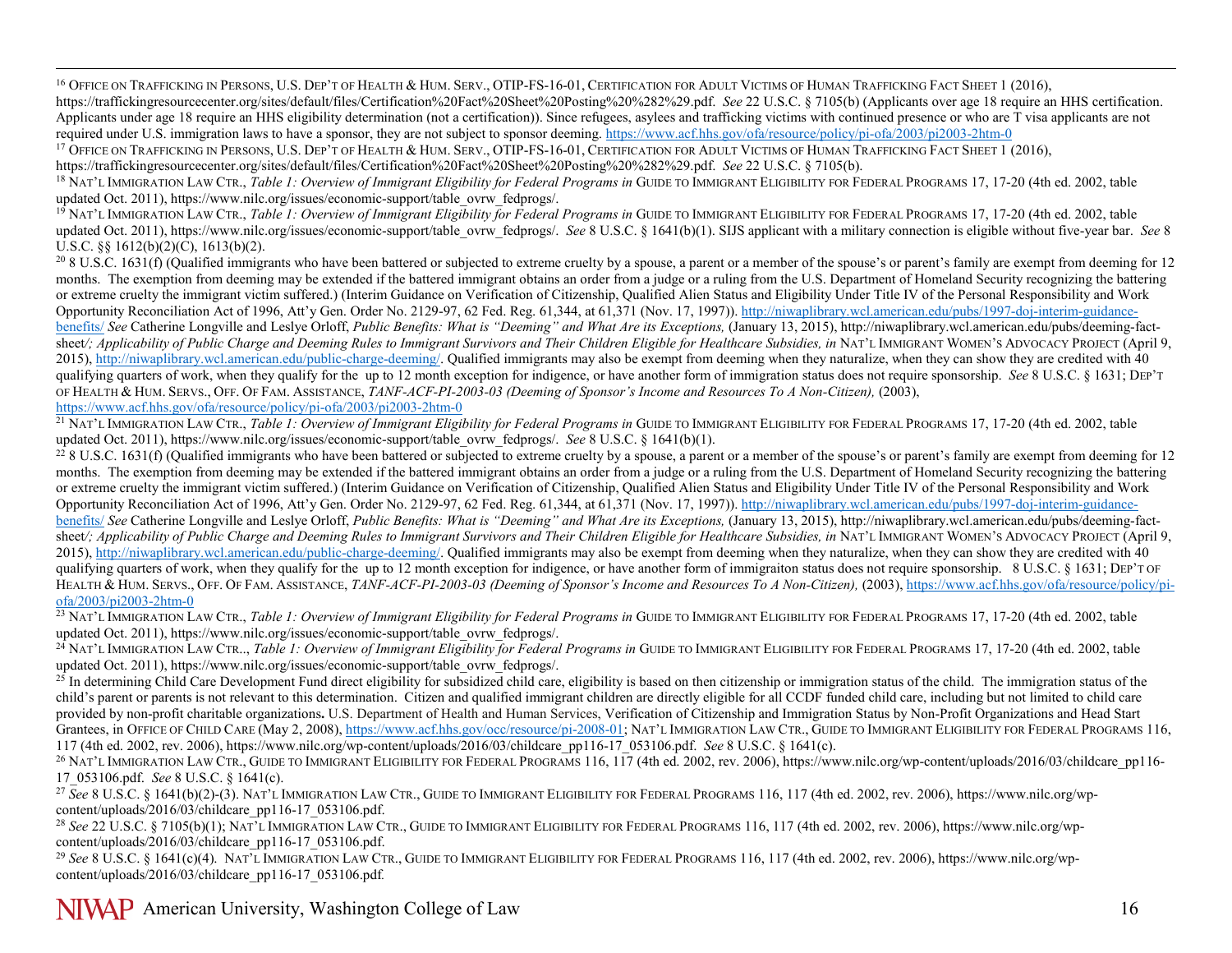<span id="page-15-13"></span><span id="page-15-12"></span><span id="page-15-11"></span><span id="page-15-10"></span><span id="page-15-9"></span><span id="page-15-8"></span><span id="page-15-7"></span><span id="page-15-6"></span><span id="page-15-5"></span><span id="page-15-4"></span><span id="page-15-3"></span><span id="page-15-2"></span><span id="page-15-1"></span><span id="page-15-0"></span><sup>16</sup> Office on Trafficking in Persons, U.S. Dep't of Health & Hum. Serv., OTIP-FS-16-01, Certification for Adult Victims of Human Trafficking Fact Sheet 1 (2016), [https://traffickingresourcecenter.org/sites/default/files/Certification%20Fact%20Sheet%20Posting%20%282%29.pdf.](https://traffickingresourcecenter.org/sites/default/files/Certification%20Fact%20Sheet%20Posting%20%282%29.pdf) *See* 22 U.S.C. § 7105(b) (Applicants over age 18 require an HHS certification. Applicants under age 18 require an HHS eligibility determination (not a certification)). Since refugees, asylees and trafficking victims with continued presence or who are T visa applicants are not

required under U.S. immigration laws to have a sponsor, they are not subject to sponsor deeming. https://www.acf.hhs.gov/ofa/resource/policy/pi-ofa/2003/pi2003-2htm-0<br><sup>17</sup> OFFICE ON TRAFFICKING IN PERSONS, U.S. DEP'T OF HE

<sup>18</sup> NAT'L IMMIGRATION LAW CTR., *Table 1: Overview of Immigrant Eligibility for Federal Programs in* GUIDE TO IMMIGRANT ELIGIBILITY FOR FEDERAL PROGRAMS 17, 17-20 (4th ed. 2002, table updated Oct. 2011), https://www.nilc.org/issues/economic-support/table\_ovrw\_fedprogs/.<br><sup>19</sup> NAT'L IMMIGRATION LAW CTR., *Table 1: Overview of Immigrant Eligibility for Federal Programs in* GUIDE TO IMMIGRANT ELIGIBILITY FO

updated Oct. 2011), https://www.nilc.org/issues/economic-support/table\_ovrw\_fedprogs/. See 8 U.S.C. § 1641(b)(1). SIJS applicant with a military connection is eligible without five-year bar. See 8 U.S.C. §§ 1612(b)(2)(C), 1613(b)(2).

<sup>20</sup> 8 U.S.C. 1631(f) (Qualified immigrants who have been battered or subjected to extreme cruelty by a spouse, a parent or a member of the spouse's or parent's family are exempt from deeming for 12 months. The exemption from deeming may be extended if the battered immigrant obtains an order from a judge or a ruling from the U.S. Department of Homeland Security recognizing the battering or extreme cruelty the immigrant victim suffered.) (Interim Guidance on Verification of Citizenship, Qualified Alien Status and Eligibility Under Title IV of the Personal Responsibility and Work Opportunity Reconciliation Act of 1996, Att'y Gen. Order No. 2129-97, 62 Fed. Reg. 61,344, at 61,371 (Nov. 17, 1997))[. http://niwaplibrary.wcl.american.edu/pubs/1997-doj-interim-guidance](http://niwaplibrary.wcl.american.edu/pubs/1997-doj-interim-guidance-benefits/)[benefits/](http://niwaplibrary.wcl.american.edu/pubs/1997-doj-interim-guidance-benefits/) *See* Catherine Longville and Leslye Orloff, *Public Benefits: What is "Deeming" and What Are its Exceptions,* (January 13, 2015), http://niwaplibrary.wcl.american.edu/pubs/deeming-factsheet*/; Applicability of Public Charge and Deeming Rules to Immigrant Survivors and Their Children Eligible for Healthcare Subsidies, in* NAT'L IMMIGRANT WOMEN'S ADVOCACY PROJECT (April 9, 2015)[, http://niwaplibrary.wcl.american.edu/public-charge-deeming/.](http://niwaplibrary.wcl.american.edu/public-charge-deeming/) Qualified immigrants may also be exempt from deeming when they naturalize, when they can show they are credited with 40 qualifying quarters of work, when they qualify for the up to 12 month exception for indigence, or have another form of immigration status does not require sponsorship. See 8 U.S.C. § 1631; DEP'T OF HEALTH & HUM. SERVS., OFF. OF FAM. ASSISTANCE, *TANF-ACF-PI-2003-03 (Deeming of Sponsor's Income and Resources To A Non-Citizen),* (2003), <https://www.acf.hhs.gov/ofa/resource/policy/pi-ofa/2003/pi2003-2htm-0>

<sup>21</sup> NAT'L IMMIGRATION LAW CTR., *Table 1: Overview of Immigrant Eligibility for Federal Programs in* GUIDE TO IMMIGRANT ELIGIBILITY FOR FEDERAL PROGRAMS 17, 17-20 (4th ed. 2002, table updated Oct. 2011), https://www.nilc.org/issues/economic-support/table\_ovrw\_fedprogs/. *See* 8 U.S.C. § 1641(b)(1).

 $^{22}$  8 U.S.C. 1631(f) (Qualified immigrants who have been battered or subjected to extreme cruelty by a spouse, a parent or a member of the spouse's or parent's family are exempt from deeming for 12 months. The exemption from deeming may be extended if the battered immigrant obtains an order from a judge or a ruling from the U.S. Department of Homeland Security recognizing the battering or extreme cruelty the immigrant victim suffered.) (Interim Guidance on Verification of Citizenship, Qualified Alien Status and Eligibility Under Title IV of the Personal Responsibility and Work Opportunity Reconciliation Act of 1996, Att'y Gen. Order No. 2129-97, 62 Fed. Reg. 61,344, at 61,371 (Nov. 17, 1997))[. http://niwaplibrary.wcl.american.edu/pubs/1997-doj-interim-guidance](http://niwaplibrary.wcl.american.edu/pubs/1997-doj-interim-guidance-benefits/)[benefits/](http://niwaplibrary.wcl.american.edu/pubs/1997-doj-interim-guidance-benefits/) *See* Catherine Longville and Leslye Orloff, *Public Benefits: What is "Deeming" and What Are its Exceptions,* (January 13, 2015), http://niwaplibrary.wcl.american.edu/pubs/deeming-factsheet*/; Applicability of Public Charge and Deeming Rules to Immigrant Survivors and Their Children Eligible for Healthcare Subsidies, in* NAT'L IMMIGRANT WOMEN'S ADVOCACY PROJECT (April 9, 2015)[, http://niwaplibrary.wcl.american.edu/public-charge-deeming/.](http://niwaplibrary.wcl.american.edu/public-charge-deeming/) Qualified immigrants may also be exempt from deeming when they naturalize, when they can show they are credited with 40 qualifying quarters of work, when they qualify for the up to 12 month exception for indigence, or have another form of immigraiton status does not require sponsorship. 8 U.S.C. § 1631; DEP'T OF HEALTH & HUM. SERVS., OFF. OF FAM. ASSISTANCE, *TANF-ACF-PI-2003-03 (Deeming of Sponsor's Income and Resources To A Non-Citizen)*, (2003)[, https://www.acf.hhs.gov/ofa/resource/policy/pi](https://www.acf.hhs.gov/ofa/resource/policy/pi-ofa/2003/pi2003-2htm-0)[ofa/2003/pi2003-2htm-0](https://www.acf.hhs.gov/ofa/resource/policy/pi-ofa/2003/pi2003-2htm-0)

<sup>23</sup> NAT'L IMMIGRATION LAW CTR., *Table 1: Overview of Immigrant Eligibility for Federal Programs in* GUIDE TO IMMIGRANT ELIGIBILITY FOR FEDERAL PROGRAMS 17, 17-20 (4th ed. 2002, table updated Oct. 2011), https://www.nilc.org/issues/economic-support/table\_ovrw\_fedprogs/.<br><sup>24</sup> NAT'L IMMIGRATION LAW CTR..., *Table 1: Overview of Immigrant Eligibility for Federal Programs in* GUIDE TO IMMIGRANT ELIGIBILITY

updated Oct. 2011), https://www.nilc.org/issues/economic-support/table\_ovrw\_fedprogs/.<br><sup>25</sup> In determining Child Care Development Fund direct eligibility for subsidized child care, eligibility is based on then citizenship

child's parent or parents is not relevant to this determination. Citizen and qualified immigrant children are directly eligible for all CCDF funded child care, including but not limited to child care provided by non-profit charitable organizations**.** U.S. Department of Health and Human Services, Verification of Citizenship and Immigration Status by Non-Profit Organizations and Head Start Grantees, in OFFICE OF CHILD CARE (May 2, 2008)[, https://www.acf.hhs.gov/occ/resource/pi-2008-01;](https://www.acf.hhs.gov/occ/resource/pi-2008-01) NAT'L IMMIGRATION LAW CTR., GUIDE TO IMMIGRANT ELIGIBILITY FOR FEDERAL PROGRAMS 116, 17 (4th ed. 2002, rev. 2006), https://w

<sup>26</sup> NAT'L IMMIGRATION LAW CTR., GUIDE TO IMMIGRANT ELIGIBILITY FOR FEDERAL PROGRAMS 116, 117 (4th ed. 2002, rev. 2006)[, https://www.nilc.org/wp-content/uploads/2016/03/childcare\\_pp116-](https://www.nilc.org/wp-content/uploads/2016/03/childcare_pp116-17_053106.pdf) [17\\_053106.pdf.](https://www.nilc.org/wp-content/uploads/2016/03/childcare_pp116-17_053106.pdf) *See* 8 U.S.C. § 1641(c).

<sup>27</sup> See 8 U.S.C. § 1641(b)(2)-(3). NAT'L IMMIGRATION LAW CTR., GUIDE TO IMMIGRANT ELIGIBILITY FOR FEDERAL PROGRAMS 116, 117 (4th ed. 2002, rev. 2006), https://www.nilc.org/wp-content/uploads/2016/03/childcare pp116-17 053

<sup>28</sup> See 22 U.S.C. § 7105(b)(1); NAT'L IMMIGRATION LAW CTR., GUIDE TO IMMIGRANT ELIGIBILITY FOR FEDERAL PROGRAMS 116, 117 (4th ed. 2002, rev. 2006)[, https://www.nilc.org/wp](https://www.nilc.org/wp-content/uploads/2016/03/childcare_pp116-17_053106.pdf)[content/uploads/2016/03/childcare\\_pp116-17\\_053106.pdf.](https://www.nilc.org/wp-content/uploads/2016/03/childcare_pp116-17_053106.pdf)<br><sup>29</sup> See 8 U.S.C. § 1641(c)(4). NAT'L IMMIGRATION LAW CTR., GUIDE TO IMMIGRANT ELIGIBILITY FOR FEDERAL PROGRAMS 116, 117 (4th ed. 2002, rev. 2006), https://www.nilc.or

[content/uploads/2016/03/childcare\\_pp116-17\\_053106.pdf](https://www.nilc.org/wp-content/uploads/2016/03/childcare_pp116-17_053106.pdf)*.*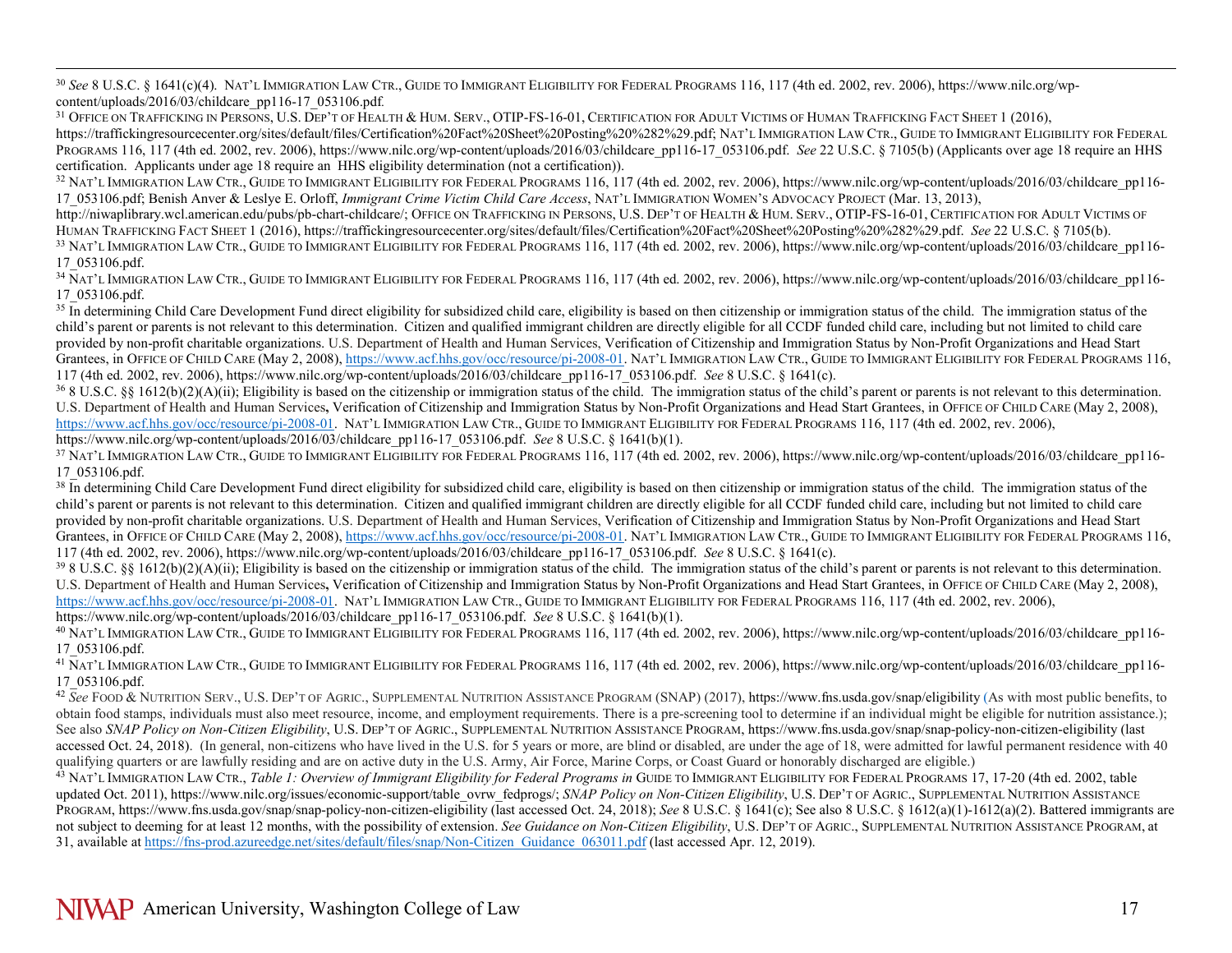<span id="page-16-13"></span><span id="page-16-12"></span><span id="page-16-11"></span><span id="page-16-10"></span><span id="page-16-9"></span><span id="page-16-8"></span><span id="page-16-7"></span><span id="page-16-6"></span><span id="page-16-5"></span><span id="page-16-4"></span><span id="page-16-3"></span><span id="page-16-2"></span><span id="page-16-1"></span><span id="page-16-0"></span> 30 *See* 8 U.S.C. § 1641(c)(4). NAT'L IMMIGRATION LAW CTR., GUIDE TO IMMIGRANT ELIGIBILITY FOR FEDERAL PROGRAMS 116, 117 (4th ed. 2002, rev. 2006)[, https://www.nilc.org/wp](https://www.nilc.org/wp-content/uploads/2016/03/childcare_pp116-17_053106.pdf)[content/uploads/2016/03/childcare\\_pp116-17\\_053106.pdf](https://www.nilc.org/wp-content/uploads/2016/03/childcare_pp116-17_053106.pdf)*.*

<sup>31</sup> Office on Trafficking in Persons, U.S. Dep't of Health & Hum. Serv., OTIP-FS-16-01, Certification for Adult Victims of Human Trafficking Fact Sheet 1 (2016), [https://traffickingresourcecenter.org/sites/default/files/Certification%20Fact%20Sheet%20Posting%20%282%29.pdf;](https://traffickingresourcecenter.org/sites/default/files/Certification%20Fact%20Sheet%20Posting%20%282%29.pdf) NAT'L IMMIGRATION LAW CTR., GUIDE TO IMMIGRANT ELIGIBILITY FOR FEDERAL PROGRAMS 116, 117 (4th ed. 2002, rev. 2006)[, https://www.nilc.org/wp-content/uploads/2016/03/childcare\\_pp116-17\\_053106.pdf.](https://www.nilc.org/wp-content/uploads/2016/03/childcare_pp116-17_053106.pdf) *See* 22 U.S.C. § 7105(b) (Applicants over age 18 require an HHS certification. Applicants under age 18 require an HHS eligibility determination (not a certification)).

<sup>32</sup> NAT'L IMMIGRATION LAW CTR., GUIDE TO IMMIGRANT ELIGIBILITY FOR FEDERAL PROGRAMS 116, 117 (4th ed. 2002, rev. 2006)[, https://www.nilc.org/wp-content/uploads/2016/03/childcare\\_pp116-](https://www.nilc.org/wp-content/uploads/2016/03/childcare_pp116-17_053106.pdf) [17\\_053106.pdf;](https://www.nilc.org/wp-content/uploads/2016/03/childcare_pp116-17_053106.pdf) Benish Anver & Leslye E. Orloff, *Immigrant Crime Victim Child Care Access*, NAT'L IMMIGRATION WOMEN'S ADVOCACY PROJECT (Mar. 13, 2013),

[http://niwaplibrary.wcl.american.edu/pubs/pb-chart-childcare/;](http://niwaplibrary.wcl.american.edu/pubs/pb-chart-childcare/) OFFICE ON TRAFFICKING IN PERSONS, U.S. DEP'T OF HEALTH & HUM. SERV., OTIP-FS-16-01, CERTIFICATION FOR ADULT VICTIMS OF<br>HUMAN TRAFFICKING FACT SHEET 1 (2016), h

<sup>33</sup> NAT'L IMMIGRATION LAW CTR., GUIDE TO IMMIGRANT ELIGIBILITY FOR FEDERAL PROGRAMS 116, 117 (4th ed. 2002, rev. 2006), https://www.nilc.org/wp-content/uploads/2016/03/childcare pp116-17\_053106.pdf.<br><sup>34</sup> NAT'L IMMIGRATION LAW CTR., GUIDE TO IMMIGRANT ELIGIBILITY FOR FEDERAL PROGRAMS 116, 117 (4th ed. 2002, rev. 2006)[, https://www.nilc.org/wp-content/uploads/2016/03/childcare\\_pp116-](https://www.nilc.org/wp-content/uploads/2016/03/childcare_pp116-17_053106.pdf)

[17\\_053106.pdf.](https://www.nilc.org/wp-content/uploads/2016/03/childcare_pp116-17_053106.pdf) 35 In determining Child Care Development Fund direct eligibility for subsidized child care, eligibility is based on then citizenship or immigration status of the child. The immigration status of the status

child's parent or parents is not relevant to this determination. Citizen and qualified immigrant children are directly eligible for all CCDF funded child care, including but not limited to child care provided by non-profit charitable organizations. U.S. Department of Health and Human Services, Verification of Citizenship and Immigration Status by Non-Profit Organizations and Head Start Grantees, in OFFICE OF CHILD CARE (May 2, 2008)[, https://www.acf.hhs.gov/occ/resource/pi-2008-01.](https://www.acf.hhs.gov/occ/resource/pi-2008-01) NAT'L IMMIGRATION LAW CTR., GUIDE TO IMMIGRANT ELIGIBILITY FOR FEDERAL PROGRAMS 116, 117 (4th ed. 2002, rev. 2006)[, https://www.nilc.org/wp-content/uploads/2016/03/childcare\\_pp116-17\\_053106.pdf.](https://www.nilc.org/wp-content/uploads/2016/03/childcare_pp116-17_053106.pdf) See 8 U.S.C. § 1641(c).<br><sup>36</sup> 8 U.S.C. §§ 1612(b)(2)(A)(ii); Eligibility is based on the citizenship or immigrat

U.S. Department of Health and Human Services**,** Verification of Citizenship and Immigration Status by Non-Profit Organizations and Head Start Grantees, in OFFICE OF CHILD CARE (May 2, 2008), [https://www.acf.hhs.gov/occ/resource/pi-2008-01.](https://www.acf.hhs.gov/occ/resource/pi-2008-01) NAT'L IMMIGRATION LAW CTR., GUIDE TO IMMIGRANT ELIGIBILITY FOR FEDERAL PROGRAMS 116, 117 (4th ed. 2002, rev. 2006),

https://www.nilc.org/wp-content/uploads/2016/03/childcare\_pp116-17\_053106.pdf. See 8 U.S.C. § 1641(b)(1).<br><sup>37</sup> NAT'L IMMIGRATION LAW CTR., GUIDE TO IMMIGRANT ELIGIBILITY FOR FEDERAL PROGRAMS 116, 117 (4th ed. 2002, rev. 20

<sup>38</sup> In determining Child Care Development Fund direct eligibility for subsidized child care, eligibility is based on then citizenship or immigration status of the child. The immigration status of the child's parent or parents is not relevant to this determination. Citizen and qualified immigrant children are directly eligible for all CCDF funded child care, including but not limited to child care provided by non-profit charitable organizations. U.S. Department of Health and Human Services, Verification of Citizenship and Immigration Status by Non-Profit Organizations and Head Start Grantees, in OFFICE OF CHILD CARE (May 2, 2008)[, https://www.acf.hhs.gov/occ/resource/pi-2008-01.](https://www.acf.hhs.gov/occ/resource/pi-2008-01) NAT'L IMMIGRATION LAW CTR., GUIDE TO IMMIGRANT ELIGIBILITY FOR FEDERAL PROGRAMS 116,<br>117 (4th ed. 2002, rev. 2006), https://

 $398$  U.S.C. §§ 1612(b)(2)(A)(ii); Eligibility is based on the citizenship or immigration status of the child. The immigration status of the child's parent or parents is not relevant to this determination. U.S. Department of Health and Human Services, Verification of Citizenship and Immigration Status by Non-Profit Organizations and Head Start Grantees, in OFFICE OF CHILD CARE (May 2, 2008), [https://www.acf.hhs.gov/occ/resource/pi-2008-01.](https://www.acf.hhs.gov/occ/resource/pi-2008-01) NAT'L IMMIGRATION LAW CTR., GUIDE TO IMMIGRANT ELIGIBILITY FOR FEDERAL PROGRAMS 116, 117 (4th ed. 2002, rev. 2006), [https://www.nilc.org/wp-content/uploads/2016/03/childcare\\_pp116-17\\_053106.pdf.](https://www.nilc.org/wp-content/uploads/2016/03/childcare_pp116-17_053106.pdf) *See* 8 U.S.C. § 1641(b)(1).

<sup>40</sup> NAT'L IMMIGRATION LAW CTR., GUIDE TO IMMIGRANT ELIGIBILITY FOR FEDERAL PROGRAMS 116, 117 (4th ed. 2002, rev. 2006)[, https://www.nilc.org/wp-content/uploads/2016/03/childcare\\_pp116-](https://www.nilc.org/wp-content/uploads/2016/03/childcare_pp116-17_053106.pdf)<br>17 053106.pdf.

<sup>41</sup> NAT'L IMMIGRATION LAW CTR., GUIDE TO IMMIGRANT ELIGIBILITY FOR FEDERAL PROGRAMS 116, 117 (4th ed. 2002, rev. 2006)[, https://www.nilc.org/wp-content/uploads/2016/03/childcare\\_pp116-](https://www.nilc.org/wp-content/uploads/2016/03/childcare_pp116-17_053106.pdf) [17\\_053106.pdf.](https://www.nilc.org/wp-content/uploads/2016/03/childcare_pp116-17_053106.pdf) 42 *See* FOOD & NUTRITION SERV., U.S. DEP'T OF AGRIC., SUPPLEMENTAL NUTRITION ASSISTANCE PROGRAM (SNAP) (2017), <https://www.fns.usda.gov/snap/eligibility> (As with most public benefits, to

obtain food stamps, individuals must also meet resource, income, and employment requirements. There is a pre-screening tool to determine if an individual might be eligible for nutrition assistance.); See also *SNAP Policy on Non-Citizen Eligibility*, U.S. DEP'T OF AGRIC., SUPPLEMENTAL NUTRITION ASSISTANCE PROGRAM, https://www.fns.usda.gov/snap/snap-policy-non-citizen-eligibility (last accessed Oct. 24, 2018). (In general, non-citizens who have lived in the U.S. for 5 years or more, are blind or disabled, are under the age of 18, were admitted for lawful permanent residence with 40 qualifying quarters or are lawfully residing and are on active duty in the U.S. Army, Air Force, Marine Corps, or Coast Guard or honorably discharged are eligible.)

<sup>43</sup> NAT'L IMMIGRATION LAW CTR., *Table 1: Overview of Immigrant Eligibility for Federal Programs in* GUIDE TO IMMIGRANT ELIGIBILITY FOR FEDERAL PROGRAMS 17, 17-20 (4th ed. 2002, table updated Oct. 2011), https://www.nilc.org/issues/economic-support/table\_ovrw\_fedprogs/; *SNAP Policy on Non-Citizen Eligibility*, U.S. DEP'T OF AGRIC., SUPPLEMENTAL NUTRITION ASSISTANCE PROGRAM, https://www.fns.usda.gov/snap/snap-policy-non-citizen-eligibility (last accessed Oct. 24, 2018); *See* 8 U.S.C. § 1641(c); See also 8 U.S.C. § 1612(a)(1)-1612(a)(2). Battered immigrants are not subject to deeming for at least 12 months, with the possibility of extension. *See Guidance on Non-Citizen Eligibility*, U.S. DEP'T OF AGRIC., SUPPLEMENTAL NUTRITION ASSISTANCE PROGRAM, at 31, available at [https://fns-prod.azureedge.net/sites/default/files/snap/Non-Citizen\\_Guidance\\_063011.pdf](https://fns-prod.azureedge.net/sites/default/files/snap/Non-Citizen_Guidance_063011.pdf) (last accessed Apr. 12, 2019).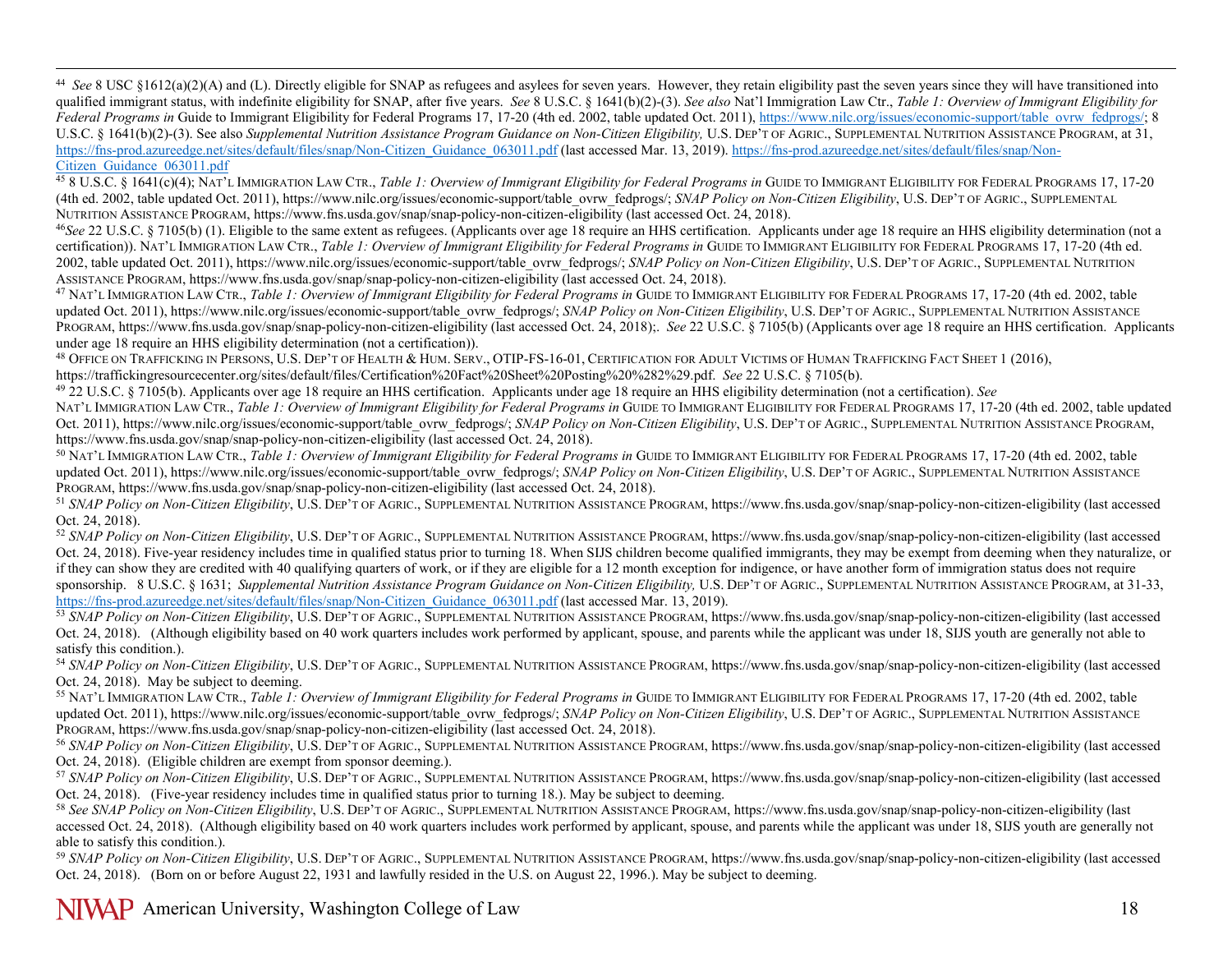<span id="page-17-15"></span><span id="page-17-14"></span><span id="page-17-13"></span><span id="page-17-12"></span><span id="page-17-11"></span><span id="page-17-10"></span><span id="page-17-9"></span><span id="page-17-8"></span><span id="page-17-7"></span><span id="page-17-6"></span><span id="page-17-5"></span><span id="page-17-4"></span><span id="page-17-3"></span><span id="page-17-2"></span><span id="page-17-1"></span><span id="page-17-0"></span><sup>44</sup> See 8 USC \$1612(a)(2)(A) and (L). Directly eligible for SNAP as refugees and asylees for seven years. However, they retain eligibility past the seven years since they will have transitioned into qualified immigrant status, with indefinite eligibility for SNAP, after five years. *See* 8 U.S.C. § 1641(b)(2)-(3). *See also* Nat'l Immigration Law Ctr., *Table 1: Overview of Immigrant Eligibility for* Federal Programs in Guide to Immigrant Eligibility for Federal Programs 17, 17-20 (4th ed. 2002, table updated Oct. 2011), [https://www.nilc.org/issues/economic-support/table\\_ovrw\\_fedprogs/;](https://www.nilc.org/issues/economic-support/table_ovrw_fedprogs/) 8 U.S.C. § 1641(b)(2)-(3). See also *Supplemental Nutrition Assistance Program Guidance on Non-Citizen Eligibility*, U.S. DEP'T OF AGRIC., SUPPLEMENTAL NUTRITION ASSISTANCE PROGRAM, at 31, https://fns-prod.azureedge.net/sites/default/files/snap/Non-Citizen\_Guidance\_063011.pdf (last accessed Mar. 13, 2019). https://fns-prod.azureedge.net/sites/default/files/snap/Non-Citizen\_Guidance\_063011.pdf

<sup>45</sup> 8 U.S.C. § 1641(c)(4); NAT'L IMMIGRATION LAW CTR., *Table 1: Overview of Immigrant Eligibility for Federal Programs in* GUIDE TO IMMIGRANT ELIGIBILITY FOR FEDERAL PROGRAMS 17, 17-20 (4th ed. 2002, table updated Oct. 2011), https://www.nilc.org/issues/economic-support/table\_ovrw\_fedprogs/; *SNAP Policy on Non-Citizen Eligibility*, U.S. DEP'T OF AGRIC., SUPPLEMENTAL NUTRITION ASSISTANCE PROGRAM, https://www.fns.usda.gov/snap/snap-policy-non-citizen-eligibility (last accessed Oct. 24, 2018).

<sup>46</sup>*See* 22 U.S.C. § 7105(b) (1). Eligible to the same extent as refugees. (Applicants over age 18 require an HHS certification. Applicants under age 18 require an HHS eligibility determination (not a certification)). NAT'L IMMIGRATION LAW CTR., *Table 1: Overview of Immigrant Eligibility for Federal Programs in* GUIDE TO IMMIGRANT ELIGIBILITY FOR FEDERAL PROGRAMS 17, 17-20 (4th ed. 2002, table updated Oct. 2011), https://www.nilc.org/issues/economic-support/table\_ovrw\_fedprogs/; *SNAP Policy on Non-Citizen Eligibility*, U.S. DEP'T OF AGRIC., SUPPLEMENTAL NUTRITION ASSISTANCE PROGRAM, https://www.fns.usda.gov/snap/snap-policy-non-citizen-eligibility (last accessed Oct. 24, 2018).

<sup>47</sup> NAT'L IMMIGRATION LAW CTR., *Table 1: Overview of Immigrant Eligibility for Federal Programs in* GUIDE TO IMMIGRANT ELIGIBILITY FOR FEDERAL PROGRAMS 17, 17-20 (4th ed. 2002, table updated Oct. 2011), https://www.nilc.org/issues/economic-support/table\_ovrw\_fedprogs/; *SNAP Policy on Non-Citizen Eligibility*, U.S. DEP'T OF AGRIC., SUPPLEMENTAL NUTRITION ASSISTANCE PROGRAM, https://www.fns.usda.gov/snap/snap-policy-non-citizen-eligibility (last accessed Oct. 24, 2018);. *See* 22 U.S.C. § 7105(b) (Applicants over age 18 require an HHS certification. Applicants under age 18 require an

<sup>48</sup> OFFICE ON TRAFFICKING IN PERSONS, U.S. DEP'T OF HEALTH & HUM. SERV., OTIP-FS-16-01, CERTIFICATION FOR ADULT VICTIMS OF HUMAN TRAFFICKING FACT SHEET 1 (2016), [https://traffickingresourcecenter.org/sites/default/files/Certification%20Fact%20Sheet%20Posting%20%282%29.pdf.](https://traffickingresourcecenter.org/sites/default/files/Certification%20Fact%20Sheet%20Posting%20%282%29.pdf) See 22 U.S.C. § 7105(b).<br><sup>49</sup> 22 U.S.C. § 7105(b). Applicants over age 18 require an HHS certification. Applic

NAT'L IMMIGRATION LAW CTR., *Table 1: Overview of Immigrant Eligibility for Federal Programs in* GUIDE TO IMMIGRANT ELIGIBILITY FOR FEDERAL PROGRAMS 17, 17-20 (4th ed. 2002, table updated Oct. 2011), https://www.nilc.org/issues/economic-support/table\_ovrw\_fedprogs/; *SNAP Policy on Non-Citizen Eligibility*, U.S. DEP'T OF AGRIC., SUPPLEMENTAL NUTRITION ASSISTANCE PROGRAM, https://www.fns.usda.gov/snap/snap-policy-non-citizen-eligibility (last accessed Oct. 24, 2018).

<sup>50</sup> NAT'L IMMIGRATION LAW CTR., *Table 1: Overview of Immigrant Eligibility for Federal Programs in* GUIDE TO IMMIGRANT ELIGIBILITY FOR FEDERAL PROGRAMS 17, 17-20 (4th ed. 2002, table updated Oct. 2011), https://www.nilc.org/issues/economic-support/table\_ovrw\_fedprogs/; *SNAP Policy on Non-Citizen Eligibility*, U.S. DEP'T OF AGRIC., SUPPLEMENTAL NUTRITION ASSISTANCE PROGRAM, https://www.fns.usda.gov/snap/snap-policy-non-citizen-eligibility (last accessed Oct. 24, 2018).

<sup>51</sup> SNAP Policy on Non-Citizen Eligibility, U.S. Dep't OF AGRIC., SUPPLEMENTAL NUTRITION ASSISTANCE PROGRAM, https://www.fns.usda.gov/snap/snap-policy-non-citizen-eligibility (last accessed Oct. 24, 2018).

52 SNAP Policy on Non-Citizen Eligibility, U.S. Dep'T OF AGRIC., SUPPLEMENTAL NUTRITION ASSISTANCE PROGRAM, https://www.fns.usda.gov/snap/snap-policy-non-citizen-eligibility (last accessed Oct. 24, 2018). Five-year residency includes time in qualified status prior to turning 18. When SIJS children become qualified immigrants, they may be exempt from deeming when they naturalize, or if they can show they are credited with 40 qualifying quarters of work, or if they are eligible for a 12 month exception for indigence, or have another form of immigration status does not require sponsorship. 8 U.S.C. § 1631; *Supplemental Nutrition Assistance Program Guidance on Non-Citizen Eligibility*, U.S. DEP'T OF AGRIC., SUPPLEMENTAL NUTRITION ASSISTANCE PROGRAM, at 31-33, https://fns-prod.azureedge.net/sites

53 SNAP Policy on Non-Citizen Eligibility, U.S. DEP'T OF AGRIC., SUPPLEMENTAL NUTRITION ASSISTANCE PROGRAM, https://www.fns.usda.gov/snap/snap-policy-non-citizen-eligibility (last accessed Oct. 24, 2018). (Although eligibility based on 40 work quarters includes work performed by applicant, spouse, and parents while the applicant was under 18, SIJS youth are generally not able to satisfy this condition.).

<sup>54</sup> *SNAP Policy on Non-Citizen Eligibility*, U.S. DEP'T OF AGRIC., SUPPLEMENTAL NUTRITION ASSISTANCE PROGRAM, https://www.fns.usda.gov/snap/snap-policy-non-citizen-eligibility (last accessed Oct. 24, 2018). May be subject to deeming.

<sup>55</sup> NAT'L IMMIGRATION LAW CTR., *Table 1: Overview of Immigrant Eligibility for Federal Programs in* GUIDE TO IMMIGRANT ELIGIBILITY FOR FEDERAL PROGRAMS 17, 17-20 (4th ed. 2002, table updated Oct. 2011), https://www.nilc.org/issues/economic-support/table\_ovrw\_fedprogs/; *SNAP Policy on Non-Citizen Eligibility*, U.S. DEP'T OF AGRIC., SUPPLEMENTAL NUTRITION ASSISTANCE PROGRAM, https://www.fns.usda.gov/sna

<sup>56</sup> SNAP Policy on Non-Citizen Eligibility, U.S. DEP'T OF AGRIC.. SUPPLEMENTAL NUTRITION ASSISTANCE PROGRAM, https://www.fns.usda.gov/snap/snap-policy-non-citizen-eligibility (last accessed Oct. 24, 2018). (Eligible children are exempt from sponsor deeming.).<br><sup>57</sup> SNAP Policy on Non-Citizen Eligibility, U.S. DEP'T OF AGRIC., SUPPLEMENTAL NUTRITION ASSISTANCE PROGRAM, https://www.fns.usda.gov/snap/snap-policy-

Oct. 24, 2018). (Five-year residency includes time in qualified status prior to turning 18.). May be subject to deeming.

<sup>58</sup> *See SNAP Policy on Non-Citizen Eligibility*, U.S. DEP'T OF AGRIC., SUPPLEMENTAL NUTRITION ASSISTANCE PROGRAM, https://www.fns.usda.gov/snap/snap-policy-non-citizen-eligibility (last accessed Oct. 24, 2018). (Although eligibility based on 40 work quarters includes work performed by applicant, spouse, and parents while the applicant was under 18, SIJS youth are generally not able to satisfy this condition.).

<sup>59</sup> SNAP Policy on Non-Citizen Eligibility, U.S. DEP'T OF AGRIC., SUPPLEMENTAL NUTRITION ASSISTANCE PROGRAM, https://www.fns.usda.gov/snap/snap-policy-non-citizen-eligibility (last accessed Oct. 24, 2018). (Born on or before August 22, 1931 and lawfully resided in the U.S. on August 22, 1996.). May be subject to deeming.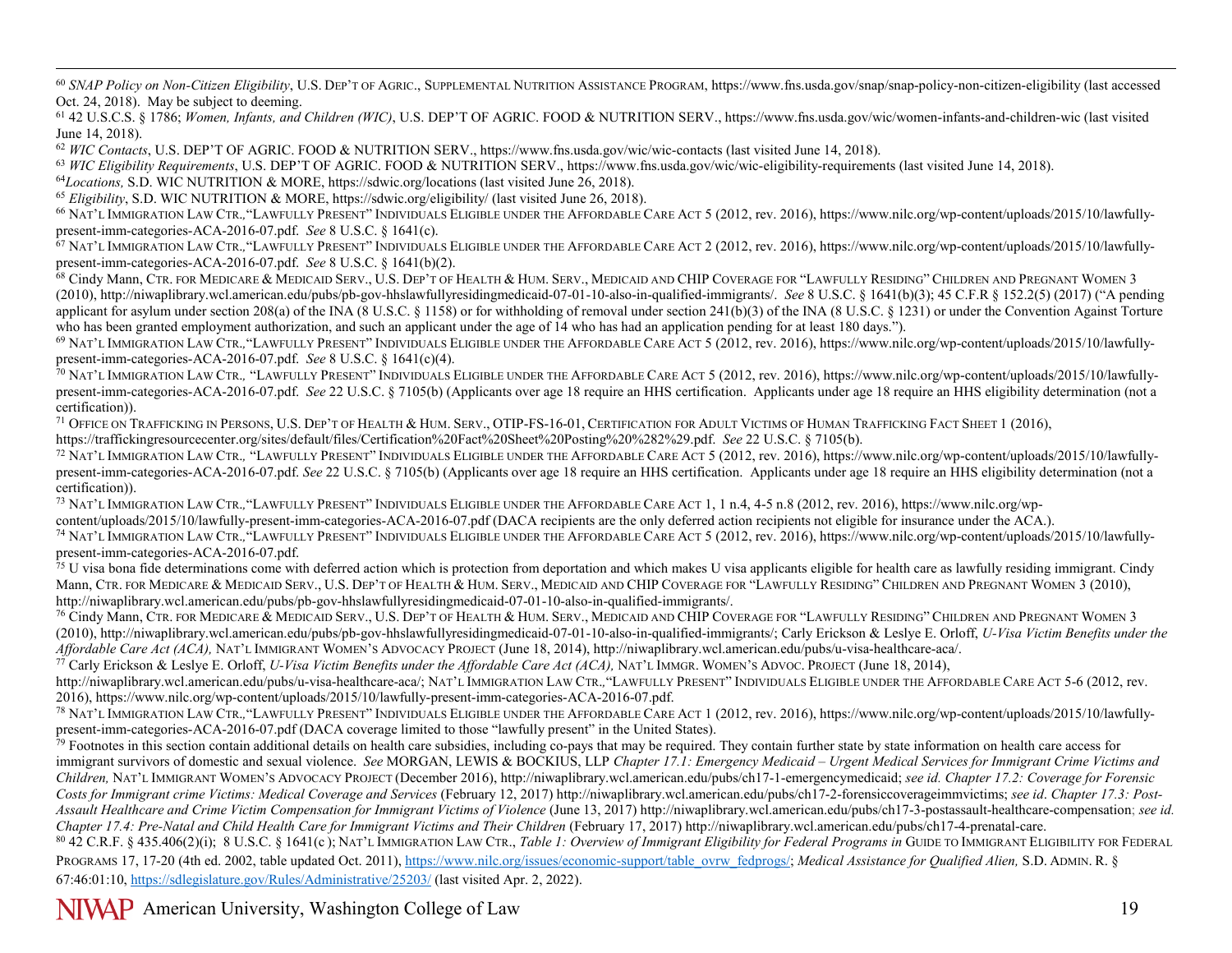<span id="page-18-20"></span><span id="page-18-19"></span><span id="page-18-18"></span><span id="page-18-17"></span><span id="page-18-16"></span><span id="page-18-15"></span><span id="page-18-14"></span><span id="page-18-13"></span><span id="page-18-12"></span><span id="page-18-11"></span><span id="page-18-10"></span><span id="page-18-9"></span><span id="page-18-8"></span><span id="page-18-7"></span><span id="page-18-6"></span><span id="page-18-5"></span><span id="page-18-4"></span><span id="page-18-3"></span><span id="page-18-2"></span><span id="page-18-1"></span><span id="page-18-0"></span><sup>60</sup> SNAP Policy on Non-Citizen Eligibility, U.S. DEP'T OF AGRIC., SUPPLEMENTAL NUTRITION ASSISTANCE PROGRAM, https://www.fns.usda.gov/snap/snap-policy-non-citizen-eligibility (last accessed Oct. 24, 2018). May be subject to deeming.

<sup>61</sup> 42 U.S.C.S. § 1786; *Women, Infants, and Children (WIC)*, U.S. DEP'T OF AGRIC. FOOD & NUTRITION SERV., https://www.fns.usda.gov/wic/women-infants-and-children-wic (last visited June 14, 2018).

<sup>62</sup> *WIC Contacts*, U.S. DEP'T OF AGRIC. FOOD & NUTRITION SERV., https://www.fns.usda.gov/wic/wic-contacts (last visited June 14, 2018).

<sup>63</sup> WIC Eligibility Requirements, U.S. DEP'T OF AGRIC. FOOD & NUTRITION SERV., https://www.fns.usda.gov/wic/wic-eligibility-requirements (last visited June 14, 2018).

<sup>64</sup>*Locations,* S.D. WIC NUTRITION & MORE, https://sdwic.org/locations (last visited June 26, 2018).

<sup>65</sup> *Eligibility*, S.D. WIC NUTRITION & MORE, https://sdwic.org/eligibility/ (last visited June 26, 2018).

<sup>66</sup> NAT'L IMMIGRATION LAW CTR., "LAWFULLY PRESENT" INDIVIDUALS ELIGIBLE UNDER THE AFFORDABLE CARE ACT 5 (2012, rev. 2016), https://www.nilc.org/wp-content/uploads/2015/10/lawfully-<br>present-imm-categories-ACA-2016-07.pdf.

67 NAT'L IMMIGRATION LAW CTR., "LAWFULLY PRESENT" INDIVIDUALS ELIGIBLE UNDER THE AFFORDABLE CARE ACT 2 (2012, rev. 2016), [https://www.nilc.org/wp-content/uploads/2015/10/lawfully](https://www.nilc.org/wp-content/uploads/2015/10/lawfully-present-imm-categories-ACA-2016-07.pdf)[present-imm-categories-ACA-2016-07.pdf.](https://www.nilc.org/wp-content/uploads/2015/10/lawfully-present-imm-categories-ACA-2016-07.pdf) *See* 8 U.S.C. § 1641(b)(2).

<sup>68</sup> Cindy Mann, CTR. FOR MEDICARE & MEDICAID SERV., U.S. DEP'T OF HEALTH & HUM. SERV., MEDICAID AND CHIP COVERAGE FOR "LAWFULLY RESIDING" CHILDREN AND PREGNANT WOMEN 3 (2010)[, http://niwaplibrary.wcl.american.edu/pubs/pb-gov-hhslawfullyresidingmedicaid-07-01-10-also-in-qualified-immigrants/.](http://niwaplibrary.wcl.american.edu/pubs/pb-gov-hhslawfullyresidingmedicaid-07-01-10-also-in-qualified-immigrants/) *See* 8 U.S.C. § 1641(b)(3); 45 C.F.R § 152.2(5) (2017) ("A pending applicant for asylum under section 208(a) of the INA (8 U.S.C. § 1158) or for withholding of removal under section 241(b)(3) of the INA (8 U.S.C. § 1231) or under the Convention Against Torture who has been granted employment authorization, and such an applicant under the age of 14 who has had an application pending for at least 180 days.").

69 NAT'L IMMIGRATION LAW CTR.*,*"LAWFULLY PRESENT" INDIVIDUALS ELIGIBLE UNDER THE AFFORDABLE CARE ACT 5 (2012, rev. 2016), [https://www.nilc.org/wp-content/uploads/2015/10/lawfully](https://www.nilc.org/wp-content/uploads/2015/10/lawfully-present-imm-categories-ACA-2016-07.pdf)[present-imm-categories-ACA-2016-07.pdf.](https://www.nilc.org/wp-content/uploads/2015/10/lawfully-present-imm-categories-ACA-2016-07.pdf) *See* 8 U.S.C. § 1641(c)(4).

70 NAT'L IMMIGRATION LAW CTR.*,* "LAWFULLY PRESENT" INDIVIDUALS ELIGIBLE UNDER THE AFFORDABLE CARE ACT 5 (2012, rev. 2016)[, https://www.nilc.org/wp-content/uploads/2015/10/lawfully](https://www.nilc.org/wp-content/uploads/2015/10/lawfully-present-imm-categories-ACA-2016-07.pdf)[present-imm-categories-ACA-2016-07.pdf.](https://www.nilc.org/wp-content/uploads/2015/10/lawfully-present-imm-categories-ACA-2016-07.pdf) *See* 22 U.S.C. § 7105(b) (Applicants over age 18 require an HHS certification. Applicants under age 18 require an HHS eligibility determination (not a certification)).<br><sup>71</sup> Office on Trafficking in Persons, U.S. Dep't of Health & Hum. Serv., OTIP-FS-16-01, Certification for Adult Victims of Human Trafficking Fact Sheet 1 (2016),

https://traffickingresourcecenter.org/sites/default/files/Certification%20Fact%20Sheet%20Posting%20%282%29.pdf. See 22 U.S.C. § 7105(b).<br><sup>72</sup> NAT'L IMMIGRATION LAW CTR., "LAWFULLY PRESENT" INDIVIDUALS ELIGIBLE UNDER THE AF [present-imm-categories-ACA-2016-07.pdf.](https://www.nilc.org/wp-content/uploads/2015/10/lawfully-present-imm-categories-ACA-2016-07.pdf) *See* 22 U.S.C. § 7105(b) (Applicants over age 18 require an HHS certification. Applicants under age 18 require an HHS eligibility determination (not a certification)).

<sup>73</sup> NAT'L IMMIGRATION LAW CTR., "LAWFULLY PRESENT" INDIVIDUALS ELIGIBLE UNDER THE AFFORDABLE CARE ACT 1, 1 n.4, 4-5 n.8 (2012, rev. 2016), https://www.nilc.org/wp-<br>content/uploads/2015/10/lawfully-present-imm-categories-A

<sup>74</sup> NAT'L IMMIGRATION LAW CTR., "LAWFULLY PRESENT" INDIVIDUALS ELIGIBLE UNDER THE AFFORDABLE CARE ACT 5 (2012, rev. 2016), https://www.nilc.org/wp-content/uploads/2015/10/lawfully-<br>present-imm-categories-ACA-2016-07.pdf.

<sup>75</sup> U visa bona fide determinations come with deferred action which is protection from deportation and which makes U visa applicants eligible for health care as lawfully residing immigrant. Cindy Mann, CTR. FOR MEDICARE & MEDICAID SERV., U.S. DEP'T OF HEALTH & HUM. SERV., MEDICAID AND CHIP COVERAGE FOR "LAWFULLY RESIDING" CHILDREN AND PREGNANT WOMEN 3 (2010), [http://niwaplibrary.wcl.american.edu/pubs/pb-gov-hhslawfullyresidingmedicaid-07-01-10-also-in-qualified-immigrants/.](http://niwaplibrary.wcl.american.edu/pubs/pb-gov-hhslawfullyresidingmedicaid-07-01-10-also-in-qualified-immigrants/)<br><sup>76</sup> Cindy Mann, CTR, FOR MEDICARE & MEDICAID SERV., U.S. DEP'T OF HEALTH & HUM. SERV., MEDICAID AND CHIP

(2010)[, http://niwaplibrary.wcl.american.edu/pubs/pb-gov-hhslawfullyresidingmedicaid-07-01-10-also-in-qualified-immigrants/;](http://niwaplibrary.wcl.american.edu/pubs/pb-gov-hhslawfullyresidingmedicaid-07-01-10-also-in-qualified-immigrants/) Carly Erickson & Leslye E. Orloff, *U-Visa Victim Benefits under the Affordable Care Act (ACA),* NAT'L IMMIGRANT WOMEN'S ADVOCACY PROJECT (June 18, 2014), http://niwaplibrary.wcl.american.edu/pubs/u-visa-healthcare-aca/.

<sup>77</sup> Carly Erickson & Leslye E. Orloff, *U-Visa Victim Benefits under the Affordable Care Act (ACA),* NAT'L IMMGR. WOMEN'S ADVOC. PROJECT (June 18, 2014),

http://niwaplibrary.wcl.american.edu/pubs/u-visa-healthcare-aca/; NAT'L IMMIGRATION LAW CTR.*,*"LAWFULLY PRESENT" INDIVIDUALS ELIGIBLE UNDER THE AFFORDABLE CARE ACT 5-6 (2012, rev. 2016)[, https://www.nilc.org/wp-content/uploads/2015/10/lawfully-present-imm-categories-ACA-2016-07.pdf.](https://www.nilc.org/wp-content/uploads/2015/10/lawfully-present-imm-categories-ACA-2016-07.pdf)<br><sup>78</sup> NAT'L IMMIGRATION LAW CTR., "LAWFULLY PRESENT" INDIVIDUALS ELIGIBLE UNDER THE AFFORDABLE CARE ACT 1 (2012, rev. 2

[present-imm-categories-ACA-2016-07.pdf](https://www.nilc.org/wp-content/uploads/2015/10/lawfully-present-imm-categories-ACA-2016-07.pdf) (DACA coverage limited to those "lawfully present" in the United States).

 $\frac{79}{2}$  Footnotes in this section contain additional details on health care subsidies, including co-pays that may be required. They contain further state by state information on health care access for immigrant survivors of domestic and sexual violence. *See* MORGAN, LEWIS & BOCKIUS, LLP *Chapter 17.1: Emergency Medicaid – Urgent Medical Services for Immigrant Crime Victims and Children,* NAT'L IMMIGRANT WOMEN'S ADVOCACY PROJECT (December 2016), http://niwaplibrary.wcl.american.edu/pubs/ch17-1-emergencymedicaid; *see id. Chapter 17.2: Coverage for Forensic Costs for Immigrant crime Victims: Medical Coverage and Services* (February 12, 2017) http://niwaplibrary.wcl.american.edu/pubs/ch17-2-forensiccoverageimmvictims; *see id*. *Chapter 17.3: Post-*Assault Healthcare and Crime Victim Compensation for Immigrant Victims of Violence (June 13, 2017) http://niwaplibrary.wcl.american.edu/pubs/ch17-3-postassault-healthcare-compensation; *see id. Chapter 17.4: Pre-Natal and Child Health Care for Immigrant Victims and Their Children* (February 17, 2017) http://niwaplibrary.wcl.american.edu/pubs/ch17-4-prenatal-care.

<sup>80</sup> 42 C.R.F. § 435.406(2)(i); 8 U.S.C. § 1641(c ); NAT'L IMMIGRATION LAW CTR., *Table 1: Overview of Immigrant Eligibility for Federal Programs in* GUIDE TO IMMIGRANT ELIGIBILITY FOR FEDERAL PROGRAMS 17, 17-20 (4th ed. 2002, table updated Oct. 2011), [https://www.nilc.org/issues/economic-support/table\\_ovrw\\_fedprogs/;](https://www.nilc.org/issues/economic-support/table_ovrw_fedprogs/) *Medical Assistance for Qualified Alien*, S.D. ADMIN. R. § 67:46:01:10,<https://sdlegislature.gov/Rules/Administrative/25203/> (last visited Apr. 2, 2022).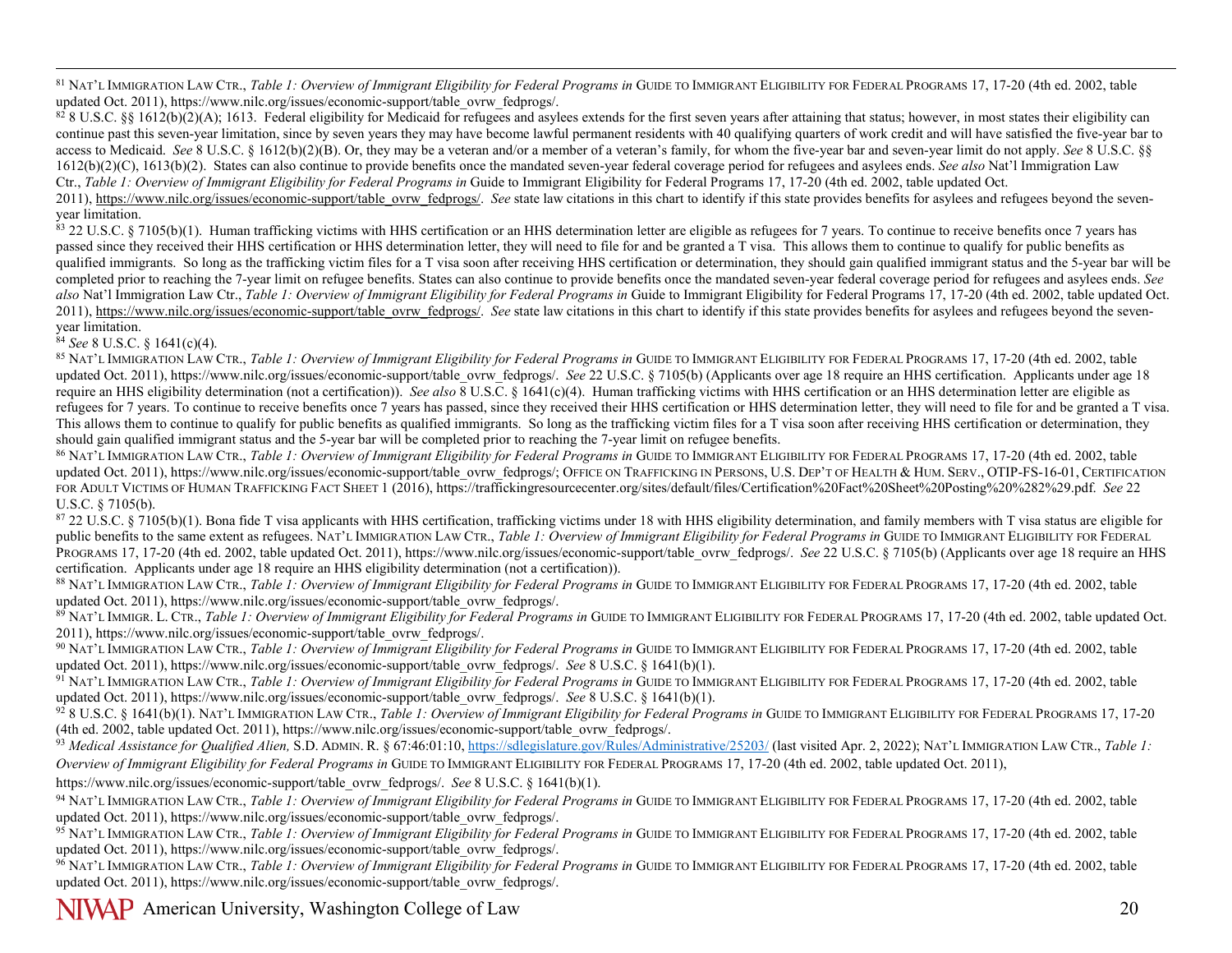<span id="page-19-15"></span><span id="page-19-14"></span><span id="page-19-13"></span><span id="page-19-12"></span><span id="page-19-11"></span><span id="page-19-10"></span><span id="page-19-9"></span><span id="page-19-8"></span><span id="page-19-7"></span><span id="page-19-6"></span><span id="page-19-5"></span><span id="page-19-4"></span><span id="page-19-3"></span><span id="page-19-2"></span><span id="page-19-1"></span><span id="page-19-0"></span><sup>81</sup> NAT'L IMMIGRATION LAW CTR., *Table 1: Overview of Immigrant Eligibility for Federal Programs in* GUIDE TO IMMIGRANT ELIGIBILITY FOR FEDERAL PROGRAMS 17, 17-20 (4th ed. 2002, table updated Oct. 2011), https://www.nilc.org/issues/economic-support/table\_ovrw\_fedprogs/.

 $828$  U.S.C. §§ 1612(b)(2)(A); 1613. Federal eligibility for Medicaid for refugees and asylees extends for the first seven years after attaining that status; however, in most states their eligibility can continue past this seven-year limitation, since by seven years they may have become lawful permanent residents with 40 qualifying quarters of work credit and will have satisfied the five-year bar to access to Medicaid. *See* 8 U.S.C. § 1612(b)(2)(B). Or, they may be a veteran and/or a member of a veteran's family, for whom the five-year bar and seven-year limit do not apply. *See* 8 U.S.C. §§ 1612(b)(2)(C), 1613(b)(2). States can also continue to provide benefits once the mandated seven-year federal coverage period for refugees and asylees ends. *See also* Nat'l Immigration Law Ctr., *Table 1: Overview of Immigrant Eligibility for Federal Programs in* Guide to Immigrant Eligibility for Federal Programs 17, 17-20 (4th ed. 2002, table updated Oct.

2011), [https://www.nilc.org/issues/economic-support/table\\_ovrw\\_fedprogs/.](https://www.nilc.org/issues/economic-support/table_ovrw_fedprogs/) See state law citations in this chart to identify if this state provides benefits for asylees and refugees beyond the sevenyear limitation.

 $\frac{83}{22}$  U.S.C. § 7105(b)(1). Human trafficking victims with HHS certification or an HHS determination letter are eligible as refugees for 7 years. To continue to receive benefits once 7 years has passed since they received their HHS certification or HHS determination letter, they will need to file for and be granted a T visa. This allows them to continue to qualify for public benefits as qualified immigrants. So long as the trafficking victim files for a T visa soon after receiving HHS certification or determination, they should gain qualified immigrant status and the 5-year bar will be completed prior to reaching the 7-year limit on refugee benefits. States can also continue to provide benefits once the mandated seven-year federal coverage period for refugees and asylees ends. *See also* Nat'l Immigration Law Ctr., *Table 1: Overview of Immigrant Eligibility for Federal Programs in* Guide to Immigrant Eligibility for Federal Programs 17, 17-20 (4th ed. 2002, table updated Oct. 2011), [https://www.nilc.org/issues/economic-support/table\\_ovrw\\_fedprogs/.](https://www.nilc.org/issues/economic-support/table_ovrw_fedprogs/) *See* state law citations in this chart to identify if this state provides benefits for asylees and refugees beyond the seven-<br>vear limitation.

<sup>§4</sup> See 8 U.S.C. § 1641(c)(4).<br><sup>85</sup> NAT'L IMMIGRATION LAW CTR., *Table 1: Overview of Immigrant Eligibility for Federal Programs in GUIDE TO IMMIGRANT ELIGIBILITY FOR FEDERAL PROGRAMS 17, 17-20 (4th ed. 2002, table* updated Oct. 2011), https://www.nilc.org/issues/economic-support/table\_ovrw\_fedprogs/. *See* 22 U.S.C. § 7105(b) (Applicants over age 18 require an HHS certification. Applicants under age 18 require an HHS eligibility determination (not a certification)). *See also* 8 U.S.C. § 1641(c)(4). Human trafficking victims with HHS certification or an HHS determination letter are eligible as refugees for 7 years. To continue to receive benefits once 7 years has passed, since they received their HHS certification or HHS determination letter, they will need to file for and be granted a T visa. This allows them to continue to qualify for public benefits as qualified immigrants. So long as the trafficking victim files for a T visa soon after receiving HHS certification or determination, they should gain qualified immigrant status and the 5-year bar will be completed prior to reaching the 7-year limit on refugee benefits.

86 NAT'L IMMIGRATION LAW CTR., *Table 1: Overview of Immigrant Eligibility for Federal Programs in* GUIDE TO IMMIGRANT ELIGIBILITY FOR FEDERAL PROGRAMS 17, 17-20 (4th ed. 2002, table updated Oct. 2011), https://www.nilc.org/issues/economic-support/table\_ovrw\_fedprogs/; OFFICE ON TRAFFICKING IN PERSONS, U.S. DEP'T OF HEALTH & HUM. SERV., OTIP-FS-16-01, CERTIFICATION FOR ADULT VICTIMS OF HUMAN TRAFFICKING FACT SHEET 1 (2016)[, https://traffickingresourcecenter.org/sites/default/files/Certification%20Fact%20Sheet%20Posting%20%282%29.pdf.](https://traffickingresourcecenter.org/sites/default/files/Certification%20Fact%20Sheet%20Posting%20%282%29.pdf) *See* 22 U.S.C. § 7105(b).

87 22 U.S.C. § 7105(b)(1). Bona fide T visa applicants with HHS certification, trafficking victims under 18 with HHS eligibility determination, and family members with T visa status are eligible for public benefits to the same extent as refugees. NAT'L IMMIGRATION LAW CTR., *Table 1: Overview of Immigrant Eligibility for Federal Programs in* GUIDE TO IMMIGRANT ELIGIBILITY FOR FEDERAL PROGRAMS 17, 17-20 (4th ed. 2002, table updated Oct. 2011), https://www.nilc.org/issues/economic-support/table\_ovrw\_fedprogs/. *See* 22 U.S.C. § 7105(b) (Applicants over age 18 require an HHS certification. Applicants under age 18 require an HHS eligibility determination (not a certification)).

88 NAT'L IMMIGRATION LAW CTR., *Table 1: Overview of Immigrant Eligibility for Federal Programs in* GUIDE TO IMMIGRANT ELIGIBILITY FOR FEDERAL PROGRAMS 17, 17-20 (4th ed. 2002, table updated Oct. 2011), https://www.nilc.org/issues/economic-support/table\_ovrw\_fedprogs/.

89 NAT'L IMMIGR. L. CTR., *Table 1: Overview of Immigrant Eligibility for Federal Programs in* GUIDE TO IMMIGRANT ELIGIBILITY FOR FEDERAL PROGRAMS 17, 17-20 (4th ed. 2002, table updated Oct. 2011), https://www.nilc.org/issues/economic-support/table\_ovrw\_fedprogs/.

<sup>90</sup> NAT'L IMMIGRATION LAW CTR., *Table 1: Overview of Immigrant Eligibility for Federal Programs in* GUIDE TO IMMIGRANT ELIGIBILITY FOR FEDERAL PROGRAMS 17, 17-20 (4th ed. 2002, table updated Oct. 2011), https://www.nilc.org/issues/economic-support/table\_ovrw\_fedprogs/. *See* 8 U.S.C. § 1641(b)(1).

<sup>91</sup> NAT'L IMMIGRATION LAW CTR., *Table 1: Overview of Immigrant Eligibility for Federal Programs in* GUIDE TO IMMIGRANT ELIGIBILITY FOR FEDERAL PROGRAMS 17, 17-20 (4th ed. 2002, table updated Oct. 2011), https://www.nilc.org/issues/economic-support/table\_ovrw\_fedprogs/. *See* 8 U.S.C. § 1641(b)(1).

<sup>92</sup> 8 U.S.C. § 1641(b)(1). NAT'L IMMIGRATION LAW CTR., *Table 1: Overview of Immigrant Eligibility for Federal Programs in* GUIDE TO IMMIGRANT ELIGIBILITY FOR FEDERAL PROGRAMS 17, 17-20 (4th ed. 2002, table updated Oct. 2011), https://www.nilc.org/issues/economic-support/table\_ovrw\_fedprogs/.

93 Medical Assistance for Qualified Alien, S.D. ADMIN. R. § 67:46:01:10,<https://sdlegislature.gov/Rules/Administrative/25203/> (last visited Apr. 2, 2022); NAT'L IMMIGRATION LAW CTR., Table 1: *Overview of Immigrant Eligibility for Federal Programs in* GUIDE TO IMMIGRANT ELIGIBILITY FOR FEDERAL PROGRAMS 17, 17-20 (4th ed. 2002, table updated Oct. 2011),

https://www.nilc.org/issues/economic-support/table\_ovrw\_fedprogs/. *See* 8 U.S.C. § 1641(b)(1).

<sup>94</sup> NAT'L IMMIGRATION LAW CTR., *Table 1: Overview of Immigrant Eligibility for Federal Programs in* GUIDE TO IMMIGRANT ELIGIBILITY FOR FEDERAL PROGRAMS 17, 17-20 (4th ed. 2002, table updated Oct. 2011), https://www.nilc.org/issues/economic-support/table\_ovrw\_fedprogs/.

<sup>95</sup> NAT'L IMMIGRATION LAW CTR., *Table 1: Overview of Immigrant Eligibility for Federal Programs in* GUIDE TO IMMIGRANT ELIGIBILITY FOR FEDERAL PROGRAMS 17, 17-20 (4th ed. 2002, table updated Oct. 2011), https://www.nilc.org/issues/economic-support/table\_ovrw\_fedprogs/.

<sup>96</sup> NAT'L IMMIGRATION LAW CTR., *Table 1: Overview of Immigrant Eligibility for Federal Programs in* GUIDE TO IMMIGRANT ELIGIBILITY FOR FEDERAL PROGRAMS 17, 17-20 (4th ed. 2002, table updated Oct. 2011), https://www.nilc.org/issues/economic-support/table\_ovrw\_fedprogs/.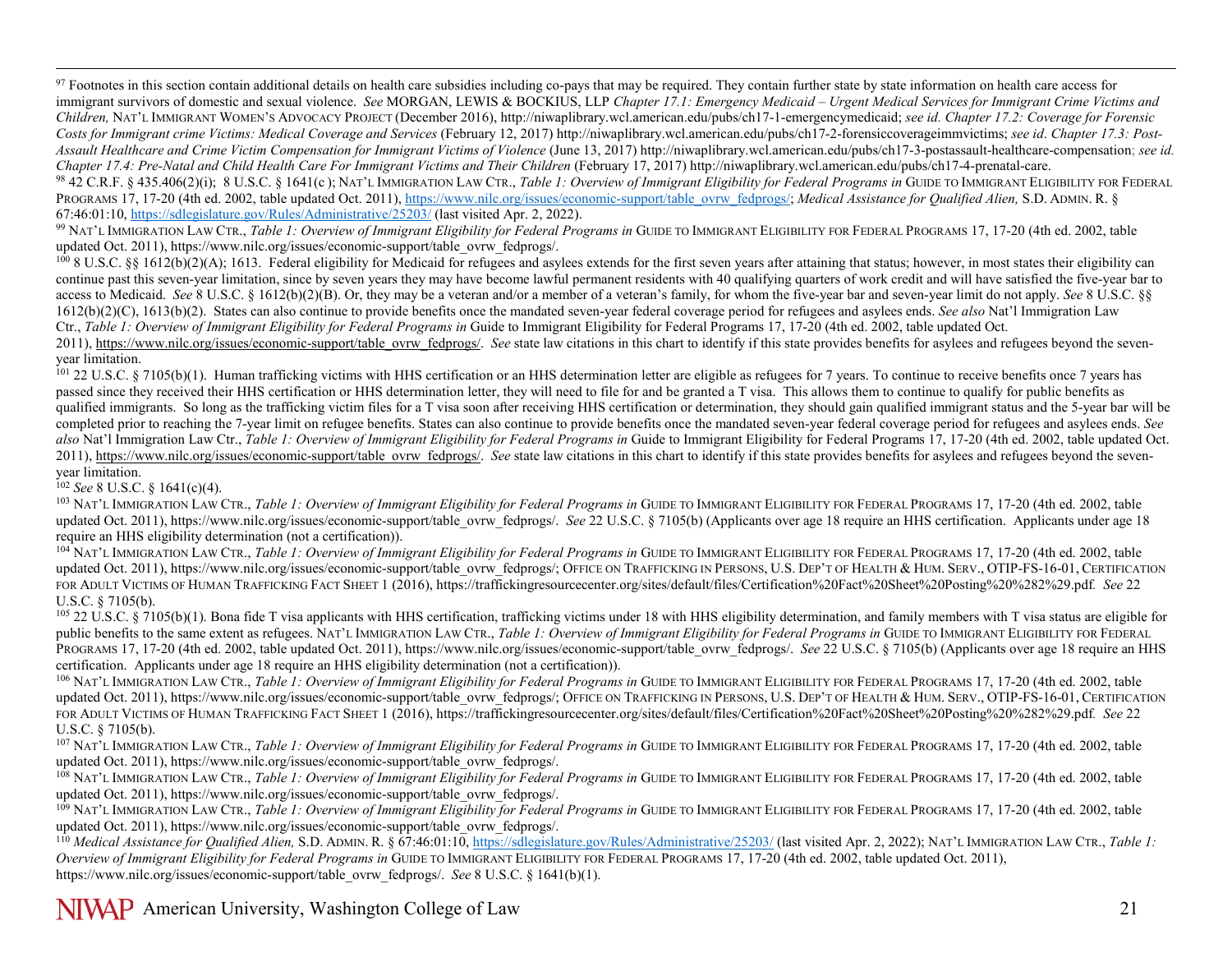<span id="page-20-13"></span><span id="page-20-12"></span><span id="page-20-11"></span><span id="page-20-10"></span><span id="page-20-9"></span><span id="page-20-8"></span><span id="page-20-7"></span><span id="page-20-6"></span><span id="page-20-5"></span><span id="page-20-4"></span><span id="page-20-3"></span><span id="page-20-2"></span><span id="page-20-1"></span><span id="page-20-0"></span><sup>97</sup> Footnotes in this section contain additional details on health care subsidies including co-pays that may be required. They contain further state by state information on health care access for immigrant survivors of domestic and sexual violence. *See* MORGAN, LEWIS & BOCKIUS, LLP *Chapter 17.1: Emergency Medicaid – Urgent Medical Services for Immigrant Crime Victims and Children,* NAT'L IMMIGRANT WOMEN'S ADVOCACY PROJECT (December 2016), http://niwaplibrary.wcl.american.edu/pubs/ch17-1-emergencymedicaid; *see id. Chapter 17.2: Coverage for Forensic Costs for Immigrant crime Victims: Medical Coverage and Services* (February 12, 2017) http://niwaplibrary.wcl.american.edu/pubs/ch17-2-forensiccoverageimmvictims; *see id*. *Chapter 17.3: Post-Assault Healthcare and Crime Victim Compensation for Immigrant Victims of Violence* (June 13, 2017) http://niwaplibrary.wcl.american.edu/pubs/ch17-3-postassault-healthcare-compensation; *see id. Chapter 17.4: Pre-Natal and Child Health Care For Immigrant Victims and Their Children* (February 17, 2017) http://niwaplibrary.wcl.american.edu/pubs/ch17-4-prenatal-care. 98 42 C.R.F. § 435.406(2)(i); 8 U.S.C. § 1641(c); NAT'L IMMIGRATION LAW CTR., *Table 1: Overview of Immigrant Eligibility for Federal Programs in* GUIDE TO IMMIGRANT ELIGIBILITY FOR FEDERAL PROGRAMS 17, 17-20 (4th ed. 2002, table updated Oct. 2011), [https://www.nilc.org/issues/economic-support/table\\_ovrw\\_fedprogs/;](https://www.nilc.org/issues/economic-support/table_ovrw_fedprogs/) *Medical Assistance for Qualified Alien*, S.D. ADMIN. R. §

67:46:01:10, https://sdlegislature.gov/Rules/Administrative/25203/ (last visited Apr. 2, 2022).<br><sup>99</sup> NAT'L IMMIGRATION LAW CTR., *Table 1: Overview of Immigrant Eligibility for Federal Programs in* GUIDE TO IMMIGRANT ELIGI updated Oct. 2011), https://www.nilc.org/issues/economic-support/table\_ovrw\_fedprogs/.

 $1008$  U.S.C. §§ 1612(b)(2)(A); 1613. Federal eligibility for Medicaid for refugees and asylees extends for the first seven years after attaining that status; however, in most states their eligibility can continue past this seven-year limitation, since by seven years they may have become lawful permanent residents with 40 qualifying quarters of work credit and will have satisfied the five-year bar to access to Medicaid. *See* 8 U.S.C. § 1612(b)(2)(B). Or, they may be a veteran and/or a member of a veteran's family, for whom the five-year bar and seven-year limit do not apply. *See* 8 U.S.C. §§ 1612(b)(2)(C), 1613(b)(2). States can also continue to provide benefits once the mandated seven-year federal coverage period for refugees and asylees ends. *See also* Nat'l Immigration Law Ctr., *Table 1: Overview of Immigrant Eligibility for Federal Programs in* Guide to Immigrant Eligibility for Federal Programs 17, 17-20 (4th ed. 2002, table updated Oct.

2011), [https://www.nilc.org/issues/economic-support/table\\_ovrw\\_fedprogs/.](https://www.nilc.org/issues/economic-support/table_ovrw_fedprogs/) *See* state law citations in this chart to identify if this state provides benefits for asylees and refugees beyond the sevenyear limitation.

<sup>101</sup> 22 U.S.C. § 7105(b)(1). Human trafficking victims with HHS certification or an HHS determination letter are eligible as refugees for 7 years. To continue to receive benefits once 7 years has passed since they received their HHS certification or HHS determination letter, they will need to file for and be granted a T visa. This allows them to continue to qualify for public benefits as qualified immigrants. So long as the trafficking victim files for a T visa soon after receiving HHS certification or determination, they should gain qualified immigrant status and the 5-year bar will be completed prior to reaching the 7-year limit on refugee benefits. States can also continue to provide benefits once the mandated seven-year federal coverage period for refugees and asylees ends. *See also* Nat'l Immigration Law Ctr., *Table 1: Overview of Immigrant Eligibility for Federal Programs in* Guide to Immigrant Eligibility for Federal Programs 17, 17-20 (4th ed. 2002, table updated Oct. 2011), [https://www.nilc.org/issues/economic-support/table\\_ovrw\\_fedprogs/.](https://www.nilc.org/issues/economic-support/table_ovrw_fedprogs/) *See* state law citations in this chart to identify if this state provides benefits for asylees and refugees beyond the sevenyear limitation.<br> $102 \text{ See } 8 \text{ U.S.C. } 8 \text{ 1641(c)(4)}.$ 

<sup>103</sup> NAT'L IMMIGRATION LAW CTR., Table 1: Overview of Immigrant Eligibility for Federal Programs in GUIDE TO IMMIGRANT ELIGIBILITY FOR FEDERAL PROGRAMS 17, 17-20 (4th ed. 2002, table updated Oct. 2011), https://www.nilc.org/issues/economic-support/table\_ovrw\_fedprogs/. *See* 22 U.S.C. § 7105(b) (Applicants over age 18 require an HHS certification. Applicants under age 18 require an HHS eligibility determination (not a certification)).

<sup>104</sup> NAT'L IMMIGRATION LAW CTR., *Table 1: Overview of Immigrant Eligibility for Federal Programs in* GUIDE TO IMMIGRANT ELIGIBILITY FOR FEDERAL PROGRAMS 17, 17-20 (4th ed. 2002, table updated Oct. 2011), https://www.nilc.org/issues/economic-support/table\_ovrw\_fedprogs/; OFFICE ON TRAFFICKING IN PERSONS, U.S. DEP'T OF HEALTH & HUM. SERV., OTIP-FS-16-01, CERTIFICATION FOR ADULT VICTIMS OF HUMAN TRAFFICKING FACT SHEET 1 (2016)[, https://traffickingresourcecenter.org/sites/default/files/Certification%20Fact%20Sheet%20Posting%20%282%29.pdf](https://traffickingresourcecenter.org/sites/default/files/Certification%20Fact%20Sheet%20Posting%20%282%29.pdf)*. See* 22 U.S.C. § 7105(b).

 $105$  22 U.S.C. § 7105(b)(1). Bona fide T visa applicants with HHS certification, trafficking victims under 18 with HHS eligibility determination, and family members with T visa status are eligible for public benefits to the same extent as refugees. NAT'L IMMIGRATION LAW CTR., *Table 1: Overview of Immigrant Eligibility for Federal Programs in* GUIDE TO IMMIGRANT ELIGIBILITY FOR FEDERAL PROGRAMS 17, 17-20 (4th ed. 2002, table updated Oct. 2011), https://www.nilc.org/issues/economic-support/table\_ovrw\_fedprogs/. *See* 22 U.S.C. § 7105(b) (Applicants over age 18 require an HHS certification. Applicants under age 18 require an HHS eligibility determination (not a certification)).

<sup>106</sup> NAT'L IMMIGRATION LAW CTR., *Table 1: Overview of Immigrant Eligibility for Federal Programs in* GUIDE TO IMMIGRANT ELIGIBILITY FOR FEDERAL PROGRAMS 17, 17-20 (4th ed. 2002, table updated Oct. 2011), https://www.nilc.org/issues/economic-support/table\_ovrw\_fedprogs/; OFFICE ON TRAFFICKING IN PERSONS, U.S. DEP'T OF HEALTH & HUM. SERV., OTIP-FS-16-01, CERTIFICATION FOR ADULT VICTIMS OF HUMAN TRAFFICKING FACT SHEET 1 (2016)[, https://traffickingresourcecenter.org/sites/default/files/Certification%20Fact%20Sheet%20Posting%20%282%29.pdf](https://traffickingresourcecenter.org/sites/default/files/Certification%20Fact%20Sheet%20Posting%20%282%29.pdf)*. See* 22 U.S.C. § 7105(b).

<sup>107</sup> NAT'L IMMIGRATION LAW CTR., *Table 1: Overview of Immigrant Eligibility for Federal Programs in* GUIDE TO IMMIGRANT ELIGIBILITY FOR FEDERAL PROGRAMS 17, 17-20 (4th ed. 2002, table updated Oct. 2011), https://www.nilc.org/issues/economic-support/table\_ovrw\_fedprogs/.

<sup>108</sup> NAT'L IMMIGRATION LAW CTR., *Table 1: Overview of Immigrant Eligibility for Federal Programs in* GUIDE TO IMMIGRANT ELIGIBILITY FOR FEDERAL PROGRAMS 17, 17-20 (4th ed. 2002, table updated Oct. 2011), https://www.nilc.org/issues/economic-support/table\_ovrw\_fedprogs/.

<sup>109</sup> NAT'L IMMIGRATION LAW CTR., *Table 1: Overview of Immigrant Eligibility for Federal Programs in* GUIDE TO IMMIGRANT ELIGIBILITY FOR FEDERAL PROGRAMS 17, 17-20 (4th ed. 2002, table updated Oct. 2011), https://www.nilc.org/issues/economic-support/table\_ovrw\_fedprogs/.

<sup>110</sup> *Medical Assistance for Qualified Alien,* S.D. ADMIN. R. § 67:46:01:10,<https://sdlegislature.gov/Rules/Administrative/25203/> (last visited Apr. 2, 2022); NAT'L IMMIGRATION LAW CTR., *Table 1: Overview of Immigrant Eligibility for Federal Programs in* GUIDE TO IMMIGRANT ELIGIBILITY FOR FEDERAL PROGRAMS 17, 17-20 (4th ed. 2002, table updated Oct. 2011), https://www.nilc.org/issues/economic-support/table\_ovrw\_fedprogs/. *See* 8 U.S.C. § 1641(b)(1).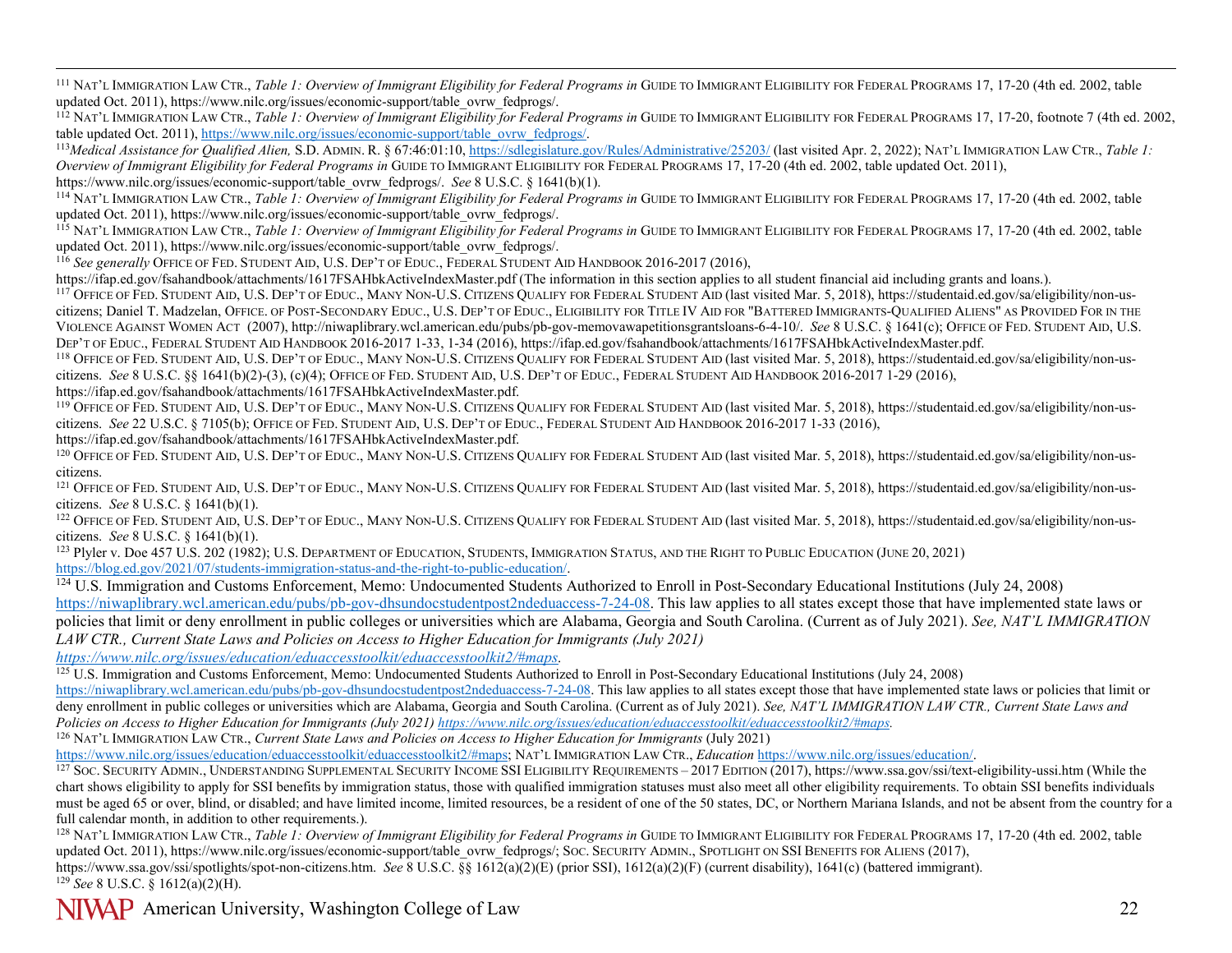<span id="page-21-18"></span><span id="page-21-17"></span><span id="page-21-16"></span><span id="page-21-15"></span><span id="page-21-14"></span><span id="page-21-13"></span><span id="page-21-12"></span><span id="page-21-11"></span><span id="page-21-10"></span><span id="page-21-9"></span><span id="page-21-8"></span><span id="page-21-7"></span><span id="page-21-6"></span><span id="page-21-5"></span><span id="page-21-4"></span><span id="page-21-3"></span><span id="page-21-2"></span><span id="page-21-1"></span><span id="page-21-0"></span><sup>111</sup> NAT'L IMMIGRATION LAW CTR., *Table 1: Overview of Immigrant Eligibility for Federal Programs in* GUIDE TO IMMIGRANT ELIGIBILITY FOR FEDERAL PROGRAMS 17, 17-20 (4th ed. 2002, table updated Oct. 2011), https://www.nilc.org/issues/economic-support/table\_ovrw\_fedprogs/.

<sup>112</sup> NAT'L IMMIGRATION LAW CTR., *Table 1: Overview of Immigrant Eligibility for Federal Programs in* GUIDE TO IMMIGRANT ELIGIBILITY FOR FEDERAL PROGRAMS 17, 17-20, footnote 7 (4th ed. 2002, table updated Oct. 2011), http

<sup>113</sup>Medical Assistance for Qualified Alien, S.D. ADMIN. R. § 67:46:01:10[, https://sdlegislature.gov/Rules/Administrative/25203/](https://sdlegislature.gov/Rules/Administrative/25203/) (last visited Apr. 2, 2022); NAT'L IMMIGRATION LAW CTR., Table 1: *Overview of Immigrant Eligibility for Federal Programs in* GUIDE TO IMMIGRANT ELIGIBILITY FOR FEDERAL PROGRAMS 17, 17-20 (4th ed. 2002, table updated Oct. 2011), https://www.nilc.org/issues/economic-support/table\_ovrw\_fedprogs/. *See* 8 U.S.C. § 1641(b)(1).

<sup>114</sup> NAT'L IMMIGRATION LAW CTR., *Table 1: Overview of Immigrant Eligibility for Federal Programs in* GUIDE TO IMMIGRANT ELIGIBILITY FOR FEDERAL PROGRAMS 17, 17-20 (4th ed. 2002, table updated Oct. 2011), https://www.nilc.org/issues/economic-support/table\_ovrw\_fedprogs/.

<sup>115</sup> NAT'L IMMIGRATION LAW CTR., *Table 1: Overview of Immigrant Eligibility for Federal Programs in* GUIDE TO IMMIGRANT ELIGIBILITY FOR FEDERAL PROGRAMS 17, 17-20 (4th ed. 2002, table updated Oct. 2011), https://www.nilc.org/issues/economic-support/table\_ovrw\_fedprogs/.

<sup>116</sup> *See generally* OFFICE OF FED. STUDENT AID, U.S. DEP'T OF EDUC., FEDERAL STUDENT AID HANDBOOK 2016-2017 (2016),

<https://ifap.ed.gov/fsahandbook/attachments/1617FSAHbkActiveIndexMaster.pdf> (The information in this section applies to all student financial aid including grants and loans.).

<sup>117</sup> OFFICE OF FED. STUDENT AID, U.S. DEP'T OF EDUC., MANY NON-U.S. CITIZENS QUALIFY FOR FEDERAL STUDENT AID (last visited Mar. 5, 2018), [https://studentaid.ed.gov/sa/eligibility/non-us](https://studentaid.ed.gov/sa/eligibility/non-us-citizens)[citizens;](https://studentaid.ed.gov/sa/eligibility/non-us-citizens) Daniel T. Madzelan, OFFICE. OF POST-SECONDARY EDUC., U.S. DEP'T OF EDUC., ELIGIBILITY FOR TITLE IV AID FOR "BATTERED IMMIGRANTS-QUALIFIED ALIENS" AS PROVIDED FOR IN THE VIOLENCE AGAINST WOMEN ACT (2007)[, http://niwaplibrary.wcl.american.edu/pubs/pb-gov-memovawapetitionsgrantsloans-6-4-10/.](http://niwaplibrary.wcl.american.edu/pubs/pb-gov-memovawapetitionsgrantsloans-6-4-10/) *See* 8 U.S.C. § 1641(c); OFFICE OF FED. STUDENT AID, U.S.<br>DEP'T OF EDUC., FEDERAL STUDENT AID HANDB

<sup>118</sup> OFFICE OF FED. STUDENT AID, U.S. DEP'T OF EDUC., MANY NON-U.S. CITIZENS QUALIFY FOR FEDERAL STUDENT AID (last visited Mar. 5, 2018), [https://studentaid.ed.gov/sa/eligibility/non-us](https://studentaid.ed.gov/sa/eligibility/non-us-citizens)[citizens.](https://studentaid.ed.gov/sa/eligibility/non-us-citizens) *See* 8 U.S.C. §§ 1641(b)(2)-(3), (c)(4); OFFICE OF FED. STUDENT AID, U.S. DEP'T OF EDUC., FEDERAL STUDENT AID HANDBOOK 2016-2017 1-29 (2016), https://ifap.ed.gov/fsahandbook/attachments/1617FSAHbkActiveIndexMast

<sup>119</sup> OFFICE OF FED. STUDENT AID, U.S. DEP'T OF EDUC., MANY NON-U.S. CITIZENS QUALIFY FOR FEDERAL STUDENT AID (last visited Mar. 5, 2018), [https://studentaid.ed.gov/sa/eligibility/non-us](https://studentaid.ed.gov/sa/eligibility/non-us-citizens)[citizens.](https://studentaid.ed.gov/sa/eligibility/non-us-citizens) *See* 22 U.S.C. § 7105(b); OFFICE OF FED. STUDENT AID, U.S. DEP'T OF EDUC., FEDERAL STUDENT AID HANDBOOK 2016-2017 1-33 (2016),

https://ifap.ed.gov/fsahandbook/attachments/1617FSAHbkActiveIndexMaster.pdf.<br><sup>120</sup> OFFICE OF FED. STUDENT AID, U.S. DEP'T OF EDUC., MANY NON-U.S. CITIZENS QUALIFY FOR FEDERAL STUDENT AID (last visited Mar. 5, 2018), https: citizens.<br><sup>121</sup> OFFICE OF FED. STUDENT AID, U.S. DEP'T OF EDUC., MANY NON-U.S. CITIZENS QUALIFY FOR FEDERAL STUDENT AID (last visited Mar. 5, 2018), [https://studentaid.ed.gov/sa/eligibility/non-us-](https://studentaid.ed.gov/sa/eligibility/non-us-citizens)

[citizens.](https://studentaid.ed.gov/sa/eligibility/non-us-citizens) *See* 8 U.S.C. § 1641(b)(1).

<sup>122</sup> OFFICE OF FED. STUDENT AID, U.S. DEP'T OF EDUC., MANY NON-U.S. CITIZENS QUALIFY FOR FEDERAL STUDENT AID (last visited Mar. 5, 2018), [https://studentaid.ed.gov/sa/eligibility/non-us](https://studentaid.ed.gov/sa/eligibility/non-us-citizens)[citizens.](https://studentaid.ed.gov/sa/eligibility/non-us-citizens) *See* 8 U.S.C. § 1641(b)(1).

<sup>123</sup> Plyler v. Doe 457 U.S. 202 (1982); U.S. DEPARTMENT OF EDUCATION, STUDENTS, IMMIGRATION STATUS, AND THE RIGHT TO PUBLIC EDUCATION (JUNE 20, 2021) https://blog.ed.gov/2021/07/students-immigration-status-and-the-right-t

<sup>124</sup> U.S. Immigration and Customs Enforcement, Memo: Undocumented Students Authorized to Enroll in Post-Secondary Educational Institutions (July 24, 2008)

[https://niwaplibrary.wcl.american.edu/pubs/pb-gov-dhsundocstudentpost2ndeduaccess-7-24-08.](https://niwaplibrary.wcl.american.edu/pubs/pb-gov-dhsundocstudentpost2ndeduaccess-7-24-08) This law applies to all states except those that have implemented state laws or policies that limit or deny enrollment in public colleges or universities which are Alabama, Georgia and South Carolina. (Current as of July 2021). *See, NAT'L IMMIGRATION LAW CTR., Current State Laws and Policies on Access to Higher Education for Immigrants (July 2021)* 

*[https://www.nilc.org/issues/education/eduaccesstoolkit/eduaccesstoolkit2/#maps.](https://www.nilc.org/issues/education/eduaccesstoolkit/eduaccesstoolkit2/#maps)* 

<sup>125</sup> U.S. Immigration and Customs Enforcement, Memo: Undocumented Students Authorized to Enroll in Post-Secondary Educational Institutions (July 24, 2008)

[https://niwaplibrary.wcl.american.edu/pubs/pb-gov-dhsundocstudentpost2ndeduaccess-7-24-08.](https://niwaplibrary.wcl.american.edu/pubs/pb-gov-dhsundocstudentpost2ndeduaccess-7-24-08) This law applies to all states except those that have implemented state laws or policies that limit or deny enrollment in public colleges or universities which are Alabama, Georgia and South Carolina. (Current as of July 2021). *See, NAT'L IMMIGRATION LAW CTR., Current State Laws and Policies on Access to Higher Education for Immigrants (July 2021[\) https://www.nilc.org/issues/education/eduaccesstoolkit/eduaccesstoolkit2/#maps.](https://www.nilc.org/issues/education/eduaccesstoolkit/eduaccesstoolkit2/#maps)* 

<sup>126</sup> NAT'L IMMIGRATION LAW CTR., *Current State Laws and Policies on Access to Higher Education for Immigrants* (July 2021)<br>https://www.nilc.org/issues/education/eduaccesstoolkit/eduaccesstoolkit2/#maps; NAT'L IMMIGRATION

<sup>127</sup> Soc. SECURITY ADMIN., UNDERSTANDING SUPPLEMENTAL SECURITY INCOME SSI ELIGIBILITY REQUIREMENTS - 2017 EDITION (2017), [https://www.ssa.gov/ssi/text-eligibility-ussi.htm \(](https://www.ssa.gov/ssi/text-eligibility-ussi.htm)While the chart shows eligibility to apply for SSI benefits by immigration status, those with qualified immigration statuses must also meet all other eligibility requirements. To obtain SSI benefits individuals must be aged 65 or over, blind, or disabled; and have limited income, limited resources, be a resident of one of the 50 states, DC, or Northern Mariana Islands, and not be absent from the country for a full calendar month, in addition to other requirements.).

<sup>128</sup> NAT'L IMMIGRATION LAW CTR., *Table 1: Overview of Immigrant Eligibility for Federal Programs in* GUIDE TO IMMIGRANT ELIGIBILITY FOR FEDERAL PROGRAMS 17, 17-20 (4th ed. 2002, table updated Oct. 2011), https://www.nilc.org/issues/economic-support/table\_ovrw\_fedprogs/; Soc. SECURITY ADMIN., SPOTLIGHT ON SSI BENEFITS FOR ALIENS (2017), [https://www.ssa.gov/ssi/spotlights/spot-non-citizens.htm.](https://www.ssa.gov/ssi/spotlights/spot-non-citizens.htm) *See* 8 U.S.C. §§ 1612(a)(2)(E) (prior SSI), 1612(a)(2)(F) (current disability), 1641(c) (battered immigrant). <sup>129</sup> *See* 8 U.S.C. § 1612(a)(2)(H).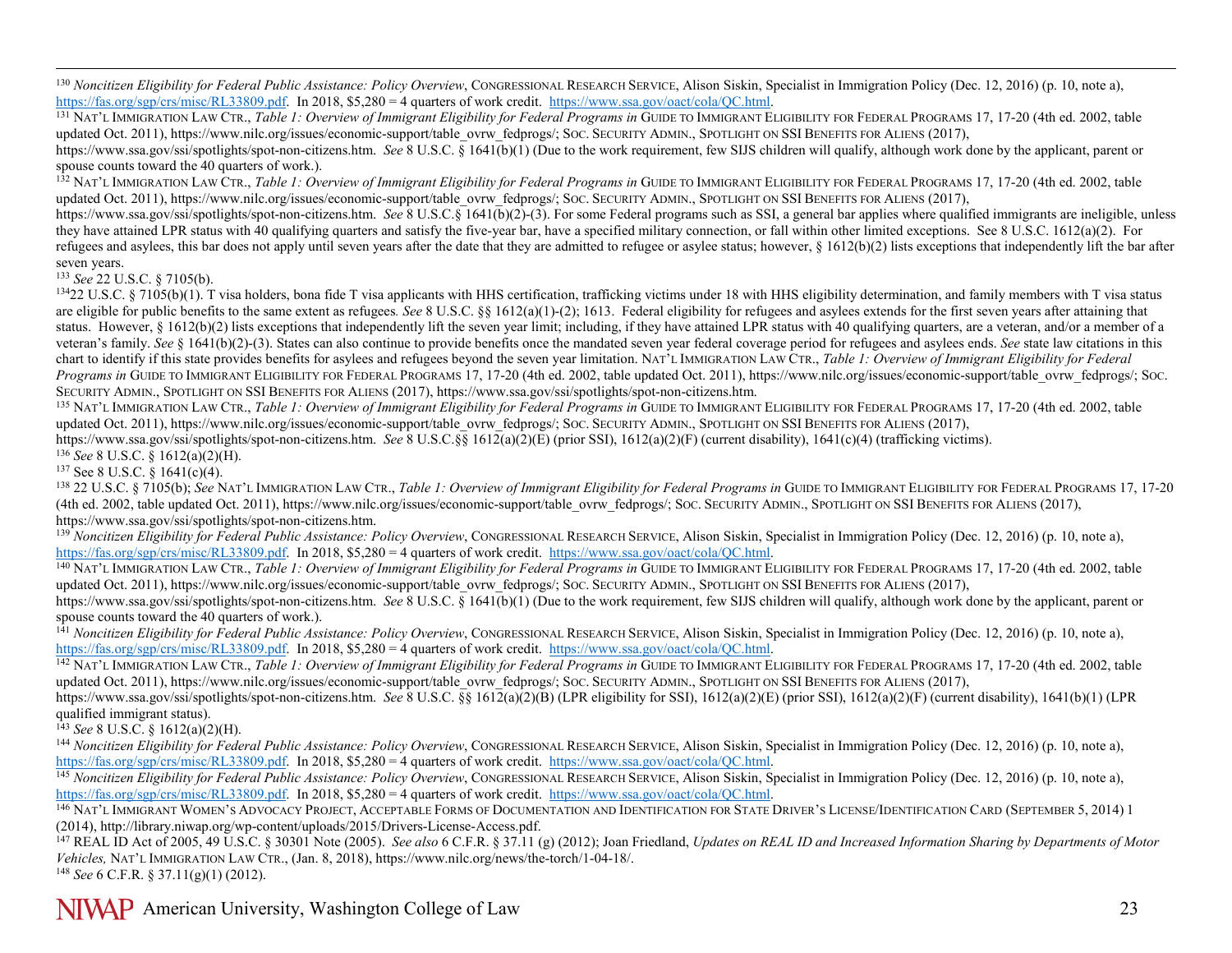<span id="page-22-18"></span><span id="page-22-17"></span><span id="page-22-16"></span><span id="page-22-15"></span><span id="page-22-14"></span><span id="page-22-13"></span><span id="page-22-12"></span><span id="page-22-11"></span><span id="page-22-10"></span><span id="page-22-9"></span><span id="page-22-8"></span><span id="page-22-7"></span><span id="page-22-6"></span><span id="page-22-5"></span><span id="page-22-4"></span><span id="page-22-3"></span><span id="page-22-2"></span><span id="page-22-1"></span><span id="page-22-0"></span><sup>130</sup> *Noncitizen Eligibility for Federal Public Assistance: Policy Overview*, CONGRESSIONAL RESEARCH SERVICE, Alison Siskin, Specialist in Immigration Policy (Dec. 12, 2016) (p. 10, note a), https://fas.org/sgp/crs/misc/R

<sup>131</sup> NAT'L IMMIGRATION LAW CTR., *Table 1: Overview of Immigrant Eligibility for Federal Programs in* GUIDE TO IMMIGRANT ELIGIBILITY FOR FEDERAL PROGRAMS 17, 17-20 (4th ed. 2002, table updated Oct. 2011), https://www.nilc.org/issues/economic-support/table\_ovrw\_fedprogs/; Soc. SECURITY ADMIN., SPOTLIGHT ON SSI BENEFITS FOR ALIENS (2017), [https://www.ssa.gov/ssi/spotlights/spot-non-citizens.htm.](https://www.ssa.gov/ssi/spotlights/spot-non-citizens.htm) *See* 8 U.S.C. § 1641(b)(1) (Due to the work requirement, few SIJS children will qualify, although work done by the applicant, parent or spouse counts toward the 40 quarters of work.).

<sup>132</sup> NAT'L IMMIGRATION LAW CTR., *Table 1: Overview of Immigrant Eligibility for Federal Programs in* GUIDE TO IMMIGRANT ELIGIBILITY FOR FEDERAL PROGRAMS 17, 17-20 (4th ed. 2002, table updated Oct. 2011), https://www.nilc.org/issues/economic-support/table\_ovrw\_fedprogs/; Soc. SECURITY ADMIN., SPOTLIGHT ON SSI BENEFITS FOR ALIENS (2017),

[https://www.ssa.gov/ssi/spotlights/spot-non-citizens.htm.](https://www.ssa.gov/ssi/spotlights/spot-non-citizens.htm) *See* 8 U.S.C.§ 1641(b)(2)-(3). For some Federal programs such as SSI, a general bar applies where qualified immigrants are ineligible, unless they have attained LPR status with 40 qualifying quarters and satisfy the five-year bar, have a specified military connection, or fall within other limited exceptions. See 8 U.S.C. 1612(a)(2). For refugees and asylees, this bar does not apply until seven years after the date that they are admitted to refugee or asylee status; however,  $\S$  1612(b)(2) lists exceptions that independently lift the bar after seven years.

<sup>133</sup> *See* 22 U.S.C. § 7105(b).

<sup>134</sup>22 U.S.C. § 7105(b)(1). T visa holders, bona fide T visa applicants with HHS certification, trafficking victims under 18 with HHS eligibility determination, and family members with T visa status are eligible for public benefits to the same extent as refugees*. See* 8 U.S.C. §§ 1612(a)(1)-(2); 1613. Federal eligibility for refugees and asylees extends for the first seven years after attaining that status. However, § 1612(b)(2) lists exceptions that independently lift the seven year limit; including, if they have attained LPR status with 40 qualifying quarters, are a veteran, and/or a member of a veteran's family. *See* § 1641(b)(2)-(3). States can also continue to provide benefits once the mandated seven year federal coverage period for refugees and asylees ends. *See* state law citations in this chart to identify if this state provides benefits for asylees and refugees beyond the seven year limitation. NAT'L IMMIGRATION LAW CTR., *Table 1: Overview of Immigrant Eligibility for Federal Programs in* GUIDE TO IMMIGRANT ELIGIBILITY FOR FEDERAL PROGRAMS 17, 17-20 (4th ed. 2002, table updated Oct. 2011), https://www.nilc.org/issues/economic-support/table\_ovrw\_fedprogs/; SOC. SECURITY ADMIN., SPOTLIGHT ON SSI BENEFITS FOR ALIENS (2017), https://www.ssa.gov/ssi/spotlights/spot-non-citizens.htm.<br><sup>135</sup> NAT'L IMMIGRATION LAW CTR., *Table 1: Overview of Immigrant Eligibility for Federal Programs in* 

updated Oct. 2011), https://www.nilc.org/issues/economic-support/table\_ovrw\_fedprogs/; Soc. SECURITY ADMIN., SPOTLIGHT ON SSI BENEFITS FOR ALIENS (2017),

[https://www.ssa.gov/ssi/spotlights/spot-non-citizens.htm.](https://www.ssa.gov/ssi/spotlights/spot-non-citizens.htm) *See* 8 U.S.C.§§ 1612(a)(2)(E) (prior SSI), 1612(a)(2)(F) (current disability), 1641(c)(4) (trafficking victims).

<sup>136</sup> *See* 8 U.S.C. § 1612(a)(2)(H).<br><sup>137</sup> See 8 U.S.C. § 1641(c)(4).

<sup>138</sup> 22 U.S.C. § 7105(b); See NAT'L IMMIGRATION LAW CTR., *Table 1: Overview of Immigrant Eligibility for Federal Programs in* GUIDE TO IMMIGRANT ELIGIBILITY FOR FEDERAL PROGRAMS 17, 17-20 (4th ed. 2002, table updated Oct. 2011), https://www.nilc.org/issues/economic-support/table\_ovrw\_fedprogs/; Soc. SECURITY ADMIN., SPOTLIGHT ON SSI BENEFITS FOR ALIENS (2017), https://www.ssa.gov/ssi/spotlights/spot-non-cit

<sup>139</sup> Noncitizen Eligibility for Federal Public Assistance: Policy Overview, CONGRESSIONAL RESEARCH SERVICE, Alison Siskin, Specialist in Immigration Policy (Dec. 12, 2016) (p. 10, note a), https://fas.org/sgp/crs/misc/RL3

140 NAT'L IMMIGRATION LAW CTR., Table 1: Overview of Immigrant Eligibility for Federal Programs in GUIDE TO IMMIGRANT ELIGIBILITY FOR FEDERAL PROGRAMS 17, 17-20 (4th ed. 2002, table updated Oct. 2011), https://www.nilc.org/issues/economic-support/table\_ovrw\_fedprogs/; Soc. SECURITY ADMIN., SPOTLIGHT ON SSI BENEFITS FOR ALIENS (2017),

[https://www.ssa.gov/ssi/spotlights/spot-non-citizens.htm.](https://www.ssa.gov/ssi/spotlights/spot-non-citizens.htm) *See* 8 U.S.C. § 1641(b)(1) (Due to the work requirement, few SIJS children will qualify, although work done by the applicant, parent or spouse counts toward the 40 quarters of work.).

<sup>141</sup> *Noncitizen Eligibility for Federal Public Assistance: Policy Overview*, CONGRESSIONAL RESEARCH SERVICE, Alison Siskin, Specialist in Immigration Policy (Dec. 12, 2016) (p. 10, note a), https://fas.org/sgp/crs/misc/R

<sup>142</sup> NAT'L IMMIGRATION LAW CTR., *Table 1: Overview of Immigrant Eligibility for Federal Programs in* GUIDE TO IMMIGRANT ELIGIBILITY FOR FEDERAL PROGRAMS 17, 17-20 (4th ed. 2002, table updated Oct. 2011), https://www.nilc.org/issues/economic-support/table\_ovrw\_fedprogs/; SOC. SECURITY ADMIN., SPOTLIGHT ON SSI BENEFITS FOR ALIENS (2017),

[https://www.ssa.gov/ssi/spotlights/spot-non-citizens.htm.](https://www.ssa.gov/ssi/spotlights/spot-non-citizens.htm) *See* 8 U.S.C. §§ 1612(a)(2)(B) (LPR eligibility for SSI), 1612(a)(2)(E) (prior SSI), 1612(a)(2)(F) (current disability), 1641(b)(1) (LPR qualified immigrant status).

<sup>143</sup> *See* 8 U.S.C. § 1612(a)(2)(H).

<sup>144</sup> *Noncitizen Eligibility for Federal Public Assistance: Policy Overview*, CONGRESSIONAL RESEARCH SERVICE, Alison Siskin, Specialist in Immigration Policy (Dec. 12, 2016) (p. 10, note a), https://fas.org/sgp/crs/misc/R

<sup>145</sup> Noncitizen Eligibility for Federal Public Assistance: Policy Overview, CONGRESSIONAL RESEARCH SERVICE, Alison Siskin, Specialist in Immigration Policy (Dec. 12, 2016) (p. 10, note a), https://fas.org/sgp/crs/misc/RL

<sup>146</sup> NAT'L IMMIGRANT WOMEN'S ADVOCACY PROJECT, ACCEPTABLE FORMS OF DOCUMENTATION AND IDENTIFICATION FOR STATE DRIVER'S LICENSE/IDENTIFICATION CARD (SEPTEMBER 5, 2014) 1 (2014), http://library.niwap.org/wp-content/uploads/2015/Drivers-License-Access.pdf.

<sup>147</sup> REAL ID Act of 2005, 49 U.S.C. § 30301 Note (2005). *See also* 6 C.F.R. § 37.11 (g) (2012); Joan Friedland, *Updates on REAL ID and Increased Information Sharing by Departments of Motor Vehicles,* NAT'L IMMIGRATION LAW CTR., (Jan. 8, 2018), [https://www.nilc.org/news/the-torch/1-04-18/.](https://www.nilc.org/news/the-torch/1-04-18/)

<sup>148</sup> *See* 6 C.F.R. § 37.11(g)(1) (2012).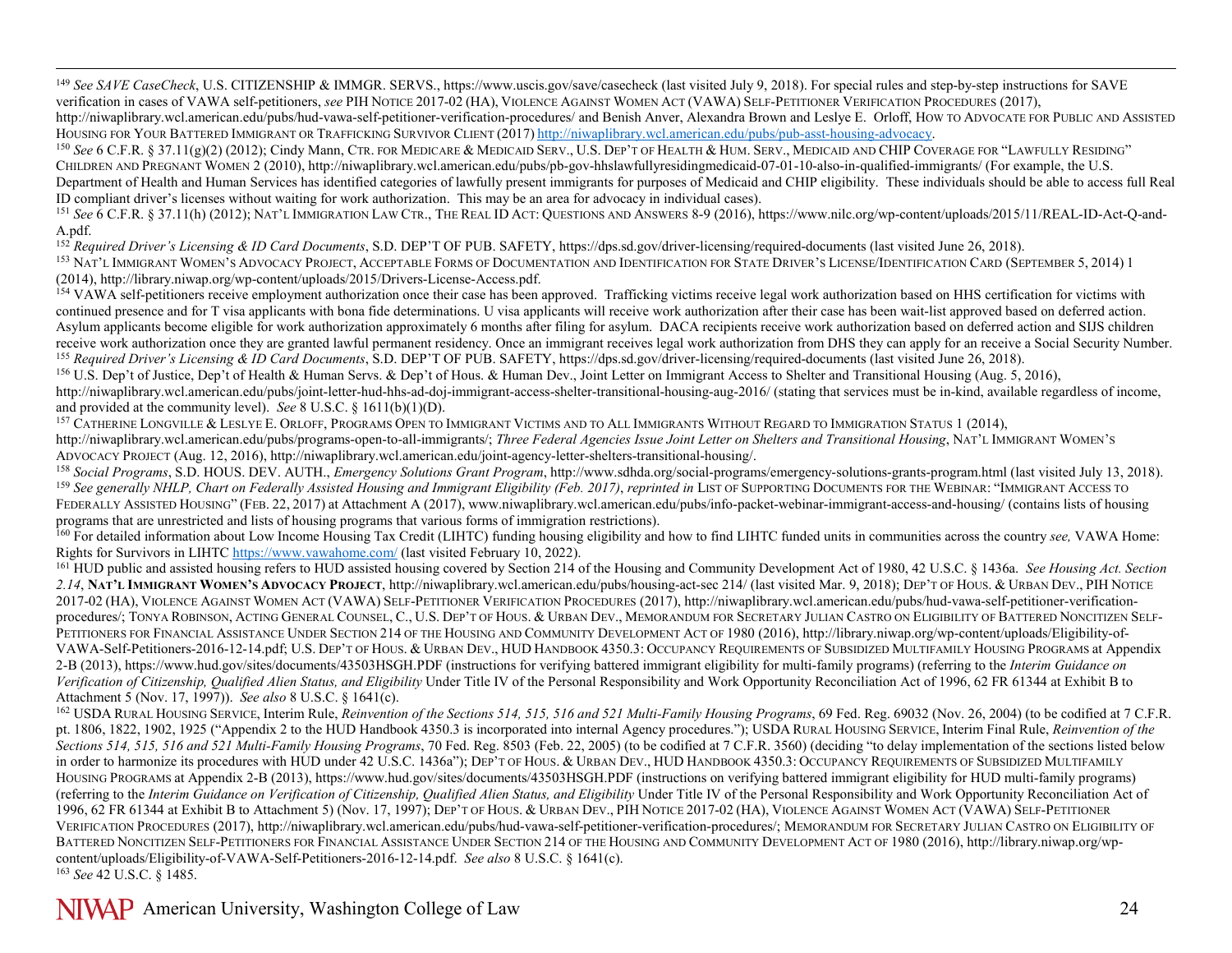<span id="page-23-14"></span><span id="page-23-13"></span><span id="page-23-12"></span><span id="page-23-11"></span><span id="page-23-10"></span><span id="page-23-9"></span><span id="page-23-8"></span><span id="page-23-7"></span><span id="page-23-6"></span><span id="page-23-5"></span><span id="page-23-4"></span><span id="page-23-3"></span><span id="page-23-2"></span><span id="page-23-1"></span><span id="page-23-0"></span><sup>149</sup> See SAVE CaseCheck, U.S. CITIZENSHIP & IMMGR. SERVS., https://www.uscis.gov/save/casecheck (last visited July 9, 2018). For special rules and step-by-step instructions for SAVE verification in cases of VAWA self-petitioners, *see* PIH NOTICE 2017-02 (HA), VIOLENCE AGAINST WOMEN ACT (VAWA) SELF-PETITIONER VERIFICATION PROCEDURES (2017),

http://niwaplibrary.wcl.american.edu/pubs/hud-vawa-self-petitioner-verification-procedures/ and Benish Anver, Alexandra Brown and Leslye E. Orloff, HOW TO ADVOCATE FOR PUBLIC AND ASSISTED HOUSING FOR YOUR BATTERED IMMIGRANT OR TRAFFICKING SURVIVOR CLIENT (2017) [http://niwaplibrary.wcl.american.edu/pubs/pub-asst-housing-advocacy.](http://niwaplibrary.wcl.american.edu/pubs/pub-asst-housing-advocacy)<br><sup>150</sup> See 6 C.F.R. § 37.11(g)(2) (2012); Cindy Mann, CTR. FOR MEDICARE & MEDICA

CHILDREN AND PREGNANT WOMEN 2 (2010)[, http://niwaplibrary.wcl.american.edu/pubs/pb-gov-hhslawfullyresidingmedicaid-07-01-10-also-in-qualified-immigrants/](http://niwaplibrary.wcl.american.edu/pubs/pb-gov-hhslawfullyresidingmedicaid-07-01-10-also-in-qualified-immigrants/) (For example, the U.S. Department of Health and Human Services has identified categories of lawfully present immigrants for purposes of Medicaid and CHIP eligibility. These individuals should be able to access full Real ID compliant driver's licenses without waiting for work authorization. This may be an area for advocacy in individual cases).

<sup>151</sup> See 6 C.F.R. § 37.11(h) (2012); NAT'L IMMIGRATION LAW CTR., THE REAL ID ACT: QUESTIONS AND ANSWERS 8-9 (2016), https://www.nilc.org/wp-content/uploads/2015/11/REAL-ID-Act-Q-and-A.pdf.

<sup>152</sup> *Required Driver's Licensing & ID Card Documents*, S.D. DEP'T OF PUB. SAFETY, https://dps.sd.gov/driver-licensing/required-documents (last visited June 26, 2018).

153 NAT'L IMMIGRANT WOMEN'S ADVOCACY PROJECT, ACCEPTABLE FORMS OF DOCUMENTATION AND IDENTIFICATION FOR STATE DRIVER'S LICENSE/IDENTIFICATION CARD (SEPTEMBER 5, 2014) 1 (2014), http://library.niwap.org/wp-content/uploads/2015/Drivers-License-Access.pdf.

<sup>154</sup> VAWA self-petitioners receive employment authorization once their case has been approved. Trafficking victims receive legal work authorization based on HHS certification for victims with continued presence and for T visa applicants with bona fide determinations. U visa applicants will receive work authorization after their case has been wait-list approved based on deferred action. Asylum applicants become eligible for work authorization approximately 6 months after filing for asylum. DACA recipients receive work authorization based on deferred action and SIJS children receive work authorization once they are granted lawful permanent residency. Once an immigrant receives legal work authorization from DHS they can apply for an receive a Social Security Number. <sup>155</sup> *Required Driver's Licensing & ID Card Documents*, S.D. DEP'T OF PUB. SAFETY, https://dps.sd.gov/driver-licensing/required-documents (last visited June 26, 2018).

<sup>156</sup> U.S. Dep't of Justice, Dep't of Health & Human Servs. & Dep't of Hous. & Human Dev., Joint Letter on Immigrant Access to Shelter and Transitional Housing (Aug. 5, 2016), http://niwaplibrary.wcl.american.edu/pubs/joint-letter-hud-hhs-ad-doj-immigrant-access-shelter-transitional-housing-aug-2016/ (stating that services must be in-kind, available regardless of income, and provided at the community level). *See* 8 U.S.C. § 1611(b)(1)(D).

<sup>157</sup> CATHERINE LONGVILLE & LESLYE E. ORLOFF, PROGRAMS OPEN TO IMMIGRANT VICTIMS AND TO ALL IMMIGRANTS WITHOUT REGARD TO IMMIGRATION STATUS 1 (2014), http://niwaplibrary.wcl.american.edu/pubs/programs-open-to-all-immigrants/; *Three Federal Agencies Issue Joint Letter on Shelters and Transitional Housing*, NAT'L IMMIGRANT WOMEN'S ADVOCACY PROJECT (Aug. 12, 2016), http://niwaplibrary.wcl.american.edu/joint-agency-letter-shelters-transitional-housing/.<br><sup>158</sup> Social Programs, S.D. HOUS. DEV. AUTH., *Emergency Solutions Grant Program*, http://www.sdhda

<sup>159</sup> *See generally NHLP, Chart on Federally Assisted Housing and Immigrant Eligibility (Feb. 2017)*, *reprinted in* LIST OF SUPPORTING DOCUMENTS FOR THE WEBINAR: "IMMIGRANT ACCESS TO FEDERALLY ASSISTED HOUSING" (FEB. 22, 2017) at Attachment A (2017), www.niwaplibrary.wcl.american.edu/pubs/info-packet-webinar-immigrant-access-and-housing/ (contains lists of housing programs that are unrestricted and lists of housing programs that various forms of immigration restrictions).

<sup>160</sup> For detailed information about Low Income Housing Tax Credit (LIHTC) funding housing eligibility and how to find LIHTC funded units in communities across the country *see*, VAWA Home:<br>Rights for Survivors in LIHTC ht

<sup>161</sup> HUD public and assisted housing refers to HUD assisted housing covered by Section 214 of the Housing and Community Development Act of 1980, 42 U.S.C. § 1436a. See Housing Act. Section *2.14*, **NAT'L IMMIGRANT WOMEN'S ADVOCACY PROJECT**, http://niwaplibrary.wcl.american.edu/pubs/housing-act-sec 214/ (last visited Mar. 9, 2018); DEP'T OF HOUS. & URBAN DEV., PIH NOTICE 2017-02 (HA), VIOLENCE AGAINST WOMEN ACT (VAWA) SELF-PETITIONER VERIFICATION PROCEDURES (2017), http://niwaplibrary.wcl.american.edu/pubs/hud-vawa-self-petitioner-verificationprocedures/; TONYA ROBINSON, ACTING GENERAL COUNSEL, C., U.S. DEP'T OF HOUS. & URBAN DEV., MEMORANDUM FOR SECRETARY JULIAN CASTRO ON ELIGIBILITY OF BATTERED NONCITIZEN SELF-PETITIONERS FOR FINANCIAL ASSISTANCE UNDER SECTION 214 OF THE HOUSING AND COMMUNITY DEVELOPMENT ACT OF 1980 (2016), http://library.niwap.org/wp-content/uploads/Eligibility-of-VAWA-Self-Petitioners-2016-12-14.pdf; U.S. DEP'T OF HOUS. & URBAN DEV., HUD HANDBOOK 4350.3: OCCUPANCY REQUIREMENTS OF SUBSIDIZED MULTIFAMILY HOUSING PROGRAMS at Appendix 2-B (2013), https://www.hud.gov/sites/documents/43503HSGH.PDF (instructions for verifying battered immigrant eligibility for multi-family programs) (referring to the *Interim Guidance on Verification of Citizenship, Qualified Alien Status, and Eligibility* Under Title IV of the Personal Responsibility and Work Opportunity Reconciliation Act of 1996, 62 FR 61344 at Exhibit B to Attachment 5 (Nov. 17, 1997)). See also 8 U.S.C. § 1641(c).<br><sup>162</sup> USDA RURAL HOUSING SERVICE, Interim Rule, *Reinvention of the Sections 514, 515, 516 and 521 Multi-Family Housing Programs*, 69 Fed. Reg. 69032 (Nov. 26, 20

pt. 1806, 1822, 1902, 1925 ("Appendix 2 to the HUD Handbook 4350.3 is incorporated into internal Agency procedures."); USDA RURAL HOUSING SERVICE, Interim Final Rule, *Reinvention of the Sections 514, 515, 516 and 521 Multi-Family Housing Programs*, 70 Fed. Reg. 8503 (Feb. 22, 2005) (to be codified at 7 C.F.R. 3560) (deciding "to delay implementation of the sections listed below in order to harmonize its procedures with HUD under 42 U.S.C. 1436a"); DEP'T OF HOUS. & URBAN DEV., HUD HANDBOOK 4350.3: OCCUPANCY REQUIREMENTS OF SUBSIDIZED MULTIFAMILY HOUSING PROGRAMS at Appendix 2-B (2013), https://www.hud.gov/sites/documents/43503HSGH.PDF (instructions on verifying battered immigrant eligibility for HUD multi-family programs) (referring to the *Interim Guidance on Verification of Citizenship, Qualified Alien Status, and Eligibility* Under Title IV of the Personal Responsibility and Work Opportunity Reconciliation Act of 1996, 62 FR 61344 at Exhibit B to Attachment 5) (Nov. 17, 1997); DEP'T OF HOUS. & URBAN DEV., PIH NOTICE 2017-02 (HA), VIOLENCE AGAINST WOMEN ACT (VAWA) SELF-PETITIONER VERIFICATION PROCEDURES (2017), http://niwaplibrary.wcl.american.edu/pubs/hud-vawa-self-petitioner-verification-procedures/; MEMORANDUM FOR SECRETARY JULIAN CASTRO ON ELIGIBILITY OF BATTERED NONCITIZEN SELF-PETITIONERS FOR FINANCIAL ASSISTANCE UNDER SECTION 214 OF THE HOUSING AND COMMUNITY DEVELOPMENT ACT OF 1980 (2016), http://library.niwap.org/wpcontent/uploads/Eligibility-of-VAWA-Self-Petitioners-2016-12-14.pdf. *See also* 8 U.S.C. § 1641(c). <sup>163</sup> *See* 42 U.S.C. § 1485.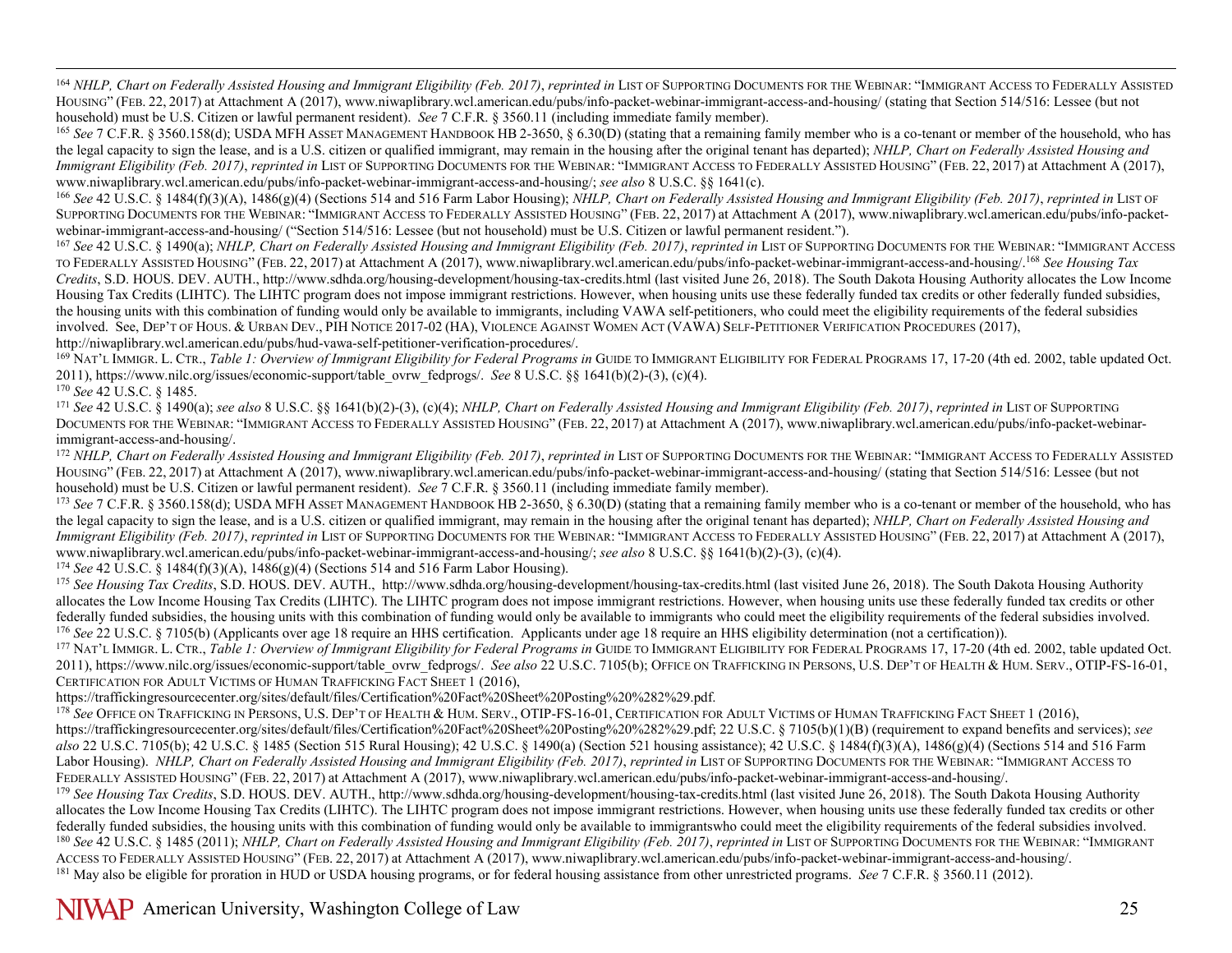<span id="page-24-17"></span><span id="page-24-16"></span><span id="page-24-15"></span><span id="page-24-14"></span><span id="page-24-13"></span><span id="page-24-12"></span><span id="page-24-11"></span><span id="page-24-10"></span><span id="page-24-9"></span><span id="page-24-8"></span><span id="page-24-7"></span><span id="page-24-6"></span><span id="page-24-5"></span><span id="page-24-4"></span><span id="page-24-3"></span><span id="page-24-2"></span><span id="page-24-1"></span><span id="page-24-0"></span><sup>164</sup> NHLP, Chart on Federally Assisted Housing and Immigrant Eligibility (Feb. 2017), reprinted in LIST OF SUPPORTING DOCUMENTS FOR THE WEBINAR: "IMMIGRANT ACCESS TO FEDERALLY ASSISTED HOUSING" (FEB. 22, 2017) at Attachment A (2017), www.niwaplibrary.wcl.american.edu/pubs/info-packet-webinar-immigrant-access-and-housing/ (stating that Section 514/516: Lessee (but not household) must be U.S. Citizen or lawful permanent resident). See 7 C.F.R. § 3560.11 (including immediate family member).<br><sup>165</sup> See 7 C.F.R. § 3560.158(d); USDA MFH AssET MANAGEMENT HANDBOOK HB 2-3650, § 6.30(D) (stating

the legal capacity to sign the lease, and is a U.S. citizen or qualified immigrant, may remain in the housing after the original tenant has departed); *NHLP, Chart on Federally Assisted Housing and Immigrant Eligibility (Feb. 2017), reprinted in* LIST OF SUPPORTING DOCUMENTS FOR THE WEBINAR: "IMMIGRANT ACCESS TO FEDERALLY ASSISTED HOUSING" (FEB. 22, 2017) at Attachment A (2017), www.niwaplibrary.wcl.american.edu/pubs/info-packet-webinar-immigrant-access-and-housing/; *see also* 8 U.S.C. §§ 1641(c).

<sup>166</sup> *See* 42 U.S.C. § 1484(f)(3)(A), 1486(g)(4) (Sections 514 and 516 Farm Labor Housing); *NHLP, Chart on Federally Assisted Housing and Immigrant Eligibility (Feb. 2017)*, *reprinted in* LIST OF SUPPORTING DOCUMENTS FOR THE WEBINAR: "IMMIGRANT ACCESS TO FEDERALLY ASSISTED HOUSING" (FEB. 22, 2017) at Attachment A (2017), www.niwaplibrary.wcl.american.edu/pubs/info-packet-<br>webinar-immigrant-access-and-housing/ ("Sec

167 See 42 U.S.C. § 1490(a); NHLP, Chart on Federally Assisted Housing and Immigrant Eligibility (Feb. 2017), reprinted in LIST OF SUPPORTING DOCUMENTS FOR THE WEBINAR: "IMMIGRANT ACCESS TO FEDERALLY ASSISTED HOUSING" (FEB. 22, 2017) at Attachment A (2017), www.niwaplibrary.wcl.american.edu/pubs/info-packet-webinar-immigrant-access-and-housing/.168 *See Housing Tax Credits*, S.D. HOUS. DEV. AUTH., http://www.sdhda.org/housing-development/housing-tax-credits.html (last visited June 26, 2018). The South Dakota Housing Authority allocates the Low Income Housing Tax Credits (LIHTC). The LIHTC program does not impose immigrant restrictions. However, when housing units use these federally funded tax credits or other federally funded subsidies, the housing units with this combination of funding would only be available to immigrants, including VAWA self-petitioners, who could meet the eligibility requirements of the federal subsidies involved. See, DEP'T OF HOUS. & URBAN DEV., PIH NOTICE 2017-02 (HA), VIOLENCE AGAINST WOMEN ACT (VAWA) SELF-PETITIONER VERIFICATION PROCEDURES (2017), http://niwaplibrary.wcl.american.edu/pubs/hud-vawa-self-petitioner-veri

<sup>169</sup> NAT'L IMMIGR, L. CTR., *Table 1: Overview of Immigrant Eligibility for Federal Programs in GUIDE TO IMMIGRANT ELIGIBILITY FOR FEDERAL PROGRAMS 17, 17-20 (4th ed. 2002, table updated Oct.* 2011), https://www.nilc.org/issues/economic-support/table\_ovrw\_fedprogs/. See 8 U.S.C. §§ 1641(b)(2)-(3), (c)(4).<br><sup>170</sup> See 42 U.S.C. § 1485.<br><sup>171</sup> See 42 U.S.C. § 1490(a); see also 8 U.S.C. §§ 1641(b)(2)-(3), (c)(4); *NHL* 

DOCUMENTS FOR THE WEBINAR: "IMMIGRANT ACCESS TO FEDERALLY ASSISTED HOUSING" (FEB. 22, 2017) at Attachment A (2017), www.niwaplibrary.wcl.american.edu/pubs/info-packet-webinarimmigrant-access-and-housing/.<br><sup>172</sup> NHLP, Chart on Federally Assisted Housing and Immigrant Eligibility (Feb. 2017), reprinted in LIST OF SUPPORTING DOCUMENTS FOR THE WEBINAR: "IMMIGRANT ACCESS TO FEDERALLY ASSISTED

HOUSING" (FEB. 22, 2017) at Attachment A (2017), www.niwaplibrary.wcl.american.edu/pubs/info-packet-webinar-immigrant-access-and-housing/ (stating that Section 514/516: Lessee (but not household) must be U.S. Citizen or la

<sup>173</sup> See 7 C.F.R. § 3560.158(d); USDA MFH Asset MANAGEMENT HANDBOOK HB 2-3650, § 6.30(D) (stating that a remaining family member who is a co-tenant or member of the household, who has the legal capacity to sign the lease, and is a U.S. citizen or qualified immigrant, may remain in the housing after the original tenant has departed); *NHLP, Chart on Federally Assisted Housing and Immigrant Eligibility (Feb. 2017), reprinted in* LIST OF SUPPORTING DOCUMENTS FOR THE WEBINAR: "IMMIGRANT ACCESS TO FEDERALLY ASSISTED HOUSING" (FEB. 22, 2017) at Attachment A (2017), www.niwaplibrary.wcl.american.edu/pubs/info-packet-webinar-immigrant-access-and-housing/; *see also* 8 U.S.C. §§ 1641(b)(2)-(3), (c)(4).<br><sup>174</sup> See 42 U.S.C. § 1484(f)(3)(A), 1486(g)(4) (Sections 514 and 516 Farm Labor Hous

<sup>175</sup> See Housing Tax Credits, S.D. HOUS. DEV. AUTH., http://www.sdhda.org/housing-development/housing-tax-credits.html (last visited June 26, 2018). The South Dakota Housing Authority allocates the Low Income Housing Tax Credits (LIHTC). The LIHTC program does not impose immigrant restrictions. However, when housing units use these federally funded tax credits or other federally funded subsidies, the housing units with this combination of funding would only be available to immigrants who could meet the eligibility requirements of the federal subsidies involved.<br><sup>176</sup> See 22 U.S.C. § 7105

<sup>177</sup> NAT'L IMMIGR. L. CTR., *Table 1: Overview of Immigrant Eligibility for Federal Programs in* GUIDE TO IMMIGRANT ELIGIBILITY FOR FEDERAL PROGRAMS 17, 17-20 (4th ed. 2002, table updated Oct. 2011), https://www.nilc.org/issues/economic-support/table\_ovrw\_fedprogs/. *See also* [22 U.S.C. 7105\(b\);](http://uscode.house.gov/quicksearch/get.plx?title=22§ion=7105) OFFICE ON TRAFFICKING IN PERSONS, U.S. DEP'T OF HEALTH & HUM. SERV., OTIP-FS-16-01, CERTIFICATION FOR ADULT VICTIMS OF HUMAN TRAFFICKING FACT SHEET 1 (2016),<br>https://traffickingresourcecenter.org/sites/default/files/Certification%20Fact%20Sheet%20Posting%20%282%29.pdf.

<sup>178</sup> See Office on Trafficking in Persons, U.S. Dep't of Health & Hum. Serv., OTIP-FS-16-01, Certification for Adult Victims of Human Trafficking Fact Sheet 1 (2016), [https://traffickingresourcecenter.org/sites/default/files/Certification%20Fact%20Sheet%20Posting%20%282%29.pdf;](https://traffickingresourcecenter.org/sites/default/files/Certification%20Fact%20Sheet%20Posting%20%282%29.pdf) 22 U.S.C. § 7105(b)(1)(B) (requirement to expand benefits and services); *see also* [22 U.S.C. 7105\(b\);](http://uscode.house.gov/quicksearch/get.plx?title=22§ion=7105) 42 U.S.C. § 1485 (Section 515 Rural Housing); 42 U.S.C. § 1490(a) (Section 521 housing assistance); 42 U.S.C. § 1484(f)(3)(A), 1486(g)(4) (Sections 514 and 516 Farm Labor Housing). *NHLP, Chart on Federally Assisted Housing and Immigrant Eligibility (Feb. 2017)*, *reprinted in* LIST OF SUPPORTING DOCUMENTS FOR THE WEBINAR: "IMMIGRANT ACCESS TO FEDERALLY ASSISTED HOUSING" (FEB. 22, 2017) at Attachment A (2017), www.niwaplibrary.wcl.american.edu/pubs/info-packet-webinar-immigrant-access-and-housing/.

<sup>179</sup> See Housing Tax Credits, S.D. HOUS. DEV. AUTH., http://www.sdhda.org/housing-development/housing-tax-credits.html (last visited June 26, 2018). The South Dakota Housing Authority allocates the Low Income Housing Tax Credits (LIHTC). The LIHTC program does not impose immigrant restrictions. However, when housing units use these federally funded tax credits or other federally funded subsidies, the housing units with this combination of funding would only be available to immigrants who could meet the eligibility requirements of the federal subsidies involved.<br><sup>180</sup> See 42 U.S.C. § 1485 ACCESS TO FEDERALLY ASSISTED HOUSING" (FEB. 22, 2017) at Attachment A (2017), www.niwaplibrary.wcl.american.edu/pubs/info-packet-webinar-immigrant-access-and-housing/.<br><sup>181</sup> May also be eligible for proration in HUD or USD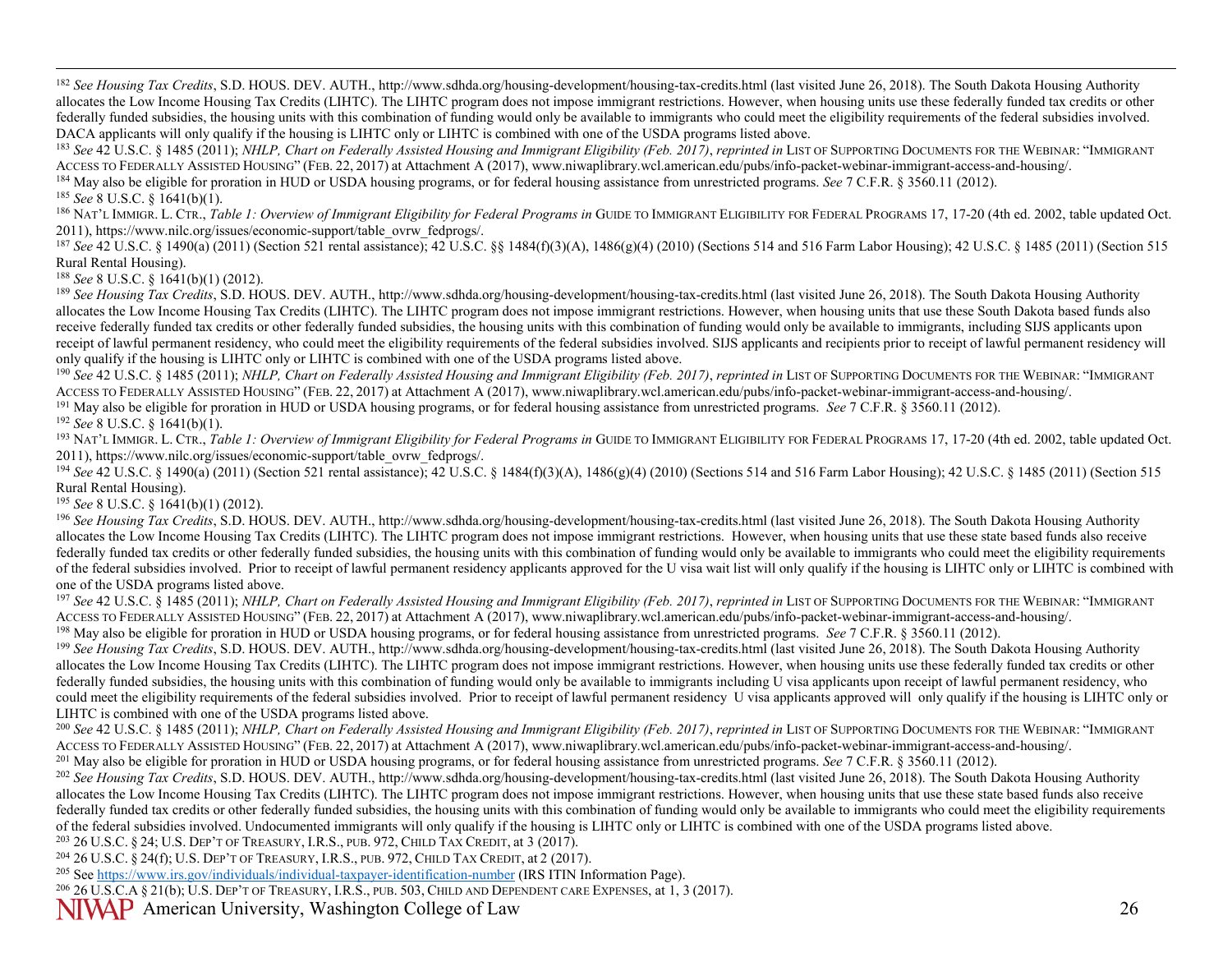<span id="page-25-24"></span><span id="page-25-23"></span><span id="page-25-22"></span><span id="page-25-21"></span><span id="page-25-20"></span><span id="page-25-19"></span><span id="page-25-18"></span><span id="page-25-17"></span><span id="page-25-16"></span><span id="page-25-15"></span><span id="page-25-14"></span><span id="page-25-13"></span><span id="page-25-12"></span><span id="page-25-11"></span><span id="page-25-10"></span><span id="page-25-9"></span><span id="page-25-8"></span><span id="page-25-7"></span><span id="page-25-6"></span><span id="page-25-5"></span><span id="page-25-4"></span><span id="page-25-3"></span><span id="page-25-2"></span><span id="page-25-1"></span><span id="page-25-0"></span><sup>182</sup> See Housing Tax Credits, S.D. HOUS. DEV. AUTH., http://www.sdhda.org/housing-development/housing-tax-credits.html (last visited June 26, 2018). The South Dakota Housing Authority allocates the Low Income Housing Tax Credits (LIHTC). The LIHTC program does not impose immigrant restrictions. However, when housing units use these federally funded tax credits or other federally funded subsidies, the housing units with this combination of funding would only be available to immigrants who could meet the eligibility requirements of the federal subsidies involved.<br>DACA applicants will only

<sup>183</sup> See 42 U.S.C. § 1485 (2011); *NHLP, Chart on Federally Assisted Housing and Immigrant Eligibility (Feb. 2017), reprinted in LIST OF SUPPORTING DOCUMENTS FOR THE WEBINAR: "IMMIGRANT<br>ACCESS TO FEDERALLY ASSISTED HOUSIN* 

<sup>184</sup> May also be eligible for proration in HUD or USDA housing programs, or for federal housing assistance from unrestricted programs. See 7 C.F.R. § 3560.11 (2012).<br><sup>185</sup> See 8 U.S.C. § 1641(b)(1).

<sup>186</sup> NAT'L IMMIGR. L. CTR., *Table 1: Overview of Immigrant Eligibility for Federal Programs in* GUIDE TO IMMIGRANT ELIGIBILITY FOR FEDERAL PROGRAMS 17, 17-20 (4th ed. 2002, table updated Oct.<br>2011), https://www.nilc.org/

<sup>187</sup> See 42 U.S.C. § 1490(a) (2011) (Section 521 rental assistance); 42 U.S.C. §§ 1484(f)(3)(A), 1486(g)(4) (2010) (Sections 514 and 516 Farm Labor Housing); 42 U.S.C. § 1485 (2011) (Section 515 Rural Rental Housing).

<sup>188</sup> *See* 8 U.S.C. § 1641(b)(1) (2012).

<sup>189</sup> See Housing Tax Credits, S.D. HOUS. DEV. AUTH., http://www.sdhda.org/housing-development/housing-tax-credits.html (last visited June 26, 2018). The South Dakota Housing Authority allocates the Low Income Housing Tax Credits (LIHTC). The LIHTC program does not impose immigrant restrictions. However, when housing units that use these South Dakota based funds also receive federally funded tax credits or other federally funded subsidies, the housing units with this combination of funding would only be available to immigrants, including SIJS applicants upon receipt of lawful permanent residency, who could meet the eligibility requirements of the federal subsidies involved. SIJS applicants and recipients prior to receipt of lawful permanent residency will only qualify if the housing is LIHTC only or LIHTC is combined with one of the USDA programs listed above.<br><sup>190</sup> See 42 U.S.C. § 1485 (2011); *NHLP, Chart on Federally Assisted Housing and Immigrant Eligibility (Feb. 2017)* 

ACCESS TO FEDERALLY ASSISTED HOUSING" (FEB. 22, 2017) at Attachment A (2017), www.niwaplibrary.wcl.american.edu/pubs/info-packet-webinar-immigrant-access-and-housing/. <sup>191</sup> May also be eligible for proration in HUD or USDA housing programs, or for federal housing assistance from unrestricted programs. *See* 7 C.F.R. § 3560.11 (2012). 192 *See* 8 U.S.C. § 1641(b)(1).

<sup>193</sup> NAT'L IMMIGR. L. CTR., *Table 1: Overview of Immigrant Eligibility for Federal Programs in* GUIDE TO IMMIGRANT ELIGIBILITY FOR FEDERAL PROGRAMS 17, 17-20 (4th ed. 2002, table updated Oct.<br>2011), https://www.nilc.org/

<sup>194</sup> See 42 U.S.C. § 1490(a) (2011) (Section 521 rental assistance); 42 U.S.C. § 1484(f)(3)(A), 1486(g)(4) (2010) (Sections 514 and 516 Farm Labor Housing); 42 U.S.C. § 1485 (2011) (Section 515 Rural Rental Housing).

<sup>195</sup> *See* 8 U.S.C. § 1641(b)(1) (2012).

<sup>196</sup> See Housing Tax Credits, S.D. HOUS. DEV. AUTH., http://www.sdhda.org/housing-development/housing-tax-credits.html (last visited June 26, 2018). The South Dakota Housing Authority allocates the Low Income Housing Tax Credits (LIHTC). The LIHTC program does not impose immigrant restrictions. However, when housing units that use these state based funds also receive federally funded tax credits or other federally funded subsidies, the housing units with this combination of funding would only be available to immigrants who could meet the eligibility requirements of the federal subsidies involved. Prior to receipt of lawful permanent residency applicants approved for the U visa wait list will only qualify if the housing is LIHTC only or LIHTC is combined with one of the USDA programs listed above.<br><sup>197</sup> See 42 U.S.C. § 1485 (2011); *NHLP, Chart on Federally Assisted Housing and Immigrant Eligibility (Feb. 2017), reprinted in LIST OF SUPPORTING DOCUMENTS FOR THE WEBINAR: "IMMIGR* 

ACCESS TO FEDERALLY ASSISTED HOUSING" (FEB. 22, 2017) at Attachment A (2017), www.niwaplibrary.wcl.american.edu/pubs/info-packet-webinar-immigrant-access-and-housing/.<br><sup>198</sup> May also be eligible for proration in HUD or USD

allocates the Low Income Housing Tax Credits (LIHTC). The LIHTC program does not impose immigrant restrictions. However, when housing units use these federally funded tax credits or other federally funded subsidies, the housing units with this combination of funding would only be available to immigrants including U visa applicants upon receipt of lawful permanent residency, who could meet the eligibility requirements of the federal subsidies involved. Prior to receipt of lawful permanent residency U visa applicants approved will only qualify if the housing is LIHTC only or LIHTC is combined with one of the USDA programs listed above.

<sup>200</sup> See 42 U.S.C. § 1485 (2011); *NHLP, Chart on Federally Assisted Housing and Immigrant Eligibility (Feb. 2017), reprinted in LIST OF SUPPORTING DOCUMENTS FOR THE WEBINAR: "IMMIGRANT<br>ACCESS TO FEDERALLY ASSISTED HOUSIN* 

<sup>201</sup> May also be eligible for proration in HUD or USDA housing programs, or for federal housing assistance from unrestricted programs. See 7 C.F.R. § 3560.11 (2012).<br><sup>202</sup> See Housing Tax Credits, S.D. HOUS. DEV. AUTH., h

allocates the Low Income Housing Tax Credits (LIHTC). The LIHTC program does not impose immigrant restrictions. However, when housing units that use these state based funds also receive federally funded tax credits or other federally funded subsidies, the housing units with this combination of funding would only be available to immigrants who could meet the eligibility requirements of the federal subsidies involved. Undocumented immigrants will only qualify if the housing is LIHTC only or LIHTC is combined with one of the USDA programs listed above.<br><sup>203</sup> 26 U.S.C. § 24: U.S. DEP'T OF TREASURY, I.R.S

<sup>204</sup> 26 U.S.C. § 24(f); U.S. DEP'T OF TREASURY, I.R.S., PUB. 972, CHILD TAX CREDIT, at 2 (2017).<br><sup>205</sup> See https://www.irs.gov/individuals/individual-taxpayer-identification-number (IRS ITIN Information Page).

<sup>206</sup> 26 U.S.C.A § 21(b); U.S. DEP'T OF TREASURY, I.R.S., PUB. 503, CHILD AND DEPENDENT CARE EXPENSES, at 1, 3 (2017).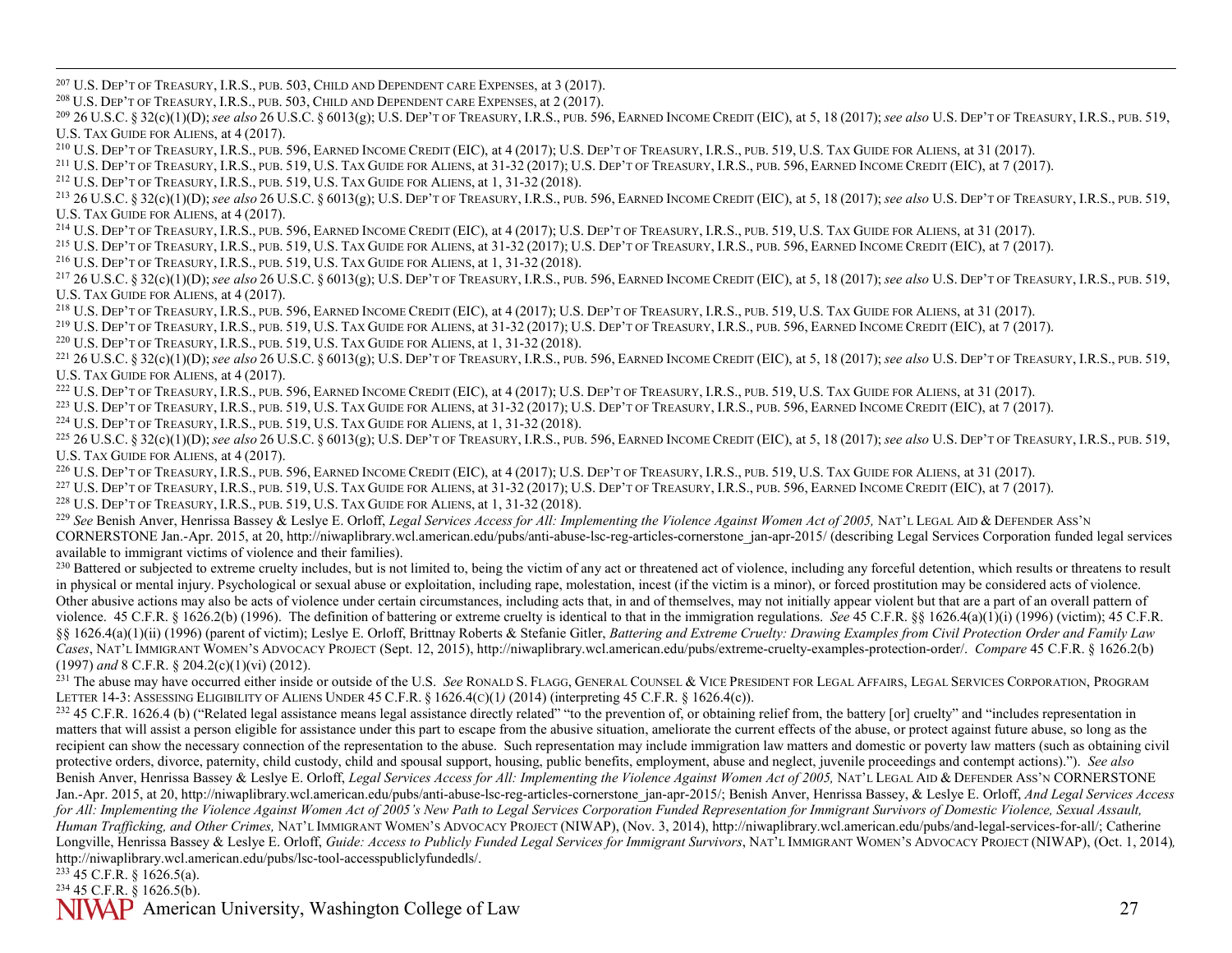<span id="page-26-27"></span><span id="page-26-26"></span><span id="page-26-25"></span><span id="page-26-24"></span><span id="page-26-23"></span><span id="page-26-22"></span><span id="page-26-21"></span><span id="page-26-20"></span><span id="page-26-19"></span><span id="page-26-18"></span><span id="page-26-17"></span><span id="page-26-16"></span><span id="page-26-15"></span><span id="page-26-14"></span><span id="page-26-13"></span><span id="page-26-12"></span><span id="page-26-11"></span><span id="page-26-10"></span><span id="page-26-9"></span><span id="page-26-8"></span><span id="page-26-7"></span><span id="page-26-6"></span><span id="page-26-5"></span><span id="page-26-4"></span><span id="page-26-3"></span><span id="page-26-2"></span><span id="page-26-1"></span><span id="page-26-0"></span><sup>207</sup> U.S. DEP'T OF TREASURY, I.R.S., PUB. 503, CHILD AND DEPENDENT CARE EXPENSES, at 3 (2017).

<sup>208</sup> U.S. DEP'T OF TREASURY, I.R.S., PUB. 503, CHILD AND DEPENDENT CARE EXPENSES, at 2 (2017).

<sup>209</sup> 26 U.S.C. § 32(c)(1)(D);*see also* 26 U.S.C. § 6013(g); U.S. DEP'T OF TREASURY, I.R.S., PUB. 596, EARNED INCOME CREDIT (EIC), at 5, 18 (2017); *see also* U.S. DEP'T OF TREASURY, I.R.S., PUB. 519, U.S. TAX GUIDE FOR ALIENS, at 4 (2017).

<sup>210</sup> U.S. DEP'T OF TREASURY, I.R.S., PUB. 596, EARNED INCOME CREDIT (EIC), at 4 (2017); U.S. DEP'T OF TREASURY, I.R.S., PUB. 519, U.S. TAX GUIDE FOR ALIENS, at 31 (2017).

<sup>211</sup> U.S. DEP'T OF TREASURY, I.R.S., PUB. 519, U.S. TAX GUIDE FOR ALIENS, at  $31-32(2017)$ ; U.S. DEP'T OF TREASURY, I.R.S., PUB. 596, EARNED INCOME CREDIT (EIC), at 7 (2017).

<sup>212</sup> U.S. DEP'T OF TREASURY, I.R.S., PUB. 519, U.S. TAX GUIDE FOR ALIENS, at 1, 31-32 (2018).

<sup>213</sup> 26 U.S.C. § 32(c)(1)(D);*see also* 26 U.S.C. § 6013(g); U.S. DEP'T OF TREASURY, I.R.S., PUB. 596, EARNED INCOME CREDIT (EIC), at 5, 18 (2017); *see also* U.S. DEP'T OF TREASURY, I.R.S., PUB. 519, U.S. TAX GUIDE FOR ALIENS, at 4 (2017).

<sup>214</sup> U.S. DEP'T OF TREASURY, I.R.S., PUB. 596, EARNED INCOME CREDIT (EIC), at 4 (2017); U.S. DEP'T OF TREASURY, I.R.S., PUB. 519, U.S. TAX GUIDE FOR ALIENS, at 31 (2017).

<sup>215</sup> U.S. DEP'T OF TREASURY, I.R.S., PUB. 519, U.S. TAX GUIDE FOR ALIENS, at 31-32 (2017); U.S. DEP'T OF TREASURY, I.R.S., PUB. 596, EARNED INCOME CREDIT (EIC), at 7 (2017). <sup>216</sup> U.S. DEP'T OF TREASURY, I.R.S., PUB. 519, U.S. TAX GUIDE FOR ALIENS, at 1, 31-32 (2018).

<sup>217</sup> 26 U.S.C. § 32(c)(1)(D);*see also* 26 U.S.C. § 6013(g); U.S. DEP'T OF TREASURY, I.R.S., PUB. 596, EARNED INCOME CREDIT (EIC), at 5, 18 (2017); *see also* U.S. DEP'T OF TREASURY, I.R.S., PUB. 519, U.S. TAX GUIDE FOR ALIENS, at 4 (2017).

<sup>218</sup> U.S. DEP'T OF TREASURY, I.R.S., PUB. 596, EARNED INCOME CREDIT (EIC), at 4 (2017); U.S. DEP'T OF TREASURY, I.R.S., PUB. 519, U.S. TAX GUIDE FOR ALIENS, at 31 (2017).

 $^{219}$  U.S. Dep't of Treasury, I.R.S., pub. 519, U.S. Tax Guide for Aliens, at 31-32 (2017); U.S. Dep't of Treasury, I.R.S., pub. 596, Earned Income Credit (EIC), at 7 (2017). <sup>220</sup> U.S. DEP'T OF TREASURY, I.R.S., PUB. 519, U.S. TAX GUIDE FOR ALIENS, at 1, 31-32 (2018).

<sup>221</sup> 26 U.S.C. § 32(c)(1)(D);*see also* 26 U.S.C. § 6013(g); U.S. DEP'T OF TREASURY, I.R.S., PUB. 596, EARNED INCOME CREDIT (EIC), at 5, 18 (2017); *see also* U.S. DEP'T OF TREASURY, I.R.S., PUB. 519, U.S. TAX GUIDE FOR ALIENS, at 4 (2017).

<sup>222</sup> U.S. DEP'T OF TREASURY, I.R.S., PUB. 596, EARNED INCOME CREDIT (EIC), at 4 (2017); U.S. DEP'T OF TREASURY, I.R.S., PUB. 519, U.S. TAX GUIDE FOR ALIENS, at 31 (2017).

 $^{223}$  U.S. Dep't of Treasury, I.R.S., pub. 519, U.S. Tax Guide for Aliens, at 31-32 (2017); U.S. Dep't of Treasury, I.R.S., pub. 596, Earned Income Credit (EIC), at 7 (2017).

<sup>224</sup> U.S. DEP'T OF TREASURY, I.R.S., PUB. 519, U.S. TAX GUIDE FOR ALIENS, at 1, 31-32 (2018).

<sup>225</sup> 26 U.S.C. § 32(c)(1)(D);*see also* 26 U.S.C. § 6013(g); U.S. DEP'T OF TREASURY, I.R.S., PUB. 596, EARNED INCOME CREDIT (EIC), at 5, 18 (2017); *see also* U.S. DEP'T OF TREASURY, I.R.S., PUB. 519, U.S. TAX GUIDE FOR ALIENS, at 4 (2017).

<sup>226</sup> U.S. DEP'T OF TREASURY, I.R.S., PUB. 596, EARNED INCOME CREDIT (EIC), at 4 (2017); U.S. DEP'T OF TREASURY, I.R.S., PUB. 519, U.S. TAX GUIDE FOR ALIENS, at 31 (2017).

 $^{227}$  U.S. Dep't of Treasury, I.R.S., pub. 519, U.S. Tax Guide for Aliens, at 31-32 (2017); U.S. Dep't of Treasury, I.R.S., pub. 596, Earned Income Credit (EIC), at 7 (2017).

<sup>228</sup> U.S. DEP'T OF TREASURY, I.R.S., PUB. 519, U.S. TAX GUIDE FOR ALIENS, at 1, 31-32 (2018).

<sup>229</sup> *See* Benish Anver, Henrissa Bassey & Leslye E. Orloff, *Legal Services Access for All: Implementing the Violence Against Women Act of 2005,* NAT'L LEGAL AID & DEFENDER ASS'N CORNERSTONE Jan.-Apr. 2015, at 20, http://niwaplibrary.wcl.american.edu/pubs/anti-abuse-lsc-reg-articles-cornerstone\_jan-apr-2015/ (describing Legal Services Corporation funded legal services available to immigrant victims of violence and their families).

<sup>230</sup> Battered or subjected to extreme cruelty includes, but is not limited to, being the victim of any act or threatened act of violence, including any forceful detention, which results or threatens to result in physical or mental injury. Psychological or sexual abuse or exploitation, including rape, molestation, incest (if the victim is a minor), or forced prostitution may be considered acts of violence. Other abusive actions may also be acts of violence under certain circumstances, including acts that, in and of themselves, may not initially appear violent but that are a part of an overall pattern of violence. 45 C.F.R. § 1626.2(b) (1996). The definition of battering or extreme cruelty is identical to that in the immigration regulations. *See* 45 C.F.R. §§ 1626.4(a)(1)(i) (1996) (victim); 45 C.F.R. §§ 1626.4(a)(1)(ii) (1996) (parent of victim); Leslye E. Orloff, Brittnay Roberts & Stefanie Gitler, *Battering and Extreme Cruelty: Drawing Examples from Civil Protection Order and Family Law Cases*, NAT'L IMMIGRANT WOMEN'S ADVOCACY PROJECT (Sept. 12, 2015), http://niwaplibrary.wcl.american.edu/pubs/extreme-cruelty-examples-protection-order/. *Compare* 45 C.F.R. § 1626.2(b) (1997) *and* 8 C.F.R. § 204.2(c)(1)(vi) (2012).

<sup>231</sup> The abuse may have occurred either inside or outside of the U.S. *See* RONALD S. FLAGG, GENERAL COUNSEL & VICE PRESIDENT FOR LEGAL AFFAIRS, LEGAL SERVICES CORPORATION, PROGRAM LETTER 14-3: ASSESSING ELIGIBILITY OF ALIENS UNDER 45 C.F.R. § 1626.4(C)(1*)* (2014) (interpreting 45 C.F.R. § 1626.4(c)).

 $^{232}$  45 C.F.R. 1626.4 (b) ("Related legal assistance means legal assistance directly related" "to the prevention of, or obtaining relief from, the battery [or] cruelty" and "includes representation in matters that will assist a person eligible for assistance under this part to escape from the abusive situation, ameliorate the current effects of the abuse, or protect against future abuse, so long as the recipient can show the necessary connection of the representation to the abuse. Such representation may include immigration law matters and domestic or poverty law matters (such as obtaining civil protective orders, divorce, paternity, child custody, child and spousal support, housing, public benefits, employment, abuse and neglect, juvenile proceedings and contempt actions)."). *See also* Benish Anver, Henrissa Bassey & Leslye E. Orloff, *Legal Services Access for All: Implementing the Violence Against Women Act of 2005,* NAT'L LEGAL AID & DEFENDER ASS'N CORNERSTONE Jan.-Apr. 2015, at 20, http://niwaplibrary.wcl.american.edu/pubs/anti-abuse-lsc-reg-articles-cornerstone\_jan-apr-2015/; Benish Anver, Henrissa Bassey, & Leslye E. Orloff, *And Legal Services Access for All: Implementing the Violence Against Women Act of 2005's New Path to Legal Services Corporation Funded Representation for Immigrant Survivors of Domestic Violence, Sexual Assault, Human Trafficking, and Other Crimes,* NAT'L IMMIGRANT WOMEN'S ADVOCACY PROJECT (NIWAP), (Nov. 3, 2014), http://niwaplibrary.wcl.american.edu/pubs/and-legal-services-for-all/; Catherine Longville, Henrissa Bassey & Leslye E. Orloff, *Guide: Access to Publicly Funded Legal Services for Immigrant Survivors*, NAT'L IMMIGRANT WOMEN'S ADVOCACY PROJECT (NIWAP), (Oct. 1, 2014)*,*  http://niwaplibrary.wcl.american.edu/pubs/lsc-tool-accesspubliclyfundedls/.

 $233$  45 C.F.R. § 1626.5(a).

 $234$  45 C.F.R. § 1626.5(b).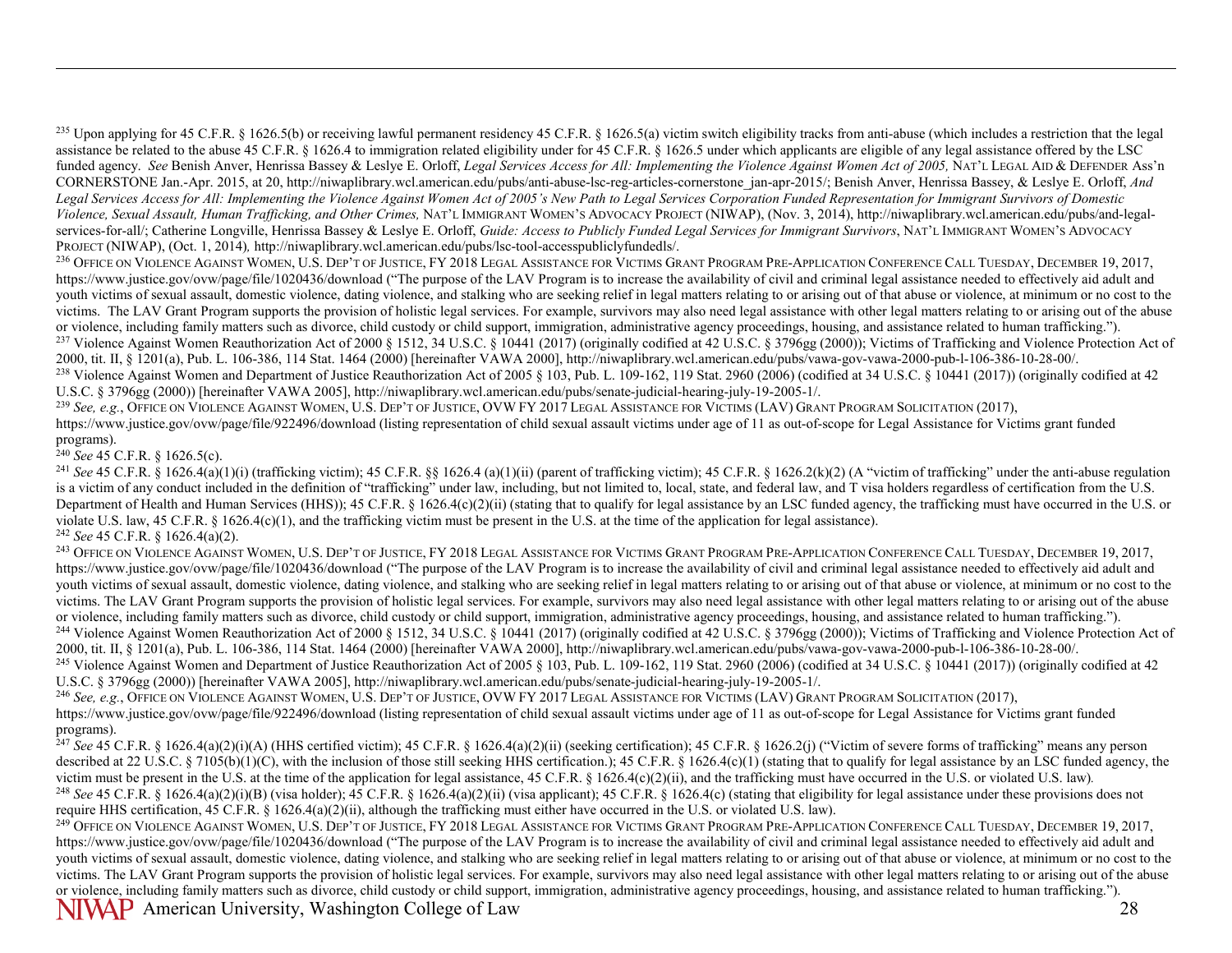<sup>235</sup> Upon applying for 45 C.F.R. § 1626.5(b) or receiving lawful permanent residency 45 C.F.R. § 1626.5(a) victim switch eligibility tracks from anti-abuse (which includes a restriction that the legal assistance be related to the abuse 45 C.F.R. § 1626.4 to immigration related eligibility under for 45 C.F.R. § 1626.5 under which applicants are eligible of any legal assistance offered by the LSC funded agency. See Benish Anver, Henrissa Bassey & Leslye E. Orloff, *Legal Services Access for All: Implementing the Violence Against Women Act of 2005*, NAT'L LEGAL AID & DEFENDER Ass'n CORNERSTONE Jan.-Apr. 2015, at 20, http://niwaplibrary.wcl.american.edu/pubs/anti-abuse-lsc-reg-articles-cornerstone\_jan-apr-2015/; Benish Anver, Henrissa Bassey, & Leslye E. Orloff, *And Legal Services Access for All: Implementing the Violence Against Women Act of 2005's New Path to Legal Services Corporation Funded Representation for Immigrant Survivors of Domestic Violence, Sexual Assault, Human Trafficking, and Other Crimes,* NAT'L IMMIGRANT WOMEN'S ADVOCACY PROJECT (NIWAP), (Nov. 3, 2014), http://niwaplibrary.wcl.american.edu/pubs/and-legalservices-for-all/; Catherine Longville, Henrissa Bassey & Leslye E. Orloff, *Guide: Access to Publicly Funded Legal Services for Immigrant Survivors*, NAT'L IMMIGRANT WOMEN'S ADVOCACY PROJECT (NIWAP), (Oct. 1, 2014)*,* http://niwaplibrary.wcl.american.edu/pubs/lsc-tool-accesspubliclyfundedls/.

<sup>236</sup> OFFICE ON VIOLENCE AGAINST WOMEN, U.S. DEP'T OF JUSTICE, FY 2018 LEGAL ASSISTANCE FOR VICTIMS GRANT PROGRAM PRE-APPLICATION CONFERENCE CALL TUESDAY, DECEMBER 19, 2017, https://www.justice.gov/ovw/page/file/1020436/download ("The purpose of the LAV Program is to increase the availability of civil and criminal legal assistance needed to effectively aid adult and youth victims of sexual assault, domestic violence, dating violence, and stalking who are seeking relief in legal matters relating to or arising out of that abuse or violence, at minimum or no cost to the victims. The LAV Grant Program supports the provision of holistic legal services. For example, survivors may also need legal assistance with other legal matters relating to or arising out of the abuse or violence, includin <sup>237</sup> Violence Against Women Reauthorization Act of 2000 § 1512, 34 U.S.C. § 10441 (2017) (originally codified at 42 U.S.C. § 3796gg (2000)); Victims of Trafficking and Violence Protection Act of 2000, tit. II, § 1201(a),

<sup>238</sup> Violence Against Women and Department of Justice Reauthorization Act of 2005 § 103, Pub. L. 109-162, 119 Stat. 2960 (2006) (codified at 34 U.S.C. § 10441 (2017)) (originally codified at 42 U.S.C. § 3796gg (2000)) [hereinafter VAWA 2005], http://niwaplibrary.wcl.american.edu/pubs/senate-judicial-hearing-july-19-2005-1/.

<sup>239</sup> *See, e.g.*, OFFICE ON VIOLENCE AGAINST WOMEN, U.S. DEP'T OF JUSTICE, OVW FY 2017 LEGAL ASSISTANCE FOR VICTIMS (LAV) GRANT PROGRAM SOLICITATION (2017), https://www.justice.gov/ovw/page/file/922496/download (listing representation of child sexual assault victims under age of 11 as out-of-scope for Legal Assistance for Victims grant funded programs).

 $^{240}$  *See* 45 C.F.R. § 1626.5(c).

<span id="page-27-14"></span><span id="page-27-13"></span><span id="page-27-12"></span><span id="page-27-11"></span><span id="page-27-10"></span><span id="page-27-9"></span><span id="page-27-8"></span><span id="page-27-7"></span><span id="page-27-6"></span><span id="page-27-5"></span><span id="page-27-4"></span><span id="page-27-3"></span><span id="page-27-2"></span><span id="page-27-1"></span><span id="page-27-0"></span> $\overline{a}$ 

<sup>241</sup> See 45 C.F.R. § 1626.4(a)(1)(i) (trafficking victim); 45 C.F.R. §§ 1626.4 (a)(1)(i) (parent of trafficking victim); 45 C.F.R. § 1626.2(k)(2) (A "victim of trafficking" under the anti-abuse regulation is a victim of any conduct included in the definition of "trafficking" under law, including, but not limited to, local, state, and federal law, and T visa holders regardless of certification from the U.S. Department of Health and Human Services (HHS)); 45 C.F.R. § 1626.4(c)(2)(ii) (stating that to qualify for legal assistance by an LSC funded agency, the trafficking must have occurred in the U.S. or violate U.S. law, 45 C.F.R. § 1626.4(c)(1), and the trafficking victim must be present in the U.S. at the time of the application for legal assistance). <sup>242</sup> *See* 45 C.F.R. § 1626.4(a)(2).

<sup>243</sup> OFFICE ON VIOLENCE AGAINST WOMEN, U.S. DEP'T OF JUSTICE, FY 2018 LEGAL ASSISTANCE FOR VICTIMS GRANT PROGRAM PRE-APPLICATION CONFERENCE CALL TUESDAY, DECEMBER 19, 2017, https://www.justice.gov/ovw/page/file/1020436/download ("The purpose of the LAV Program is to increase the availability of civil and criminal legal assistance needed to effectively aid adult and youth victims of sexual assault, domestic violence, dating violence, and stalking who are seeking relief in legal matters relating to or arising out of that abuse or violence, at minimum or no cost to the victims. The LAV Grant Program supports the provision of holistic legal services. For example, survivors may also need legal assistance with other legal matters relating to or arising out of the abuse or violence, including family matters such as divorce, child custody or child support, immigration, administrative agency proceedings, housing, and assistance related to human trafficking."). <sup>244</sup> Violence Against Women Reauthorization Act of 2000 § 1512, 34 U.S.C. § 10441 (2017) (originally codified at 42 U.S.C. § 3796gg (2000)); Victims of Trafficking and Violence Protection Act of 2000, tit. II, § 1201(a), Pub. L. 106-386, 114 Stat. 1464 (2000) [hereinafter VAWA 2000], http://niwaplibrary.wcl.american.edu/pubs/vawa-gov-vawa-2000-pub-l-106-386-10-28-00/.

<sup>245</sup> Violence Against Women and Department of Justice Reauthorization Act of 2005  $\S$  103, Pub. L. 109-162, 119 Stat. 2960 (2006) (codified at 34 U.S.C.  $\S$  10441 (2017)) (originally codified at 42 U.S.C. § 3796gg (2000)) [hereinafter VAWA 2005], http://niwaplibrary.wcl.american.edu/pubs/senate-judicial-hearing-july-19-2005-1/.

<sup>246</sup> *See, e.g.*, OFFICE ON VIOLENCE AGAINST WOMEN, U.S. DEP'T OF JUSTICE, OVW FY 2017 LEGAL ASSISTANCE FOR VICTIMS (LAV) GRANT PROGRAM SOLICITATION (2017), https://www.justice.gov/ovw/page/file/922496/download (listing representation of child sexual assault victims under age of 11 as out-of-scope for Legal Assistance for Victims grant funded programs).

<sup>247</sup> See 45 C.F.R. § 1626.4(a)(2)(i)(A) (HHS certified victim); 45 C.F.R. § 1626.4(a)(2)(ii) (seeking certification); 45 C.F.R. § 1626.2(j) ("Victim of severe forms of trafficking" means any person described at 22 U.S.C. § 7105(b)(1)(C), with the inclusion of those still seeking HHS certification.); 45 C.F.R. § 1626.4(c)(1) (stating that to qualify for legal assistance by an LSC funded agency, the victim must be present in the U.S. at the time of the application for legal assistance, 45 C.F.R. § 1626.4(c)(2)(ii), and the trafficking must have occurred in the U.S. or violated U.S. law). <sup>248</sup> *See* 45 C.F.R. § 1626.4(a)(2)(i)(B) (visa holder); 45 C.F.R. § 1626.4(a)(2)(ii) (visa applicant); 45 C.F.R. § 1626.4(c) (stating that eligibility for legal assistance under these provisions does not require HHS cer

NIVAP American University, Washington College of Law 28 <sup>249</sup> OFFICE ON VIOLENCE AGAINST WOMEN, U.S. DEP'T OF JUSTICE, FY 2018 LEGAL ASSISTANCE FOR VICTIMS GRANT PROGRAM PRE-APPLICATION CONFERENCE CALL TUESDAY, DECEMBER 19, 2017, https://www.justice.gov/ovw/page/file/1020436/download ("The purpose of the LAV Program is to increase the availability of civil and criminal legal assistance needed to effectively aid adult and youth victims of sexual assault, domestic violence, dating violence, and stalking who are seeking relief in legal matters relating to or arising out of that abuse or violence, at minimum or no cost to the victims. The LAV Grant Program supports the provision of holistic legal services. For example, survivors may also need legal assistance with other legal matters relating to or arising out of the abuse or violence, including family matters such as divorce, child custody or child support, immigration, administrative agency proceedings, housing, and assistance related to human trafficking.").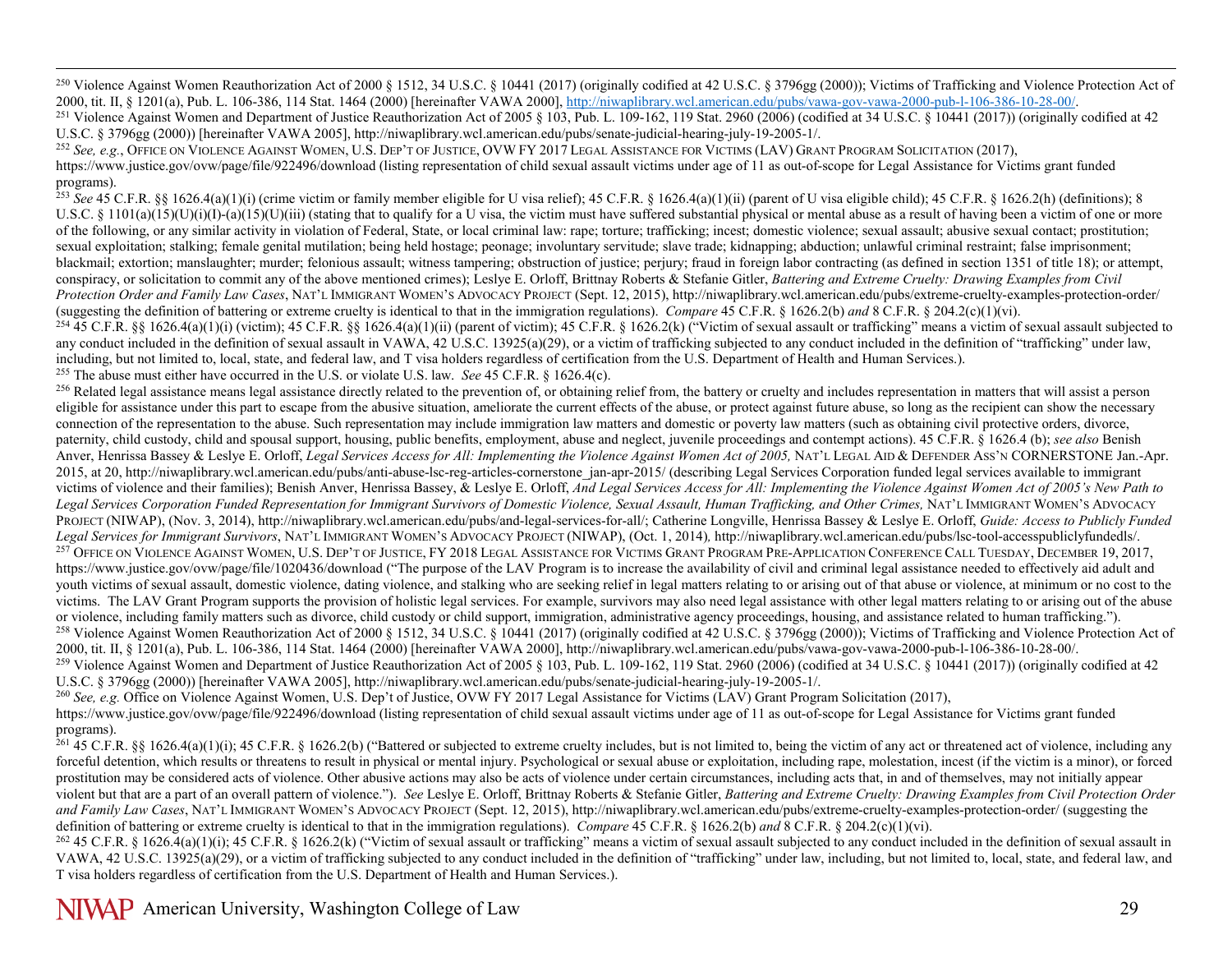<span id="page-28-12"></span><span id="page-28-11"></span><span id="page-28-10"></span><span id="page-28-9"></span><span id="page-28-8"></span><span id="page-28-7"></span><span id="page-28-6"></span><span id="page-28-5"></span><span id="page-28-4"></span><span id="page-28-3"></span><span id="page-28-2"></span><span id="page-28-1"></span><span id="page-28-0"></span><sup>250</sup> Violence Against Women Reauthorization Act of 2000 § 1512, 34 U.S.C. § 10441 (2017) (originally codified at 42 U.S.C. § 3796gg (2000)); Victims of Trafficking and Violence Protection Act of 2000, tit. II, § 1201(a),

<sup>251</sup> Violence Against Women and Department of Justice Reauthorization Act of 2005 § 103, Pub. L. 109-162, 119 Stat. 2960 (2006) (codified at 34 U.S.C. § 10441 (2017)) (originally codified at 42 U.S.C. § 10441 (2017)) (ori

<sup>252</sup> See, e.g., OFFICE ON VIOLENCE AGAINST WOMEN, U.S. DEP'T OF JUSTICE, OVW FY 2017 LEGAL ASSISTANCE FOR VICTIMS (LAV) GRANT PROGRAM SOLICITATION (2017), https://www.justice.gov/ovw/page/file/922496/download (listing representation of child sexual assault victims under age of 11 as out-of-scope for Legal Assistance for Victims grant funded programs).

<sup>253</sup> See 45 C.F.R. §§ 1626.4(a)(1)(i) (crime victim or family member eligible for U visa relief); 45 C.F.R. § 1626.4(a)(1)(ii) (parent of U visa eligible child); 45 C.F.R. § 1626.2(h) (definitions); 8 U.S.C. § 1101(a)(15)(U)(i)(I)-(a)(15)(U)(iii) (stating that to qualify for a U visa, the victim must have suffered substantial physical or mental abuse as a result of having been a victim of one or more of the following, or any similar activity in violation of Federal, State, or local criminal law: rape; torture; trafficking; incest; domestic violence; sexual assault; abusive sexual contact; prostitution; sexual exploitation; stalking; female genital mutilation; being held hostage; peonage; involuntary servitude; slave trade; kidnapping; abduction; unlawful criminal restraint; false imprisonment; blackmail; extortion; manslaughter; murder; felonious assault; witness tampering; obstruction of justice; perjury; fraud in foreign labor contracting (as defined in section 1351 of title 18); or attempt, conspiracy, or solicitation to commit any of the above mentioned crimes); Leslye E. Orloff, Brittnay Roberts & Stefanie Gitler, *Battering and Extreme Cruelty: Drawing Examples from Civil Protection Order and Family Law Cases*, NAT'L IMMIGRANT WOMEN'S ADVOCACY PROJECT (Sept. 12, 2015), http://niwaplibrary.wcl.american.edu/pubs/extreme-cruelty-examples-protection-order/<br>(suggesting the definition of batteri

 $^{254}$  45 C.F.R. 88 1626.4(a)(1)(i) (victim): 45 C.F.R. 88 1626.4(a)(1)(ii) (parent of victim): 45 C.F.R. 8 1626.2(k) ("Victim of sexual assault or trafficking" means a victim of sexual assault subjected to any conduct included in the definition of sexual assault in VAWA, 42 U.S.C. 13925(a)(29), or a victim of trafficking subjected to any conduct included in the definition of "trafficking" under law, including, but not limited to, local, state, and federal law, and T visa holders regardless of certification from the U.S. Department of Health and Human Services.).

<sup>255</sup> The abuse must either have occurred in the U.S. or violate U.S. law. *See* 45 C.F.R. § 1626.4(c).

<sup>256</sup> Related legal assistance means legal assistance directly related to the prevention of, or obtaining relief from, the battery or cruelty and includes representation in matters that will assist a person eligible for assistance under this part to escape from the abusive situation, ameliorate the current effects of the abuse, or protect against future abuse, so long as the recipient can show the necessary connection of the representation to the abuse. Such representation may include immigration law matters and domestic or poverty law matters (such as obtaining civil protective orders, divorce, paternity, child custody, child and spousal support, housing, public benefits, employment, abuse and neglect, juvenile proceedings and contempt actions). 45 C.F.R. § 1626.4 (b); *see also* Benish Anver, Henrissa Bassey & Leslye E. Orloff, *Legal Services Access for All: Implementing the Violence Against Women Act of 2005,* NAT'L LEGAL AID & DEFENDER ASS'N CORNERSTONE Jan.-Apr. 2015, at 20, http://niwaplibrary.wcl.american.edu/pubs/anti-abuse-lsc-reg-articles-cornerstone\_jan-apr-2015/ (describing Legal Services Corporation funded legal services available to immigrant victims of violence and their families); Benish Anver, Henrissa Bassey, & Leslye E. Orloff, *And Legal Services Access for All: Implementing the Violence Against Women Act of 2005's New Path to*  Legal Services Corporation Funded Representation for Immigrant Survivors of Domestic Violence, Sexual Assault, Human Trafficking, and Other Crimes, NAT'L IMMIGRANT WOMEN'S ADVOCACY PROJECT (NIWAP), (Nov. 3, 2014), http://niwaplibrary.wcl.american.edu/pubs/and-legal-services-for-all/; Catherine Longville, Henrissa Bassey & Leslye E. Orloff, *Guide: Access to Publicly Funded Legal Services for Immigrant Survivors*, NAT'L IMMIGRANT WOMEN'S ADVOCACY PROJECT (NIWAP), (Oct. 1, 2014)*,* http://niwaplibrary.wcl.american.edu/pubs/lsc-tool-accesspubliclyfundedls/. <sup>257</sup> OFFICE ON VIOLENCE AGAINST WOMEN, U.S. DEP'T OF JUSTICE, FY 2018 LEGAL ASSISTANCE FOR VICTIMS GRANT PROGRAM PRE-APPLICATION CONFERENCE CALL TUESDAY, DECEMBER 19, 2017, https://www.justice.gov/ovw/page/file/1020436/download ("The purpose of the LAV Program is to increase the availability of civil and criminal legal assistance needed to effectively aid adult and youth victims of sexual assault, domestic violence, dating violence, and stalking who are seeking relief in legal matters relating to or arising out of that abuse or violence, at minimum or no cost to the victims. The LAV Grant Program supports the provision of holistic legal services. For example, survivors may also need legal assistance with other legal matters relating to or arising out of the abuse or violence, includin <sup>258</sup> Violence Against Women Reauthorization Act of 2000 § 1512, 34 U.S.C. § 10441 (2017) (originally codified at 42 U.S.C. § 3796gg (2000)); Victims of Trafficking and Violence Protection Act of 2000, tit. II, § 1201(a), <sup>259</sup> Violence Against Women and Department of Justice Reauthorization Act of 2005 § 103, Pub. L. 109-162, 119 Stat. 2960 (2006) (codified at 34 U.S.C. § 10441 (2017)) (originally codified at 42

U.S.C. § 3796gg (2000)) [hereinafter VAWA 2005], http://niwaplibrary.wcl.american.edu/pubs/senate-judicial-hearing-july-19-2005-1/.

<sup>260</sup> See, e.g. Office on Violence Against Women, U.S. Dep't of Justice, OVW FY 2017 Legal Assistance for Victims (LAV) Grant Program Solicitation (2017),

https://www.justice.gov/ovw/page/file/922496/download (listing representation of child sexual assault victims under age of 11 as out-of-scope for Legal Assistance for Victims grant funded programs).

 $^{261}$  45 C.F.R. §§ 1626.4(a)(1)(i); 45 C.F.R. § 1626.2(b) ("Battered or subjected to extreme cruelty includes, but is not limited to, being the victim of any act or threatened act of violence, including any forceful detention, which results or threatens to result in physical or mental injury. Psychological or sexual abuse or exploitation, including rape, molestation, incest (if the victim is a minor), or forced prostitution may be considered acts of violence. Other abusive actions may also be acts of violence under certain circumstances, including acts that, in and of themselves, may not initially appear violent but that are a part of an overall pattern of violence."). *See* Leslye E. Orloff, Brittnay Roberts & Stefanie Gitler, *Battering and Extreme Cruelty: Drawing Examples from Civil Protection Order*  and Family Law Cases, NAT'L IMMIGRANT WOMEN'S ADVOCACY PROJECT (Sept. 12, 2015), http://niwaplibrary.wcl.american.edu/pubs/extreme-cruelty-examples-protection-order/ (suggesting the definition of battering or extreme cruelty is identical to that in the immigration regulations). *Compare* 45 C.F.R. § 1626.2(b) *and* 8 C.F.R. § 204.2(c)(1)(vi).

 $^{262}$  45 C.F.R. § 1626.4(a)(1)(i); 45 C.F.R. § 1626.2(k) ("Victim of sexual assault or trafficking" means a victim of sexual assault subjected to any conduct included in the definition of sexual assault in VAWA, 42 U.S.C. 13925(a)(29), or a victim of trafficking subjected to any conduct included in the definition of "trafficking" under law, including, but not limited to, local, state, and federal law, and T visa holders regardless of certification from the U.S. Department of Health and Human Services.).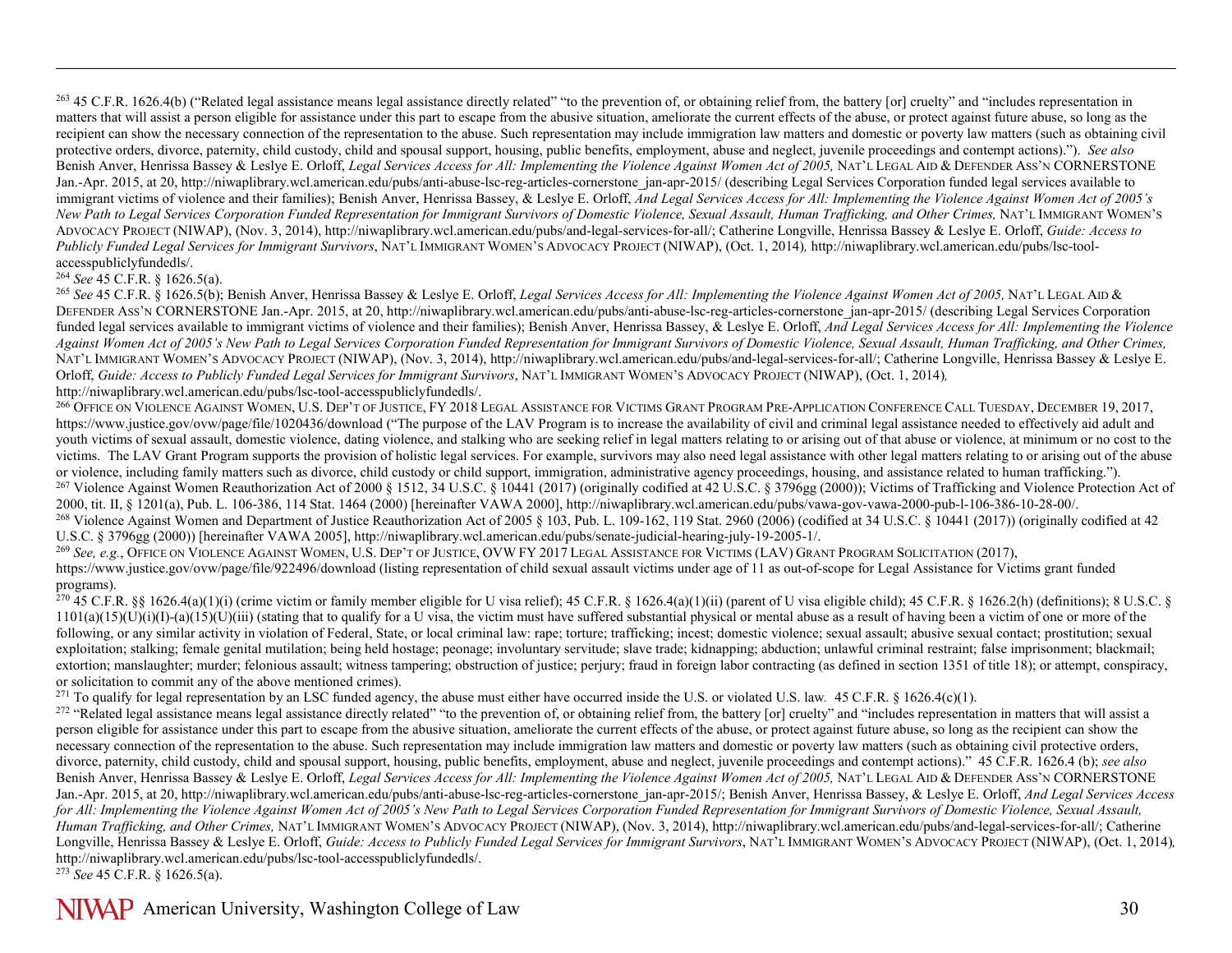<sup>263</sup> 45 C.F.R. 1626.4(b) ("Related legal assistance means legal assistance directly related" "to the prevention of, or obtaining relief from, the battery [or] cruelty" and "includes representation in matters that will assist a person eligible for assistance under this part to escape from the abusive situation, ameliorate the current effects of the abuse, or protect against future abuse, so long as the recipient can show the necessary connection of the representation to the abuse. Such representation may include immigration law matters and domestic or poverty law matters (such as obtaining civil protective orders, divorce, paternity, child custody, child and spousal support, housing, public benefits, employment, abuse and neglect, juvenile proceedings and contempt actions)."). *See also* Benish Anver, Henrissa Bassey & Leslye E. Orloff, *Legal Services Access for All: Implementing the Violence Against Women Act of 2005,* NAT'L LEGAL AID & DEFENDER ASS'N CORNERSTONE Jan.-Apr. 2015, at 20, http://niwaplibrary.wcl.american.edu/pubs/anti-abuse-lsc-reg-articles-cornerstone\_jan-apr-2015/ (describing Legal Services Corporation funded legal services available to immigrant victims of violence and their families); Benish Anver, Henrissa Bassey, & Leslye E. Orloff, *And Legal Services Access for All: Implementing the Violence Against Women Act of 2005's*  New Path to Legal Services Corporation Funded Representation for Immigrant Survivors of Domestic Violence, Sexual Assault, Human Trafficking, and Other Crimes, NAT'L IMMIGRANT WOMEN'S ADVOCACY PROJECT (NIWAP), (Nov. 3, 2014), http://niwaplibrary.wcl.american.edu/pubs/and-legal-services-for-all/; Catherine Longville, Henrissa Bassey & Leslye E. Orloff, *Guide: Access to Publicly Funded Legal Services for Immigrant Survivors*, NAT'L IMMIGRANT WOMEN'S ADVOCACY PROJECT (NIWAP), (Oct. 1, 2014)*,* http://niwaplibrary.wcl.american.edu/pubs/lsc-toolaccesspubliclyfundedls/.

## <sup>264</sup> *See* 45 C.F.R. § 1626.5(a).

<span id="page-29-10"></span><span id="page-29-9"></span><span id="page-29-8"></span><span id="page-29-7"></span><span id="page-29-6"></span><span id="page-29-5"></span><span id="page-29-4"></span><span id="page-29-3"></span><span id="page-29-2"></span><span id="page-29-1"></span><span id="page-29-0"></span> $\overline{a}$ 

<sup>265</sup> *See* 45 C.F.R. § 1626.5(b); Benish Anver, Henrissa Bassey & Leslye E. Orloff, *Legal Services Access for All: Implementing the Violence Against Women Act of 2005,* NAT'L LEGAL AID & DEFENDER ASS'N CORNERSTONE Jan.-Apr. 2015, at 20, http://niwaplibrary.wcl.american.edu/pubs/anti-abuse-lsc-reg-articles-cornerstone\_jan-apr-2015/ (describing Legal Services Corporation funded legal services available to immigrant victims of violence and their families); Benish Anver, Henrissa Bassey, & Leslye E. Orloff, *And Legal Services Access for All: Implementing the Violence Against Women Act of 2005's New Path to Legal Services Corporation Funded Representation for Immigrant Survivors of Domestic Violence, Sexual Assault, Human Trafficking, and Other Crimes,*  NAT'L IMMIGRANT WOMEN'S ADVOCACY PROJECT (NIWAP), (Nov. 3, 2014), http://niwaplibrary.wcl.american.edu/pubs/and-legal-services-for-all/; Catherine Longville, Henrissa Bassey & Leslye E. Orloff, *Guide: Access to Publicly Funded Legal Services for Immigrant Survivors*, NAT'L IMMIGRANT WOMEN'S ADVOCACY PROJECT (NIWAP), (Oct. 1, 2014)*,*  http://niwaplibrary.wcl.american.edu/pubs/lsc-tool-accesspubliclyfundedls/.

<sup>266</sup> OFFICE ON VIOLENCE AGAINST WOMEN, U.S. DEP'T OF JUSTICE, FY 2018 LEGAL ASSISTANCE FOR VICTIMS GRANT PROGRAM PRE-APPLICATION CONFERENCE CALL TUESDAY, DECEMBER 19, 2017, https://www.justice.gov/ovw/page/file/1020436/download ("The purpose of the LAV Program is to increase the availability of civil and criminal legal assistance needed to effectively aid adult and youth victims of sexual assault, domestic violence, dating violence, and stalking who are seeking relief in legal matters relating to or arising out of that abuse or violence, at minimum or no cost to the victims. The LAV Grant Program supports the provision of holistic legal services. For example, survivors may also need legal assistance with other legal matters relating to or arising out of the abuse or violence, includin  $^{267}$  Violence Against Women Reauthorization Act of 2000 8 1512, 34 U.S.C. 8 10441 (2017) (originally codified at 42 U.S.C. 8 3796gg (2000)). Victims of Trafficking and Violence Protection Act of 2000, tit. II, § 1201(a), Pub. L. 106-386, 114 Stat. 1464 (2000) [hereinafter VAWA 2000], http://niwaplibrary.wcl.american.edu/pubs/vawa-gov-vawa-2000-pub-l-106-386-10-28-00/. <sup>268</sup> Violence Against Women and Department of Justice Reauthorization Act of 2005  $\frac{103}{103}$ , Pub. L. 109-162, 119 Stat. 2960 (2006) (codified at 34 U.S.C. § 10441 (2017)) (originally codified at 42 U.S.C. § 3796gg (2000)) [hereinafter VAWA 2005], http://niwaplibrary.wcl.american.edu/pubs/senate-judicial-hearing-july-19-2005-1/.<br><sup>269</sup> See, e.g., OFFICE ON VIOLENCE AGAINST WOMEN, U.S. DEP'T OF JUSTICE, OVW FY 2017 LEGA

https://www.justice.gov/ovw/page/file/922496/download (listing representation of child sexual assault victims under age of 11 as out-of-scope for Legal Assistance for Victims grant funded programs).

 $^{270}$  45 C.F.R. §§ 1626.4(a)(1)(i) (crime victim or family member eligible for U visa relief); 45 C.F.R. § 1626.4(a)(1)(ii) (parent of U visa eligible child); 45 C.F.R. § 1626.2(h) (definitions); 8 U.S.C. §  $1101(a)(15)(U)(i)(I) - (a)(15)(U)(iii)$  (stating that to qualify for a U visa, the victim must have suffered substantial physical or mental abuse as a result of having been a victim of one or more of the following, or any similar activity in violation of Federal, State, or local criminal law: rape; torture; trafficking; incest; domestic violence; sexual assault; abusive sexual contact; prostitution; sexual exploitation; stalking; female genital mutilation; being held hostage; peonage; involuntary servitude; slave trade; kidnapping; abduction; unlawful criminal restraint; false imprisonment; blackmail; extortion; manslaughter; murder; felonious assault; witness tampering; obstruction of justice; perjury; fraud in foreign labor contracting (as defined in section 1351 of title 18); or attempt, conspiracy, or solicitation to commit any of the above mentioned crimes).

<sup>271</sup> To qualify for legal representation by an LSC funded agency, the abuse must either have occurred inside the U.S. or violated U.S. law*.* 45 C.F.R. § 1626.4(c)(1).

<sup>272</sup> "Related legal assistance means legal assistance directly related" "to the prevention of, or obtaining relief from, the battery [or] cruelty" and "includes representation in matters that will assist a person eligible for assistance under this part to escape from the abusive situation, ameliorate the current effects of the abuse, or protect against future abuse, so long as the recipient can show the necessary connection of the representation to the abuse. Such representation may include immigration law matters and domestic or poverty law matters (such as obtaining civil protective orders, divorce, paternity, child custody, child and spousal support, housing, public benefits, employment, abuse and neglect, juvenile proceedings and contempt actions)." 45 C.F.R. 1626.4 (b); *see also* Benish Anver, Henrissa Bassey & Leslye E. Orloff, *Legal Services Access for All: Implementing the Violence Against Women Act of 2005,* NAT'L LEGAL AID & DEFENDER ASS'N CORNERSTONE Jan.-Apr. 2015, at 20, http://niwaplibrary.wcl.american.edu/pubs/anti-abuse-lsc-reg-articles-cornerstone\_jan-apr-2015/; Benish Anver, Henrissa Bassey, & Leslye E. Orloff, *And Legal Services Access for All: Implementing the Violence Against Women Act of 2005's New Path to Legal Services Corporation Funded Representation for Immigrant Survivors of Domestic Violence, Sexual Assault, Human Trafficking, and Other Crimes,* NAT'L IMMIGRANT WOMEN'S ADVOCACY PROJECT (NIWAP), (Nov. 3, 2014), http://niwaplibrary.wcl.american.edu/pubs/and-legal-services-for-all/; Catherine Longville, Henrissa Bassey & Leslye E. Orloff, *Guide: Access to Publicly Funded Legal Services for Immigrant Survivors*, NAT'L IMMIGRANT WOMEN'S ADVOCACY PROJECT (NIWAP), (Oct. 1, 2014)*,*  http://niwaplibrary.wcl.american.edu/pubs/lsc-tool-accesspubliclyfundedls/. <sup>273</sup> *See* 45 C.F.R. § 1626.5(a).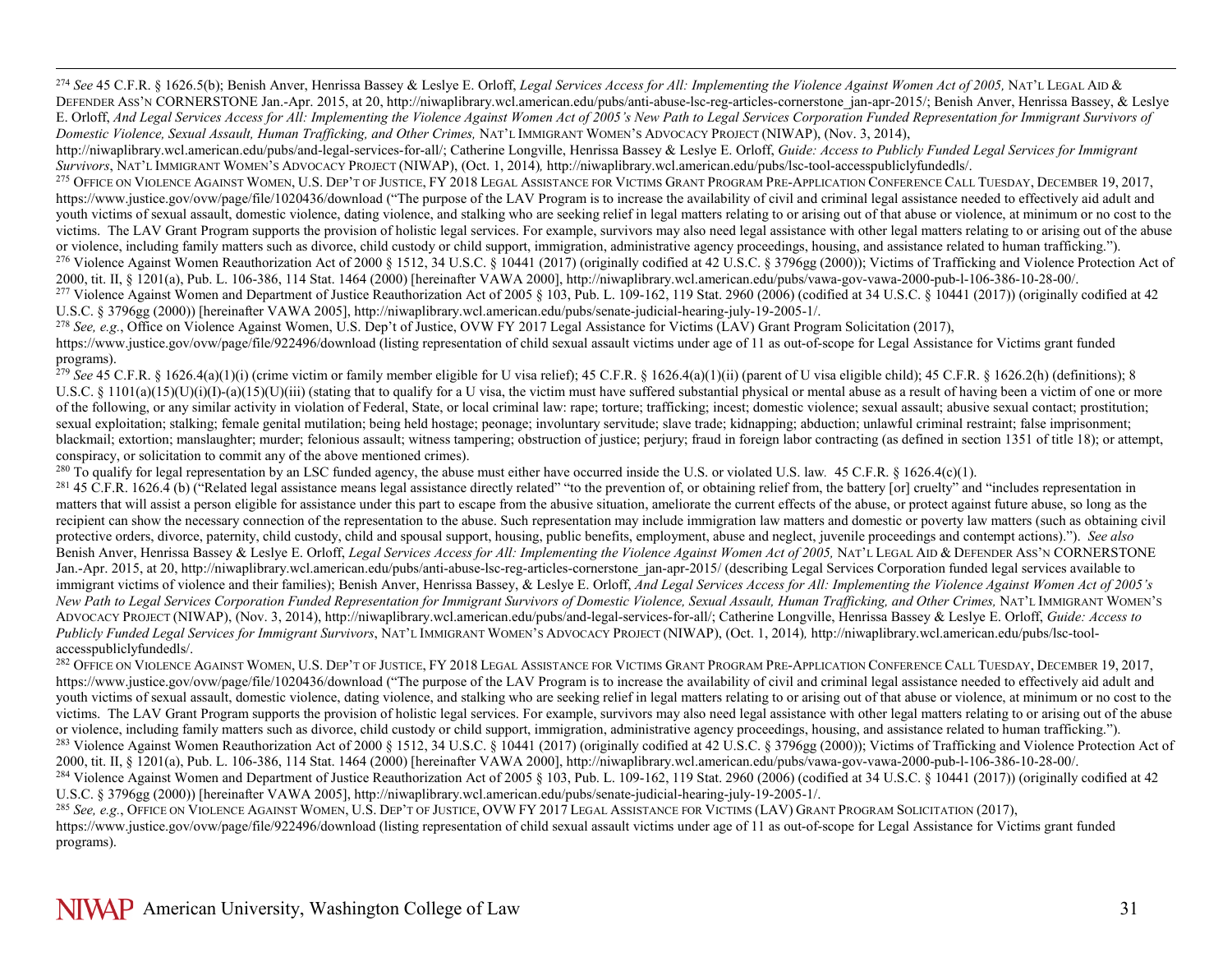<span id="page-30-11"></span><span id="page-30-10"></span><span id="page-30-9"></span><span id="page-30-8"></span><span id="page-30-7"></span><span id="page-30-6"></span><span id="page-30-5"></span><span id="page-30-4"></span><span id="page-30-3"></span><span id="page-30-2"></span><span id="page-30-1"></span><span id="page-30-0"></span> 274 *See* 45 C.F.R. § 1626.5(b); Benish Anver, Henrissa Bassey & Leslye E. Orloff, *Legal Services Access for All: Implementing the Violence Against Women Act of 2005,* NAT'L LEGAL AID & DEFENDER ASS'N CORNERSTONE Jan.-Apr. 2015, at 20, http://niwaplibrary.wcl.american.edu/pubs/anti-abuse-lsc-reg-articles-cornerstone\_jan-apr-2015/; Benish Anver, Henrissa Bassey, & Leslye E. Orloff, *And Legal Services Access for All: Implementing the Violence Against Women Act of 2005's New Path to Legal Services Corporation Funded Representation for Immigrant Survivors of Domestic Violence, Sexual Assault, Human Trafficking, and Other Crimes,* NAT'L IMMIGRANT WOMEN'S ADVOCACY PROJECT (NIWAP), (Nov. 3, 2014),

http://niwaplibrary.wcl.american.edu/pubs/and-legal-services-for-all/; Catherine Longville, Henrissa Bassey & Leslye E. Orloff, *Guide: Access to Publicly Funded Legal Services for Immigrant Survivors*, NAT'L IMMIGRANT WOMEN'S ADVOCACY PROJECT (NIWAP), (Oct. 1, 2014)*,* http://niwaplibrary.wcl.american.edu/pubs/lsc-tool-accesspubliclyfundedls/.

<sup>275</sup> OFFICE ON VIOLENCE AGAINST WOMEN, U.S. DEP'T OF JUSTICE, FY 2018 LEGAL ASSISTANCE FOR VICTIMS GRANT PROGRAM PRE-APPLICATION CONFERENCE CALL TUESDAY, DECEMBER 19, 2017, https://www.justice.gov/ovw/page/file/1020436/download ("The purpose of the LAV Program is to increase the availability of civil and criminal legal assistance needed to effectively aid adult and youth victims of sexual assault, domestic violence, dating violence, and stalking who are seeking relief in legal matters relating to or arising out of that abuse or violence, at minimum or no cost to the victims. The LAV Grant Program supports the provision of holistic legal services. For example, survivors may also need legal assistance with other legal matters relating to or arising out of the abuse or violence, including family matters such as divorce, child custody or child support, immigration, administrative agency proceedings, housing, and assistance related to human trafficking.").

<sup>276</sup> Violence Against Women Reauthorization Act of 2000 § 1512, 34 U.S.C. § 10441 (2017) (originally codified at 42 U.S.C. § 3796gg (2000)); Victims of Trafficking and Violence Protection Act of 2000, tit. II, § 1201(a), Pub. L. 106-386, 114 Stat. 1464 (2000) [hereinafter VAWA 2000], http://niwaplibrary.wcl.american.edu/pubs/vawa-gov-vawa-2000-pub-l-106-386-10-28-00/.<br><sup>277</sup> Violence Against Women and Department of

U.S.C. § 3796gg (2000)) [hereinafter VAWA 2005], http://niwaplibrary.wcl.american.edu/pubs/senate-judicial-hearing-july-19-2005-1/.<br><sup>278</sup> See, e.g., Office on Violence Against Women, U.S. Dep't of Justice, OVW FY 2017 Lega

https://www.justice.gov/ovw/page/file/922496/download (listing representation of child sexual assault victims under age of 11 as out-of-scope for Legal Assistance for Victims grant funded programs).

<sup>279</sup> See 45 C.F.R. § 1626.4(a)(1)(i) (crime victim or family member eligible for U visa relief); 45 C.F.R. § 1626.4(a)(1)(ii) (parent of U visa eligible child); 45 C.F.R. § 1626.2(h) (definitions); 8 U.S.C. § 1101(a)(15)(U)(i)(I)-(a)(15)(U)(iii) (stating that to qualify for a U visa, the victim must have suffered substantial physical or mental abuse as a result of having been a victim of one or more of the following, or any similar activity in violation of Federal, State, or local criminal law: rape; torture; trafficking; incest; domestic violence; sexual assault; abusive sexual contact; prostitution; sexual exploitation; stalking; female genital mutilation; being held hostage; peonage; involuntary servitude; slave trade; kidnapping; abduction; unlawful criminal restraint; false imprisonment; blackmail; extortion; manslaughter; murder; felonious assault; witness tampering; obstruction of justice; perjury; fraud in foreign labor contracting (as defined in section 1351 of title 18); or attempt, conspiracy, or solicitation to commit any of the above mentioned crimes).

<sup>280</sup> To qualify for legal representation by an LSC funded agency, the abuse must either have occurred inside the U.S. or violated U.S. law. <sup>45</sup> C.F.R. § 1626.4(c)(1).

 $^{281}$  45 C.F.R. 1626.4 (b) ("Related legal assistance means legal assistance directly related" "to the prevention of, or obtaining relief from, the battery [or] cruelty" and "includes representation in matters that will assist a person eligible for assistance under this part to escape from the abusive situation, ameliorate the current effects of the abuse, or protect against future abuse, so long as the recipient can show the necessary connection of the representation to the abuse. Such representation may include immigration law matters and domestic or poverty law matters (such as obtaining civil protective orders, divorce, paternity, child custody, child and spousal support, housing, public benefits, employment, abuse and neglect, juvenile proceedings and contempt actions)."). *See also* Benish Anver, Henrissa Bassey & Leslye E. Orloff, *Legal Services Access for All: Implementing the Violence Against Women Act of 2005,* NAT'L LEGAL AID & DEFENDER ASS'N CORNERSTONE Jan.-Apr. 2015, at 20, http://niwaplibrary.wcl.american.edu/pubs/anti-abuse-lsc-reg-articles-cornerstone\_jan-apr-2015/ (describing Legal Services Corporation funded legal services available to immigrant victims of violence and their families); Benish Anver, Henrissa Bassey, & Leslye E. Orloff, *And Legal Services Access for All: Implementing the Violence Against Women Act of 2005's* New Path to Legal Services Corporation Funded Representation for Immigrant Survivors of Domestic Violence, Sexual Assault, Human Trafficking, and Other Crimes, NAT'L IMMIGRANT WOMEN'S ADVOCACY PROJECT (NIWAP), (Nov. 3, 2014), http://niwaplibrary.wcl.american.edu/pubs/and-legal-services-for-all/; Catherine Longville, Henrissa Bassey & Leslye E. Orloff, *Guide: Access to Publicly Funded Legal Services for Immigrant Survivors*, NAT'L IMMIGRANT WOMEN'S ADVOCACY PROJECT (NIWAP), (Oct. 1, 2014)*,* http://niwaplibrary.wcl.american.edu/pubs/lsc-toolaccesspubliclyfundedls/.

<sup>282</sup> OFFICE ON VIOLENCE AGAINST WOMEN, U.S. DEP'T OF JUSTICE, FY 2018 LEGAL ASSISTANCE FOR VICTIMS GRANT PROGRAM PRE-APPLICATION CONFERENCE CALL TUESDAY, DECEMBER 19, 2017, https://www.justice.gov/ovw/page/file/1020436/download ("The purpose of the LAV Program is to increase the availability of civil and criminal legal assistance needed to effectively aid adult and youth victims of sexual assault, domestic violence, dating violence, and stalking who are seeking relief in legal matters relating to or arising out of that abuse or violence, at minimum or no cost to the victims. The LAV Grant Program supports the provision of holistic legal services. For example, survivors may also need legal assistance with other legal matters relating to or arising out of the abuse or violence, including family matters such as divorce, child custody or child support, immigration, administrative agency proceedings, housing, and assistance related to human trafficking."). <sup>283</sup> Violence Against Women Reauthorization Act of 2000 § 1512, 34 U.S.C. § 10441 (2017) (originally codified at 42 U.S.C. § 3796gg (2000)); Victims of Trafficking and Violence Protection Act of 2000, tit. II, § 1201(a), <sup>284</sup> Violence Against Women and Department of Justice Reauthorization Act of 2005 § 103, Pub. L. 109-162, 119 Stat. 2960 (2006) (codified at 34 U.S.C. § 10441 (2017)) (originally codified at 42 U.S.C. § 3796gg (2000)) [hereinafter VAWA 2005], http://niwaplibrary.wcl.american.edu/pubs/senate-judicial-hearing-july-19-2005-1/.

<sup>285</sup> *See, e.g.*, OFFICE ON VIOLENCE AGAINST WOMEN, U.S. DEP'T OF JUSTICE, OVW FY 2017 LEGAL ASSISTANCE FOR VICTIMS (LAV) GRANT PROGRAM SOLICITATION (2017), https://www.justice.gov/ovw/page/file/922496/download (listing representation of child sexual assault victims under age of 11 as out-of-scope for Legal Assistance for Victims grant funded programs).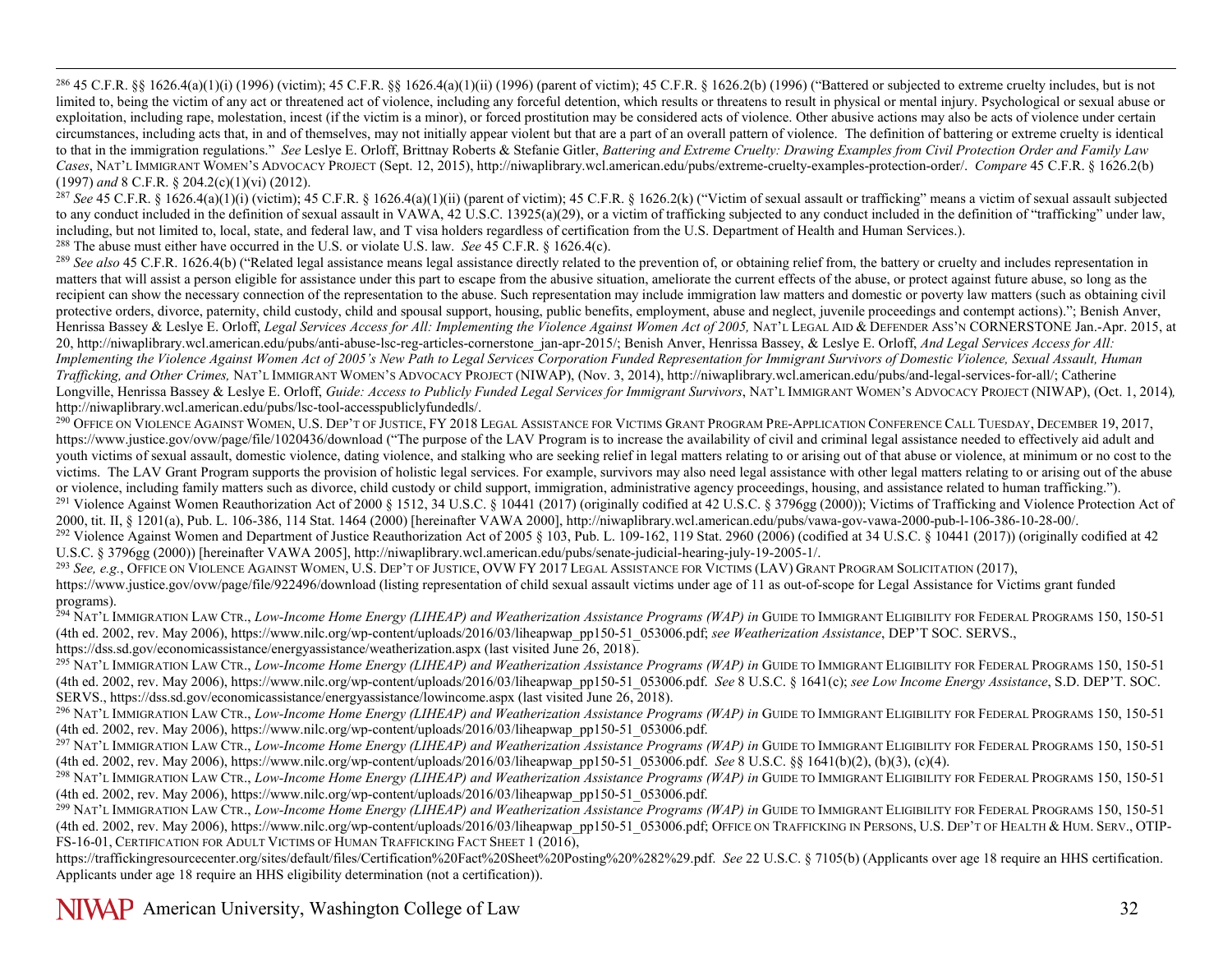<span id="page-31-13"></span><span id="page-31-12"></span><span id="page-31-11"></span><span id="page-31-10"></span><span id="page-31-9"></span><span id="page-31-8"></span><span id="page-31-7"></span><span id="page-31-6"></span><span id="page-31-5"></span><span id="page-31-4"></span><span id="page-31-3"></span><span id="page-31-2"></span><span id="page-31-1"></span><span id="page-31-0"></span> $^{286}$  45 C.F.R. §§ 1626.4(a)(1)(i) (1996) (victim); 45 C.F.R. §§ 1626.4(a)(1)(ii) (1996) (parent of victim); 45 C.F.R. § 1626.2(b) (1996) ("Battered or subjected to extreme cruelty includes, but is not limited to, being the victim of any act or threatened act of violence, including any forceful detention, which results or threatens to result in physical or mental injury. Psychological or sexual abuse or exploitation, including rape, molestation, incest (if the victim is a minor), or forced prostitution may be considered acts of violence. Other abusive actions may also be acts of violence under certain circumstances, including acts that, in and of themselves, may not initially appear violent but that are a part of an overall pattern of violence. The definition of battering or extreme cruelty is identical to that in the immigration regulations." *See* Leslye E. Orloff, Brittnay Roberts & Stefanie Gitler, *Battering and Extreme Cruelty: Drawing Examples from Civil Protection Order and Family Law Cases*, NAT'L IMMIGRANT WOMEN'S ADVOCACY PROJECT (Sept. 12, 2015), http://niwaplibrary.wcl.american.edu/pubs/extreme-cruelty-examples-protection-order/. *Compare* 45 C.F.R. § 1626.2(b) (1997) *and* 8 C.F.R. § 204.2(c)(1)(vi) (2012).

 $^{287}$  *See* 45 C.F.R. § 1626.4(a)(1)(i) (victim); 45 C.F.R. § 1626.4(a)(1)(ii) (parent of victim); 45 C.F.R. § 1626.2(k) ("Victim of sexual assault or trafficking" means a victim of sexual assault subjected to any conduct included in the definition of sexual assault in VAWA, 42 U.S.C. 13925(a)(29), or a victim of trafficking subjected to any conduct included in the definition of "trafficking" under law, including, but not limited to, local, state, and federal law, and T visa holders regardless of certification from the U.S. Department of Health and Human Services.).

<sup>288</sup> The abuse must either have occurred in the U.S. or violate U.S. law. *See* 45 C.F.R. § 1626.4(c).

<sup>289</sup> See also 45 C.F.R. 1626.4(b) ("Related legal assistance means legal assistance directly related to the prevention of, or obtaining relief from, the battery or cruelty and includes representation in matters that will assist a person eligible for assistance under this part to escape from the abusive situation, ameliorate the current effects of the abuse, or protect against future abuse, so long as the recipient can show the necessary connection of the representation to the abuse. Such representation may include immigration law matters and domestic or poverty law matters (such as obtaining civil protective orders, divorce, paternity, child custody, child and spousal support, housing, public benefits, employment, abuse and neglect, juvenile proceedings and contempt actions)."; Benish Anver, Henrissa Bassey & Leslye E. Orloff, *Legal Services Access for All: Implementing the Violence Against Women Act of 2005,* NAT'L LEGAL AID & DEFENDER ASS'N CORNERSTONE Jan.-Apr. 2015, at 20, http://niwaplibrary.wcl.american.edu/pubs/anti-abuse-lsc-reg-articles-cornerstone\_jan-apr-2015/; Benish Anver, Henrissa Bassey, & Leslye E. Orloff, *And Legal Services Access for All: Implementing the Violence Against Women Act of 2005's New Path to Legal Services Corporation Funded Representation for Immigrant Survivors of Domestic Violence, Sexual Assault, Human Trafficking, and Other Crimes,* NAT'L IMMIGRANT WOMEN'S ADVOCACY PROJECT (NIWAP), (Nov. 3, 2014), http://niwaplibrary.wcl.american.edu/pubs/and-legal-services-for-all/; Catherine Longville, Henrissa Bassey & Leslye E. Orloff, *Guide: Access to Publicly Funded Legal Services for Immigrant Survivors*, NAT'L IMMIGRANT WOMEN'S ADVOCACY PROJECT (NIWAP), (Oct. 1, 2014)*,*  http://niwaplibrary.wcl.american.edu/pubs/lsc-tool-accesspubliclyfundedls/.

<sup>290</sup> OFFICE ON VIOLENCE AGAINST WOMEN, U.S. DEP'T OF JUSTICE, FY 2018 LEGAL ASSISTANCE FOR VICTIMS GRANT PROGRAM PRE-APPLICATION CONFERENCE CALL TUESDAY, DECEMBER 19, 2017, https://www.justice.gov/ovw/page/file/1020436/download ("The purpose of the LAV Program is to increase the availability of civil and criminal legal assistance needed to effectively aid adult and youth victims of sexual assault, domestic violence, dating violence, and stalking who are seeking relief in legal matters relating to or arising out of that abuse or violence, at minimum or no cost to the victims. The LAV Grant Program supports the provision of holistic legal services. For example, survivors may also need legal assistance with other legal matters relating to or arising out of the abuse or violence, including family matters such as divorce, child custody or child support, immigration, administrative agency proceedings, housing, and assistance related to human trafficking.").

<sup>291</sup> Violence Against Women Reauthorization Act of 2000 § 1512, 34 U.S.C. § 10441 (2017) (originally codified at 42 U.S.C. § 3796gg (2000)); Victims of Trafficking and Violence Protection Act of 2000, tit. II, § 1201(a),

<sup>292</sup> Violence Against Women and Department of Justice Reauthorization Act of 2005 § 103, Pub. L. 109-162, 119 Stat. 2960 (2006) (codified at 34 U.S.C. § 10441 (2017)) (originally codified at 42 U.S.C. § 3796gg (2000)) [hereinafter VAWA 2005], http://niwaplibrary.wcl.american.edu/pubs/senate-judicial-hearing-july-19-2005-1/.

<sup>293</sup> *See, e.g.*, OFFICE ON VIOLENCE AGAINST WOMEN, U.S. DEP'T OF JUSTICE, OVW FY 2017 LEGAL ASSISTANCE FOR VICTIMS (LAV) GRANT PROGRAM SOLICITATION (2017), https://www.justice.gov/ovw/page/file/922496/download (listing representation of child sexual assault victims under age of 11 as out-of-scope for Legal Assistance for Victims grant funded programs).

<sup>294</sup> NAT'L IMMIGRATION LAW CTR., Low-Income Home Energy (LIHEAP) and Weatherization Assistance Programs (WAP) in GUIDE TO IMMIGRANT ELIGIBILITY FOR FEDERAL PROGRAMS 150, 150-51 (4th ed. 2002, rev. May 2006), https://www.nilc.org/wp-content/uploads/2016/03/liheapwap\_pp150-51\_053006.pdf; *see Weatherization Assistance*, DEP'T SOC. SERVS., https://dss.sd.gov/economicassistance/energyassistance/weatherization.aspx (last visited June 26, 2018).

<sup>295</sup> NAT'L IMMIGRATION LAW CTR., *Low-Income Home Energy (LIHEAP) and Weatherization Assistance Programs (WAP) in* GUIDE TO IMMIGRANT ELIGIBILITY FOR FEDERAL PROGRAMS 150, 150-51 (4th ed. 2002, rev. May 2006), https://www.nilc.org/wp-content/uploads/2016/03/liheapwap\_pp150-51\_053006.pdf. *See* 8 U.S.C. § 1641(c); *see Low Income Energy Assistance*, S.D. DEP'T. SOC. SERVS., https://dss.sd.gov/economicassistance/energyassistance/lowincome.aspx (last visited June 26, 2018).

<sup>296</sup> NAT'L IMMIGRATION LAW CTR., *Low-Income Home Energy (LIHEAP) and Weatherization Assistance Programs (WAP) in* GUIDE TO IMMIGRANT ELIGIBILITY FOR FEDERAL PROGRAMS 150, 150-51 (4th ed. 2002, rev. May 2006), https://www.nilc.org/wp-content/uploads/2016/03/liheapwap\_pp150-51\_053006.pdf.

<sup>297</sup> NAT'L IMMIGRATION LAW CTR., *Low-Income Home Energy (LIHEAP) and Weatherization Assistance Programs (WAP) in GUIDE TO IMMIGRANT ELIGIBILITY FOR FEDERAL PROGRAMS 150, 150-51* (4th ed. 2002, rev. May 2006), https://www.nilc.org/wp-content/uploads/2016/03/liheapwap\_pp150-51\_053006.pdf. *See* 8 U.S.C. §§ 1641(b)(2), (b)(3), (c)(4).

<sup>298</sup> NAT'L IMMIGRATION LAW CTR., *Low-Income Home Energy (LIHEAP) and Weatherization Assistance Programs (WAP) in GUIDE TO IMMIGRANT ELIGIBILITY FOR FEDERAL PROGRAMS 150, 150-51* (4th ed. 2002, rev. May 2006), https://www.nilc.org/wp-content/uploads/2016/03/liheapwap\_pp150-51\_053006.pdf.

<sup>299</sup> NAT'L IMMIGRATION LAW CTR., *Low-Income Home Energy (LIHEAP) and Weatherization Assistance Programs (WAP) in* GUIDE TO IMMIGRANT ELIGIBILITY FOR FEDERAL PROGRAMS 150, 150-51 (4th ed. 2002, rev. May 2006), https://www.nilc.org/wp-content/uploads/2016/03/liheapwap\_pp150-51\_053006.pdf; OFFICE ON TRAFFICKING IN PERSONS, U.S. DEP'T OF HEALTH & HUM. SERV., OTIP-FS-16-01, CERTIFICATION FOR ADULT VICTIMS OF HUMAN TRAFFICKING FACT SHEET 1 (2016),

[https://traffickingresourcecenter.org/sites/default/files/Certification%20Fact%20Sheet%20Posting%20%282%29.pdf.](https://traffickingresourcecenter.org/sites/default/files/Certification%20Fact%20Sheet%20Posting%20%282%29.pdf) *See* 22 U.S.C. § 7105(b) (Applicants over age 18 require an HHS certification. Applicants under age 18 require an HHS eligibility determination (not a certification)).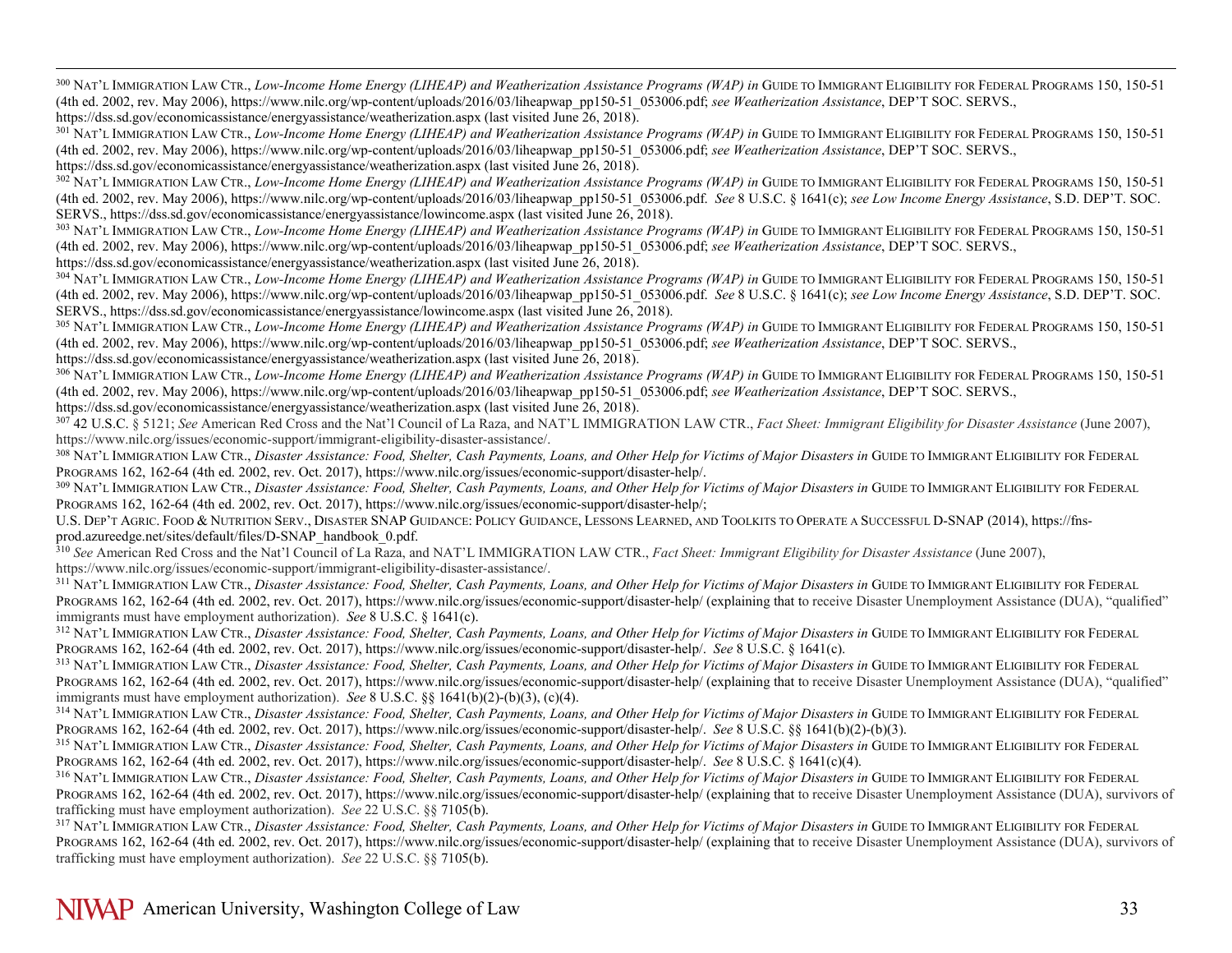<span id="page-32-17"></span><span id="page-32-16"></span><span id="page-32-15"></span><span id="page-32-14"></span><span id="page-32-13"></span><span id="page-32-12"></span><span id="page-32-11"></span><span id="page-32-10"></span><span id="page-32-9"></span><span id="page-32-8"></span><span id="page-32-7"></span><span id="page-32-6"></span><span id="page-32-5"></span><span id="page-32-4"></span><span id="page-32-3"></span><span id="page-32-2"></span><span id="page-32-1"></span><span id="page-32-0"></span><sup>300</sup> NAT'L IMMIGRATION LAW CTR., *Low-Income Home Energy (LIHEAP) and Weatherization Assistance Programs (WAP) in* GUIDE TO IMMIGRANT ELIGIBILITY FOR FEDERAL PROGRAMS 150, 150-51 (4th ed. 2002, rev. May 2006), https://www.nilc.org/wp-content/uploads/2016/03/liheapwap\_pp150-51\_053006.pdf; *see Weatherization Assistance*, DEP'T SOC. SERVS.,

https://dss.sd.gov/economicassistance/energyassistance/weatherization.aspx (last visited June 26, 2018).

<sup>301</sup> NAT'L IMMIGRATION LAW CTR., *Low-Income Home Energy (LIHEAP) and Weatherization Assistance Programs (WAP) in* GUIDE TO IMMIGRANT ELIGIBILITY FOR FEDERAL PROGRAMS 150, 150-51 (4th ed. 2002, rev. May 2006), https://www.nilc.org/wp-content/uploads/2016/03/liheapwap\_pp150-51\_053006.pdf; *see Weatherization Assistance*, DEP'T SOC. SERVS., https://dss.sd.gov/economicassistance/energyassistance/weatherization.aspx (last visited June 26, 2018).

<sup>302</sup> NAT'L IMMIGRATION LAW CTR., *Low-Income Home Energy (LIHEAP) and Weatherization Assistance Programs (WAP) in* GUIDE TO IMMIGRANT ELIGIBILITY FOR FEDERAL PROGRAMS 150, 150-51 (4th ed. 2002, rev. May 2006), https://www.nilc.org/wp-content/uploads/2016/03/liheapwap\_pp150-51\_053006.pdf. *See* 8 U.S.C. § 1641(c); *see Low Income Energy Assistance*, S.D. DEP'T. SOC. SERVS., https://dss.sd.gov/economicassistance/energyassistance/lowincome.aspx (last visited June 26, 2018).

<sup>303</sup> NAT'L IMMIGRATION LAW CTR., *Low-Income Home Energy (LIHEAP) and Weatherization Assistance Programs (WAP) in GUIDE TO IMMIGRANT ELIGIBILITY FOR FEDERAL PROGRAMS 150, 150-51* (4th ed. 2002, rev. May 2006), https://www.nilc.org/wp-content/uploads/2016/03/liheapwap\_pp150-51\_053006.pdf; *see Weatherization Assistance*, DEP'T SOC. SERVS.,

https://dss.sd.gov/economicassistance/energyassistance/weatherization.aspx (last visited June 26, 2018).

<sup>304</sup> NAT'L IMMIGRATION LAW CTR., *Low-Income Home Energy (LIHEAP) and Weatherization Assistance Programs (WAP) in GUIDE TO IMMIGRANT ELIGIBILITY FOR FEDERAL PROGRAMS 150, 150-51* (4th ed. 2002, rev. May 2006), https://www.nilc.org/wp-content/uploads/2016/03/liheapwap\_pp150-51\_053006.pdf. *See* 8 U.S.C. § 1641(c); *see Low Income Energy Assistance*, S.D. DEP'T. SOC. SERVS., https://dss.sd.gov/economicassistance/energyassistance/lowincome.aspx (last visited June 26, 2018).

<sup>305</sup> NAT'L IMMIGRATION LAW CTR., *Low-Income Home Energy (LIHEAP) and Weatherization Assistance Programs (WAP) in* GUIDE TO IMMIGRANT ELIGIBILITY FOR FEDERAL PROGRAMS 150, 150-51 (4th ed. 2002, rev. May 2006), https://www.nilc.org/wp-content/uploads/2016/03/liheapwap\_pp150-51\_053006.pdf; *see Weatherization Assistance*, DEP'T SOC. SERVS., https://dss.sd.gov/economicassistance/energyassistance/weatherization.aspx (last visited June 26, 2018).

<sup>306</sup> NAT'L IMMIGRATION LAW CTR., *Low-Income Home Energy (LIHEAP) and Weatherization Assistance Programs (WAP) in* GUIDE TO IMMIGRANT ELIGIBILITY FOR FEDERAL PROGRAMS 150, 150-51 (4th ed. 2002, rev. May 2006), https://www.nilc.org/wp-content/uploads/2016/03/liheapwap\_pp150-51\_053006.pdf; *see Weatherization Assistance*, DEP'T SOC. SERVS., https://dss.sd.gov/economicassistance/energyassistance/weatherization.aspx (last visited June 26, 2018).

<sup>307</sup> 42 U.S.C. § 5121; *See* American Red Cross and the Nat'l Council of La Raza, and NAT'L IMMIGRATION LAW CTR., *Fact Sheet: Immigrant Eligibility for Disaster Assistance* (June 2007), https://www.nilc.org/issues/economic-support/immigrant-eligibility-disaster-assistance/.

<sup>308</sup> NAT'L IMMIGRATION LAW CTR., *Disaster Assistance: Food, Shelter, Cash Payments, Loans, and Other Help for Victims of Major Disasters in GUIDE TO IMMIGRANT ELIGIBILITY FOR FEDERAL* PROGRAMS 162, 162-64 (4th ed. 2002, rev. Oct. 2017), https://www.nilc.org/issues/economic-support/disaster-help/.

<sup>309</sup> NAT'L IMMIGRATION LAW CTR., *Disaster Assistance: Food, Shelter, Cash Payments, Loans, and Other Help for Victims of Major Disasters in GUIDE TO IMMIGRANT ELIGIBILITY FOR FEDERAL* PROGRAMS 162, 162-64 (4th ed. 2002, rev. Oct. 2017), https://www.nilc.org/issues/economic-support/disaster-help/;

U.S. DEP'T AGRIC. FOOD & NUTRITION SERV., DISASTER SNAP GUIDANCE: POLICY GUIDANCE, LESSONS LEARNED, AND TOOLKITS TO OPERATE A SUCCESSFUL D-SNAP (2014), https://fnsprod.azureedge.net/sites/default/files/D-SNAP\_handbook\_0.pdf.

<sup>310</sup> *See* American Red Cross and the Nat'l Council of La Raza, and NAT'L IMMIGRATION LAW CTR., *Fact Sheet: Immigrant Eligibility for Disaster Assistance* (June 2007), https://www.nilc.org/issues/economic-support/immigra

<sup>311</sup> NAT'L IMMIGRATION LAW CTR., Disaster Assistance: Food, Shelter, Cash Payments, Loans, and Other Help for Victims of Major Disasters in GUIDE TO IMMIGRANT ELIGIBILITY FOR FEDERAL PROGRAMS 162, 162-64 (4th ed. 2002, rev. Oct. 2017), https://www.nilc.org/issues/economic-support/disaster-help/ (explaining that to receive Disaster Unemployment Assistance (DUA), "qualified" immigrants must have employment authorization). See 8 U.S.C. § 1641(c).<br><sup>312</sup> NAT'L IMMIGRATION LAW CTR., *Disaster Assistance: Food, Shelter, Cash Payments, Loans, and Other Help for Victims of Major Disasters in GUIDE TO* 

PROGRAMS 162, 162-64 (4th ed. 2002, rev. Oct. 2017), https://www.nilc.org/issues/economic-support/disaster-help/. *See* 8 U.S.C. § 1641(c).

<sup>313</sup> NAT'L IMMIGRATION LAW CTR., *Disaster Assistance: Food, Shelter, Cash Payments, Loans, and Other Help for Victims of Major Disasters in GUIDE TO IMMIGRANT ELIGIBILITY FOR FEDERAL* PROGRAMS 162, 162-64 (4th ed. 2002, rev. Oct. 2017), https://www.nilc.org/issues/economic-support/disaster-help/ (explaining that to receive Disaster Unemployment Assistance (DUA), "qualified"

immigrants must have employment authorization). See 8 U.S.C. §§ 1641(b)(2)-(b)(3), (c)(4).<br><sup>314</sup> NAT'L IMMIGRATION LAW CTR., *Disaster Assistance: Food, Shelter, Cash Payments, Loans, and Other Help for Victims of Major Di* 

<sup>315</sup> NAT'L IMMIGRATION LAW CTR., *Disaster Assistance: Food. Shelter. Cash Payments. Loans. and Other Help for Victims of Major Disasters in GUIDE TO IMMIGRANT ELIGIBILITY FOR FEDERAL* PROGRAMS 162, 162-64 (4th ed. 2002, rev. Oct. 2017), https://www.nilc.org/issues/economic-support/disaster-help/. *See* 8 U.S.C. § 1641(c)(4).

316 NAT'L IMMIGRATION LAW CTR., *Disaster Assistance: Food, Shelter, Cash Payments, Loans, and Other Help for Victims of Major Disasters in GUIDE TO IMMIGRANT ELIGIBILITY FOR FEDERAL* PROGRAMS 162, 162-64 (4th ed. 2002, rev. Oct. 2017), https://www.nilc.org/issues/economic-support/disaster-help/ (explaining that to receive Disaster Unemployment Assistance (DUA), survivors of trafficking must have employment authorization). *See* 22 U.S.C. §§ 7105(b).

317 NAT'L IMMIGRATION LAW CTR., *Disaster Assistance: Food, Shelter, Cash Payments, Loans, and Other Help for Victims of Major Disasters in GUIDE TO IMMIGRANT ELIGIBILITY FOR FEDERAL* PROGRAMS 162, 162-64 (4th ed. 2002, rev. Oct. 2017), https://www.nilc.org/issues/economic-support/disaster-help/ (explaining that to receive Disaster Unemployment Assistance (DUA), survivors of trafficking must have employment authorization). *See* 22 U.S.C. §§ 7105(b).